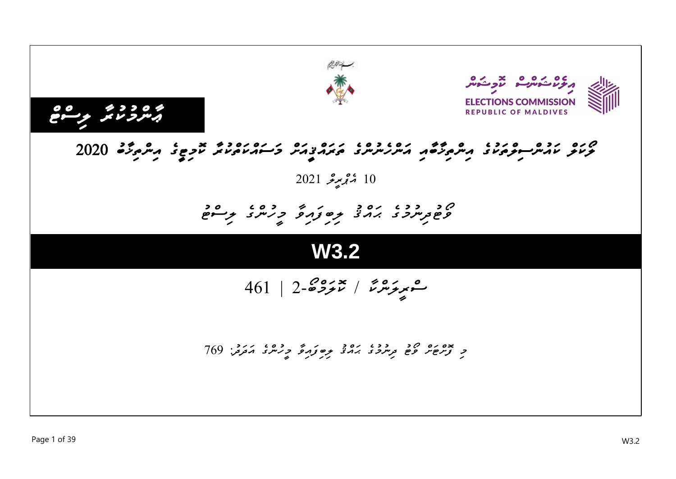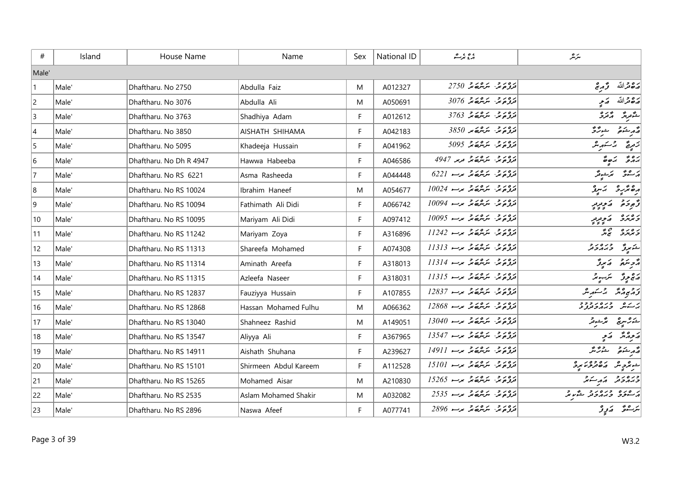| #              | Island | House Name              | Name                  | Sex | National ID | ړه پر ه                                                       | ىئرىتر                                                                                |
|----------------|--------|-------------------------|-----------------------|-----|-------------|---------------------------------------------------------------|---------------------------------------------------------------------------------------|
| Male'          |        |                         |                       |     |             |                                                               |                                                                                       |
| $\vert$ 1      | Male'  | Dhaftharu. No 2750      | Abdulla Faiz          | M   | A012327     | ىرەپە ئىر ئىش 2750                                            | تر مر مح<br>  پرکھ قرالله                                                             |
| $ 2\rangle$    | Male'  | Dhaftharu. No 3076      | Abdulla Ali           | M   | A050691     | تروم تە. ئىر ئىھەتمە 3076                                     | پره قرالله<br>رځ پو                                                                   |
| $\vert$ 3      | Male'  | Dhaftharu. No 3763      | Shadhiya Adam         | F.  | A012612     | رەرو. ئىر <i>مىھى</i> ر 3763                                  | شَوِرِ بَرَ دِرِهِ                                                                    |
| $\vert 4$      | Male'  | Dhaftharu. No 3850      | AISHATH SHIHAMA       | F   | A042183     | تروم تر. سرس من 3850                                          | شەرگە ئ<br>ا پھر در شعر ہے<br>اور در مشعر ہی                                          |
| $\overline{5}$ | Male'  | Dhaftharu. No 5095      | Khadeeja Hussain      | F.  | A041962     | ىرومۇ. سەھەتى 5095                                            | كزمرقح الرشكريش                                                                       |
| $\overline{6}$ | Male'  | Dhaftharu. No Dh R 4947 | Hawwa Habeeba         | F   | A046586     | رەر دې برەر دې 4947                                           | 501                                                                                   |
| $\vert$ 7      | Male'  | Dhaftharu. No RS 6221   | Asma Rasheeda         | F.  | A044448     | رەپر ئىر ئىر ئەس بىر - 6221                                   | پر ہے پیچ<br>ىمەشىرەتگر                                                               |
| $\overline{8}$ | Male'  | Dhaftharu. No RS 10024  | Ibrahim Haneef        | M   | A054677     | تروم تر. سَرْسْھَ تَرْ سِرِ 10024                             | رە ئرىر ئىس ئىس                                                                       |
| $ 9\rangle$    | Male'  | Dhaftharu. No RS 10094  | Fathimath Ali Didi    | F.  | A066742     | تروم تر. سَرْشَهَ تَرْ سِيْسِدِ 10094                         | أوجوحا والمتحصص                                                                       |
| $ 10\rangle$   | Male'  | Dhaftharu. No RS 10095  | Mariyam Ali Didi      | F   | A097412     | تروم پر سرپر کا برسہ 10095                                    | رەرە كەربىرىر                                                                         |
| 11             | Male'  | Dhaftharu. No RS 11242  | Mariyam Zoya          | F   | A316896     | $11242$ مردومة المرشقة مرسو                                   | روره مهج                                                                              |
| 12             | Male'  | Dhaftharu. No RS 11313  | Shareefa Mohamed      | F.  | A074308     | اروبر تر مگر پھر سر 11313                                     | و ره ر د<br><i>د ب</i> رگرفر<br> شەمرۇ                                                |
| 13             | Male'  | Dhaftharu. No RS 11314  | Aminath Areefa        | F.  | A318013     | تروپر ترش تر 11314                                            | أزويتم أأتهوز                                                                         |
| 14             | Male'  | Dhaftharu. No RS 11315  | Azleefa Naseer        | F.  | A318031     | تروپر ترش کر 11315                                            | ر چي پي په سر سر سر سر                                                                |
| 15             | Male'  | Dhaftharu. No RS 12837  | Fauziyya Hussain      | F.  | A107855     | ترويري شرش تريب 12837                                         | ترميم مهر من مشهر مر                                                                  |
| 16             | Male'  | Dhaftharu. No RS 12868  | Hassan Mohamed Fulhu  | M   | A066362     | تروم پر سرچی پر - 12868                                       | ر رو دره دود.<br>رسکس ورمارونونو                                                      |
| 17             | Male'  | Dhaftharu. No RS 13040  | Shahneez Rashid       | M   | A149051     | $13040$ مَرْوَمَ مِنْ سَرْبَعْدَ مِنْ سَرْبِعْدِ مِنْ $13040$ | شركر سرچ گرشونر                                                                       |
| 18             | Male'  | Dhaftharu. No RS 13547  | Aliyya Ali            | F.  | A367965     | ترويري شرش ته 13547                                           | كالمرورش كالمي                                                                        |
| 19             | Male'  | Dhaftharu. No RS 14911  | Aishath Shuhana       | F.  | A239627     | روبر تر مگر مگر بر - 14911                                    | أقرم شوهر ستورش                                                                       |
| 20             | Male'  | Dhaftharu. No RS 15101  | Shirmeen Abdul Kareem | F.  | A112528     | ترويجي. سَرْسْهُ عَرْب - 15101                                | ا شور محمد مره ده در محمد در حقیق برد.<br>استونتر محمد محمد محمد از محمد در حقیق برد. |
| 21             | Male'  | Dhaftharu. No RS 15265  | Mohamed Aisar         | M   | A210830     | ىرومۇ. سەھقىر بىر 15265                                       | ورەرو مەرجو                                                                           |
| 22             | Male'  | Dhaftharu. No RS 2535   | Aslam Mohamed Shakir  | M   | A032082     | پرہ پر سرچھ پر سہ 2535                                        | أر قاره وره رو گیر و                                                                  |
| 23             | Male'  | Dhaftharu. No RS 2896   | Naswa Afeef           | F.  | A077741     | ىرومۇ. بىر شەڭ بىر سە 2896                                    | يتركن قريو و كانت كانت بالس                                                           |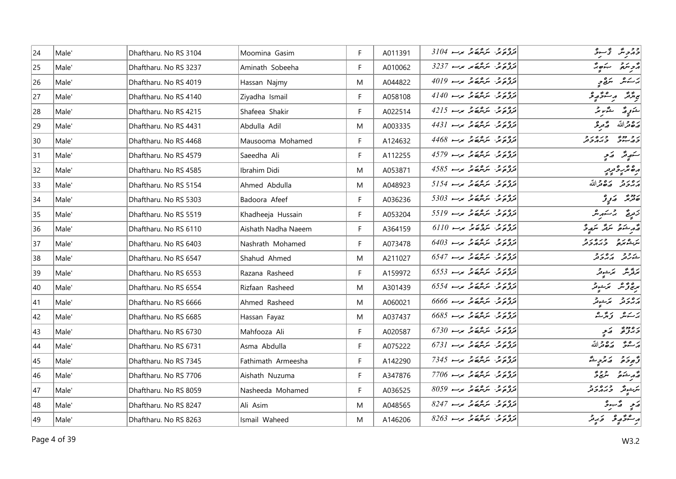| 24           | Male' | Dhaftharu. No RS 3104 | Moomina Gasim       | F  | A011391 | اروبر شرش مراجع من سو 3104                | وروبر ويجاو                                  |
|--------------|-------|-----------------------|---------------------|----|---------|-------------------------------------------|----------------------------------------------|
| 25           | Male' | Dhaftharu. No RS 3237 | Aminath Sobeeha     | F. | A010062 | رەپر ئەركىشى بىر 3237                     | ومحتر سنرو<br>بنوجد                          |
| 26           | Male' | Dhaftharu. No RS 4019 | Hassan Najmy        | M  | A044822 | قرزەبز. ئىرىش قىر 4019                    | برسەھە<br>سرقي حر                            |
| 27           | Male' | Dhaftharu. No RS 4140 | Ziyadha Ismail      | F. | A058108 | قرزە بىر. بىر شەنجە ئەسىر 4140            | مەستۇم بۇ<br>  بی پژوگر                      |
| 28           | Male' | Dhaftharu. No RS 4215 | Shafeea Shakir      | F  | A022514 | تروپر برگرم پر 4215                       | شكور گ<br>ڪ مريز                             |
| 29           | Male' | Dhaftharu. No RS 4431 | Abdulla Adil        | M  | A003335 | رەرى ئەسكەن ئەسىر 4431                    | ەھىراللە<br>ەگەرى                            |
| 30           | Male' | Dhaftharu. No RS 4468 | Mausooma Mohamed    | F. | A124632 | ىرە بىر. سەھقەتمە بىرىسە 4468             | و ره ر و<br>تر پر ژفر<br>ر و دوءِ<br>وهاستوگ |
| 31           | Male' | Dhaftharu. No RS 4579 | Saeedha Ali         | F  | A112255 | رەرى ئەنگەش ئەسە 4579                     | ڪي پڻ گي په                                  |
| 32           | Male' | Dhaftharu. No RS 4585 | Ibrahim Didi        | M  | A053871 | پروپر سرگری پر 4585                       | <br>  پرځه ټر په د تو په                     |
| 33           | Male' | Dhaftharu. No RS 5154 | Ahmed Abdulla       | M  | A048923 | تروپر ترشید برسه 5154                     | برەرد برە دالله                              |
| 34           | Male' | Dhaftharu. No RS 5303 | Badoora Afeef       | F. | A036236 | تروم تر. سَرْسْھَ تَرْ يَرْبِ 5303        | ردد پروژ<br>محمد پروژ                        |
| 35           | Male' | Dhaftharu. No RS 5519 | Khadheeja Hussain   | F  | A053204 | تروپر تر شریع تر بر ب 5519                | تزمريع الركستمريش                            |
| 36           | Male' | Dhaftharu. No RS 6110 | Aishath Nadha Naeem | F. | A364159 | ترۇم تى. ئىردە ئىر يىر سە 6110            | مەر شىمى سىقى سىمى 3                         |
| 37           | Male' | Dhaftharu. No RS 6403 | Nashrath Mohamed    | F  | A073478 | $6403$ مرده مرده و                        | ترت در در در در د                            |
| 38           | Male' | Dhaftharu. No RS 6547 | Shahud Ahmed        | M  | A211027 | ىرەپ ئىر ئىر ھەتمە بىر سىر 6547           | شەرقى كەردى                                  |
| 39           | Male' | Dhaftharu. No RS 6553 | Razana Rasheed      | F. | A159972 | تروم تمر. سَرْسْھَ تَمْرِ سِيْسِيْرِ 6553 | ىمەقەتكى ئىكەشىرىگە                          |
| 40           | Male' | Dhaftharu. No RS 6554 | Rizfaan Rasheed     | M  | A301439 | ىرەپر ئىر ئىر ئەسىر 6554                  | ىرقۇش ئېزىشوش                                |
| 41           | Male' | Dhaftharu. No RS 6666 | Ahmed Rasheed       | M  | A060021 | تروم تمر. سَرْسْھَ تَمْرِ سِيَنْ 6666     | پره پر پر په په مختلف به در ا                |
| 42           | Male' | Dhaftharu. No RS 6685 | Hassan Fayaz        | M  | A037437 | $6685$ مَرْتَرِهُ مِنْ مَرْسُوهُ مِنْ سِ  | برَسەش بۇرگەشە                               |
| $ 43\rangle$ | Male' | Dhaftharu. No RS 6730 | Mahfooza Ali        | F  | A020587 | قرزە بىر شەھەتمە بىرسىز 6730              | د ه دو په په تو                              |
| 44           | Male' | Dhaftharu. No RS 6731 | Asma Abdulla        | F  | A075222 | تروم تمر. سَرْسْھَ تَمْرِ سِبْ 6731       | برعي<br>وكاقرالله                            |
| 45           | Male' | Dhaftharu. No RS 7345 | Fathimath Armeesha  | F  | A142290 | رەر د. سرچە پر 7345                       | وٌجودَ وَيَرْدِيدُ                           |
| 46           | Male' | Dhaftharu. No RS 7706 | Aishath Nuzuma      | F  | A347876 | تروم تمر. سَرْسْهُ تَمْرُ سِرْ 7706       | و در دور<br>مگر شو سرچ و                     |
| 47           | Male' | Dhaftharu. No RS 8059 | Nasheeda Mohamed    | F. | A036525 | تروير ترشي تريشي برسه 8059                | و بر ۵ پر و<br>تر بر بر تر تر<br> سرَڪونگر   |
| 48           | Male' | Dhaftharu. No RS 8247 | Ali Asim            | M  | A048565 | رەر چ. سەھەتچە بوسى 8247                  | أوسمع وترسونه                                |
| 49           | Male' | Dhaftharu. No RS 8263 | Ismail Waheed       | M  | A146206 | ىرەپرى ئىر ھەتمە ئىرسىز 8263              | أبر سقوح توسيقر                              |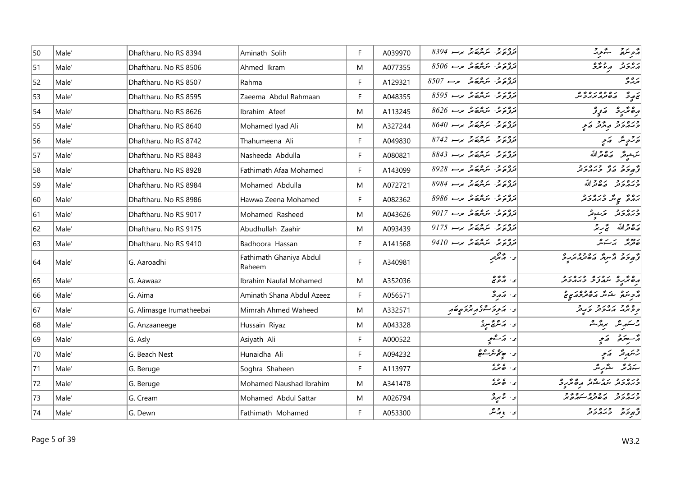| 50 | Male' | Dhaftharu. No RS 8394    | Aminath Solih                     | F. | A039970 | ىرە بەت ئىر شەھ بىر سىر 8394        | أزوبته بثور                                   |
|----|-------|--------------------------|-----------------------------------|----|---------|-------------------------------------|-----------------------------------------------|
| 51 | Male' | Dhaftharu. No RS 8506    | Ahmed Ikram                       | M  | A077355 | ترۇم تى. ئىرتىھ تىر يىسىم 8506      | ەرىرچە<br>پروژو                               |
| 52 | Male' | Dhaftharu. No RS 8507    | Rahma                             | F. | A129321 | تروم تر. سرچھ تر سب 8507            | ر ه و<br>بربر <del>د</del>                    |
| 53 | Male' | Dhaftharu. No RS 8595    | Zaeema Abdul Rahmaan              | F. | A048355 | ىرەپ ئىر ئىر ئەسىر 8595             | ر ه د ه د ه د ه<br>پره تر پر پر ژ س<br>ىمەچ   |
| 54 | Male' | Dhaftharu. No RS 8626    | Ibrahim Afeef                     | M  | A113245 | تروم تمر. سَرْسْھَ تَمْرُ سِرِ 3626 | ە ئەترىق مەردۇ                                |
| 55 | Male' | Dhaftharu. No RS 8640    | Mohamed Iyad Ali                  | M  | A327244 | ترۇم تى. ئىرتىھ تىر يىسىم 8640      | ورەرو مەد ئە كەب                              |
| 56 | Male' | Dhaftharu. No RS 8742    | Thahumeena Ali                    | F  | A049830 | رەر ج. سەھەتمە بىر سە 8742          | ە ئەجە ئىگە ئەسپە                             |
| 57 | Male' | Dhaftharu. No RS 8843    | Nasheeda Abdulla                  | F  | A080821 | تروپر برگردی تر 8843                | ترجيعتر ضكاة والله                            |
| 58 | Male' | Dhaftharu. No RS 8928    | Fathimath Afaa Mohamed            | F  | A143099 | تروپر ترش ترشيد برسه 8928           | و د د ده دره د د                              |
| 59 | Male' | Dhaftharu. No RS 8984    | Mohamed Abdulla                   | M  | A072721 | رەرىز. سەھەتمە بىر سە 8984          | وره رو ده دلله                                |
| 60 | Male' | Dhaftharu. No RS 8986    | Hawwa Zeena Mohamed               | F  | A082362 | تروم تر. سَرْسْھَ تَرْ سِرِ 8986    | ره و په دره رد                                |
| 61 | Male' | Dhaftharu. No RS 9017    | Mohamed Rasheed                   | M  | A043626 | تروير ترش ترشيد برسه 9017           | ورەرو بەيدۇر                                  |
| 62 | Male' | Dhaftharu. No RS 9175    | Abudhullah Zaahir                 | M  | A093439 | ىرەرچە. سەھەتمە بىر سە 9175         | مَدْهُ مَّدْاللَّهُ تَجْرِيْرُ                |
| 63 | Male' | Dhaftharu. No RS 9410    | Badhoora Hassan                   | F  | A141568 | قرۇم تىر. بىر شۇنجى بىر بىيە 9410   | ەددە برىكى                                    |
| 64 | Male' | G. Aaroadhi              | Fathimath Ghaniya Abdul<br>Raheem | F. | A340981 | ی په چرچمی                          | تحوجو أأسرأ المعدا براء                       |
| 65 | Male' | G. Aawaaz                | Ibrahim Naufal Mohamed            | M  | A352036 | ى بە ئەھ                            | ם מים גבנים בנים ביר<br>תוסת בי יינגניב בגבבת |
| 66 | Male' | G. Aima                  | Aminath Shana Abdul Azeez         | F  | A056571 | ى بە ئەر                            | مەر سىم ئىشكى مەم دەرىم                       |
| 67 | Male' | G. Alimasge Irumatheebai | Mimrah Ahmed Waheed               | M  | A332571 | ى مۇچ سىممىز مۇھەر                  | ووتريه ملاوته كريد                            |
| 68 | Male' | G. Anzaaneege            | Hussain Riyaz                     | M  | A043328 | ى ئەر ئىرىنج سېرىگە                 | برسكور مرتزلته                                |
| 69 | Male' | G. Asly                  | Asiyath Ali                       | F  | A000522 | .<br>ا <sup>ی کم</sup> کم شوپه      | أرمستهره وكمعي                                |
| 70 | Male' | G. Beach Nest            | Hunaidha Ali                      | F  | A094232 | ى بەھ ئەربىق                        | 2 <del>.</del> متعديد مقتوم                   |
| 71 | Male' | G. Beruge                | Soghra Shaheen                    | F  | A113977 | ے وے<br>ی- <b>ص</b> مر <sub>ک</sub> | بەدىر شەرش                                    |
| 72 | Male' | G. Beruge                | Mohamed Naushad Ibrahim           | M  | A341478 | ے و ۽<br>ي- ھمجري                   | وره رو برو دو ده ه ده و                       |
| 73 | Male' | G. Cream                 | Mohamed Abdul Sattar              | M  | A026794 | ء ، ء مرچ                           | כנסני נסיכם נסיכי<br>כגונכני גםנגו מיי        |
| 74 | Male' | G. Dewn                  | Fathimath Mohamed                 | F. | A053300 | ای وړش                              | كوجرة ورەرد                                   |
|    |       |                          |                                   |    |         |                                     |                                               |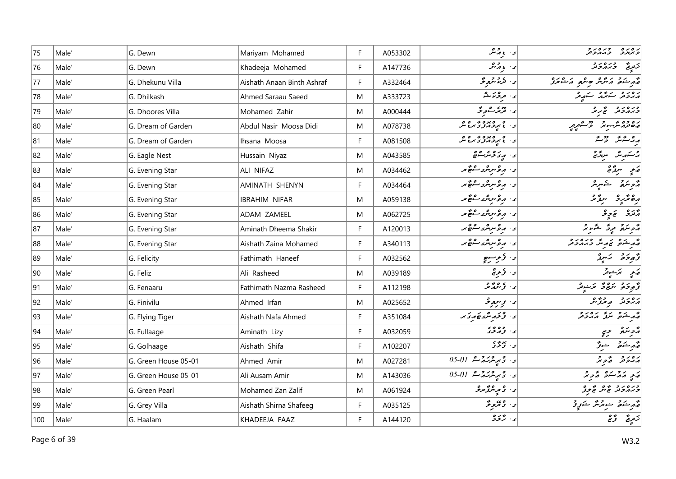| 75  | Male' | G. Dewn              | Mariyam Mohamed            | F           | A053302 | ای وړ چې<br>په د                                                 | و ره ر د<br>رنگرونگر<br>ر ه ر ه<br>د بربرگ |
|-----|-------|----------------------|----------------------------|-------------|---------|------------------------------------------------------------------|--------------------------------------------|
| 76  | Male' | G. Dewn              | Khadeeja Mohamed           | F           | A147736 | ئ وېژىنگر                                                        | و رە ر د<br><i>د بە</i> پەر<br> ترتوقح     |
| 77  | Male' | G. Dhekunu Villa     | Aishath Anaan Binth Ashraf | E           | A332464 | <sub>ى</sub> قرىر مى <sub>رى</sub> مىتى<br>                      | ومرشوق وكرامل وسلمو وكشوبرو                |
| 78  | Male' | G. Dhilkash          | Ahmed Saraau Saeed         | M           | A333723 | $\left  \begin{array}{cc} 2 & 2 \ 2 & 3 \end{array} \right $ ى م | ړه د د سر د سر د                           |
| 79  | Male' | G. Dhoores Villa     | Mohamed Zahir              | M           | A000444 | ء سي پير شعورتمر                                                 | ورەرو پەر                                  |
| 80  | Male' | G. Dream of Garden   | Abdul Nasir Moosa Didi     | M           | A078738 |                                                                  | קס כם ולהיו זה כן המתע                     |
| 81  | Male' | G. Dream of Garden   | Ihsana Moosa               | F           | A081508 | ى ، ، ، <i>ەيدە » سى</i> ش                                       | مەر ئەشقە ئەستە                            |
| 82  | Male' | G. Eagle Nest        | Hussain Niyaz              | M           | A043585 | ی٠ دری وی ده                                                     | بر کے مرکز ہے ۔<br>برائے مرکز ہے           |
| 83  | Male' | G. Evening Star      | ALI NIFAZ                  | M           | A034462 | ى برۇسرىئىمىشگە                                                  | ړنې سرگړي                                  |
| 84  | Male' | G. Evening Star      | <b>AMINATH SHENYN</b>      | F.          | A034464 | ى برۇسرىئىم كەنتىم                                               | ۇ ئىر ئىس ئىش ئىش ئىش                      |
| 85  | Male' | G. Evening Star      | <b>IBRAHIM NIFAR</b>       | M           | A059138 | ى مۇسرىكرى سىۋىم                                                 | رەترىرو سۆتر                               |
| 86  | Male' | G. Evening Star      | ADAM ZAMEEL                | M           | A062725 | ى مۇس ئىر ئىقمىر                                                 | وزه ځې                                     |
| 87  | Male' | G. Evening Star      | Aminath Dheema Shakir      | F           | A120013 | ى مۇسرىكرىش ئۇ                                                   | أأوسم ويرقا لحماس                          |
| 88  | Male' | G. Evening Star      | Aishath Zaina Mohamed      | F           | A340113 | ى برۇس ئىرغىم ئە                                                 | התשים בתית בגם גב                          |
| 89  | Male' | G. Felicity          | Fathimath Haneef           | F           | A032562 | $ s\cdot\hat{\zeta} \leq$                                        | ۇ بۇ ئەن ئەنبەر                            |
| 90  | Male' | G. Feliz             | Ali Rasheed                | M           | A039189 | ى كۆمىتى                                                         | أركمني المركب وتر                          |
| 91  | Male' | G. Fenaaru           | Fathimath Nazma Rasheed    | F           | A112198 | ى بۇ ئەرەپر                                                      | توجوحه لترجوحه لترجيش                      |
| 92  | Male' | G. Finivilu          | Ahmed Irfan                | M           | A025652 | ار . و سره د تخ                                                  | גם גבית הבנית                              |
| 93  | Male' | G. Flying Tiger      | Aishath Nafa Ahmed         | F           | A351084 | ى ئۇ ئۇر شىم قويم ئە                                             | مەر شىم سرقى مەر دىر                       |
| 94  | Male' | G. Fullaage          | Aminath Lizy               | $\mathsf F$ | A032059 | وه وه و،<br>د ۰ تو پرنوی                                         | ړګر سره دي                                 |
| 95  | Male' | G. Golhaage          | Aishath Shifa              | F           | A102207 | پر ہے ہے<br>ی- کی تکرک                                           | و ديدة مشورٌ<br>مرسسة مشورٌ                |
| 96  | Male' | G. Green House 05-01 | Ahmed Amir                 | M           | A027281 | $05 - 01$ د سي تر تر ته شهر سند $\sim$                           | גפיב הביב                                  |
| 97  | Male' | G. Green House 05-01 | Ali Ausam Amir             | M           | A143036 | $05\text{-}01$ د سي مورس محمد سيد ا                              | ג'ב גב בכ בבב                              |
| 98  | Male' | G. Green Pearl       | Mohamed Zan Zalif          | M           | A061924 | <sub>ى</sub> ، ئ <i>ۇمچىنگەنلى</i> رىگە                          | ورەرو پەر تەرو                             |
| 99  | Male' | G. Grey Villa        | Aishath Shirna Shafeeg     | F           | A035125 | <br>  ئ گوشگوچگر                                                 | ۇرىئو ئىرگە ئور                            |
| 100 | Male' | G. Haalam            | KHADEEJA FAAZ              | F           | A144120 | ى بەرگەنى بىر                                                    | زَمرِيَّ تَرْج                             |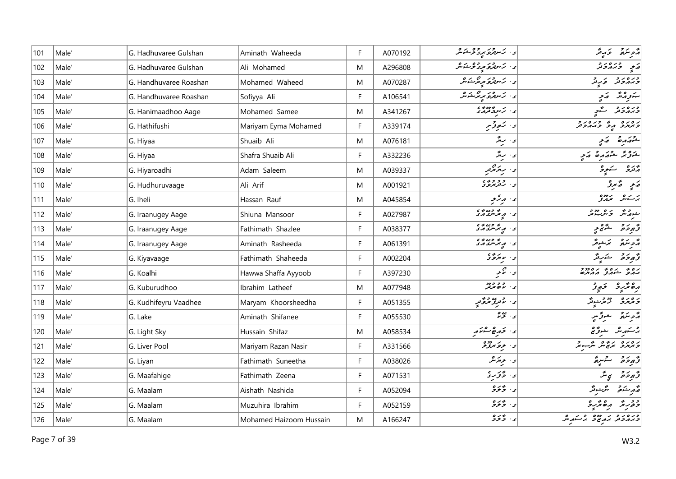| 101 | Male' | G. Hadhuvaree Gulshan  | Aminath Waheeda         | F         | A070192 | ، ئەس <i>لەق بېرى</i> تۇشكەش                                                                                                                                                                                                                    | أأزجر سكرة وأراقد                       |
|-----|-------|------------------------|-------------------------|-----------|---------|-------------------------------------------------------------------------------------------------------------------------------------------------------------------------------------------------------------------------------------------------|-----------------------------------------|
| 102 | Male' | G. Hadhuvaree Gulshan  | Ali Mohamed             | M         | A296808 | ، ئەس <i>لاھ بېرى</i> مۇشكەش                                                                                                                                                                                                                    | أتمر وره دو                             |
| 103 | Male' | G. Handhuvaree Roashan | Mohamed Waheed          | M         | A070287 | ى سىس ئىرى ئىر ئىرىشكىش                                                                                                                                                                                                                         | ورەر دىر د                              |
| 104 | Male' | G. Handhuvaree Roashan | Sofiyya Ali             | F         | A106541 | ى سىستىمى ئېرىشكىشى بىر                                                                                                                                                                                                                         | ينورچر اړمو                             |
| 105 | Male' | G. Hanimaadhoo Aage    | Mohamed Samee           | M         | A341267 | ی کسروگیرون<br>ی کسروگرون                                                                                                                                                                                                                       | ورەرو شې                                |
| 106 | Male' | G. Hathifushi          | Mariyam Eyma Mohamed    | F         | A339174 | ى ئەرۇپر                                                                                                                                                                                                                                        | י סנס שי 1010 ב                         |
| 107 | Male' | G. Hiyaa               | Shuaib Ali              | ${\sf M}$ | A076181 | ى - رىڭر                                                                                                                                                                                                                                        | شمهده كمو                               |
| 108 | Male' | G. Hiyaa               | Shafra Shuaib Ali       | F         | A332236 | ى - رېژ                                                                                                                                                                                                                                         | 2480                                    |
| 109 | Male' | G. Hiyaroadhi          | Adam Saleem             | M         | A039337 | ی ریزنگور                                                                                                                                                                                                                                       | وره سکود                                |
| 110 | Male' | G. Hudhuruvaage        | Ali Arif                | M         | A001921 | و و و و د و<br>ی - رفربرو ی                                                                                                                                                                                                                     | أەسمج وتحسير و                          |
| 111 | Male' | G. Iheli               | Hassan Rauf             | M         | A045854 | ی په دیگو                                                                                                                                                                                                                                       | بر کے معدود کا مردرہ                    |
| 112 | Male' | G. Iraanugey Aage      | Shiuna Mansoor          | F         | A027987 | ا که هم ده ده کارون<br>اگه در مرسمت در کارون                                                                                                                                                                                                    |                                         |
| 113 | Male' | G. Iraanugey Aage      | Fathimath Shazlee       | F         | A038377 | $\begin{array}{l} \mathcal{C}\neq\mathcal{C}\mathcal{D}\stackrel{\mathcal{G}}{\sim}\\\mathcal{S}\curvearrowleft\mathcal{S}\curvearrowright\mathcal{S}\stackrel{\mathcal{G}}{\sim}\mathcal{S} \end{array} \quad\text{and}\quad \mathcal{S}\quad$ | توجوجو مشوج                             |
| 114 | Male' | G. Iraanugey Aage      | Aminath Rasheeda        | F         | A061391 | و وړيږي.<br>د په پرسرۍ در                                                                                                                                                                                                                       | أأوسكم أترشونكر                         |
| 115 | Male' | G. Kiyavaage           | Fathimath Shaheeda      | F         | A002204 | ی کو مرکزی<br>ک                                                                                                                                                                                                                                 | أَوَّ مِجْمَعٍ مِنْ مِنْ مِنْ مِنْ      |
| 116 | Male' | G. Koalhi              | Hawwa Shaffa Ayyoob     | F         | A397230 | ی . گھ ی                                                                                                                                                                                                                                        |                                         |
| 117 | Male' | G. Kuburudhoo          | Ibrahim Latheef         | M         | A077948 | כ כפר<br>צ' מ' <i>ס' א</i> באק                                                                                                                                                                                                                  | رەنزىرو خور                             |
| 118 | Male' | G. Kudhifeyru Vaadhee  | Maryam Khoorsheedha     | F         | A051355 | ى سىم تورىخ تورى<br>ئەسىم تورىخ تىرىخ تور                                                                                                                                                                                                       |                                         |
| 119 | Male' | G. Lake                | Aminath Shifanee        | F         | A055530 | ی بھی ہ<br>ی                                                                                                                                                                                                                                    | أقرمتكم سوقس                            |
| 120 | Male' | G. Light Sky           | Hussain Shifaz          | M         | A058534 | 208.6                                                                                                                                                                                                                                           | ر مسکور میں سیور محمد میں تھے<br>مسلمان |
| 121 | Male' | G. Liver Pool          | Mariyam Razan Nasir     | F         | A331566 | لى موع بردو                                                                                                                                                                                                                                     | رەرە رەھ گەيد                           |
| 122 | Male' | G. Liyan               | Fathimath Suneetha      | F         | A038026 | ى ئەركەش                                                                                                                                                                                                                                        | أَرْجُوحَهُ مُسْتَمَسِيَّةٌ             |
| 123 | Male' | G. Maafahige           | Fathimath Zeena         | F         | A071531 | اء · وَتَوَرِءَ                                                                                                                                                                                                                                 | قەددە بېتر                              |
| 124 | Male' | G. Maalam              | Aishath Nashida         | F         | A052094 | ى بە ئەترى                                                                                                                                                                                                                                      | أقدم مشكوم المستكر مشوقد                |
| 125 | Male' | G. Maalam              | Muzuhira Ibrahim        | F         | A052159 | ى بە ئەنزى                                                                                                                                                                                                                                      | ووريته مصتربره                          |
| 126 | Male' | G. Maalam              | Mohamed Haizoom Hussain | ${\sf M}$ | A166247 | ى بەنتى بى                                                                                                                                                                                                                                      | כמחכת מחשב השתית                        |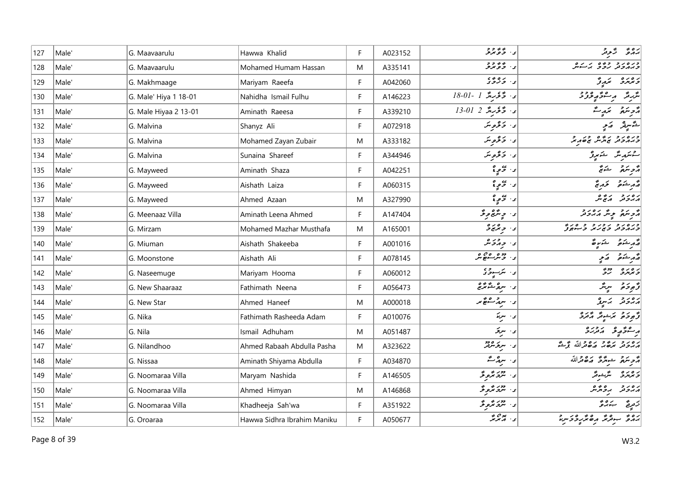| 127 | Male' | G. Maavaarulu         | Hawwa Khalid                | F           | A023152 | ى ئەنھەم                         | برەپچە بەلمىتى بالىر                                                           |
|-----|-------|-----------------------|-----------------------------|-------------|---------|----------------------------------|--------------------------------------------------------------------------------|
| 128 | Male' | G. Maavaarulu         | Mohamed Humam Hassan        | M           | A335141 | ى ئەنھەم 2<br>ى ئەنھەم بىر       | ورەرو وەھ بررى                                                                 |
| 129 | Male' | G. Makhmaage          | Mariyam Raeefa              | F           | A042060 | ى بەرەپە ئ                       | دەرە ئەرۇ                                                                      |
| 130 | Male' | G. Male' Hiya 1 18-01 | Nahidha Ismail Fulhu        | F.          | A146223 | $18-01-1$ د گارگر گا             | شرقه م <sup>0</sup> ور وود                                                     |
| 131 | Male' | G. Male Hiyaa 2 13-01 | Aminath Raeesa              | $\mathsf F$ | A339210 | $13-01$ $2\frac{2}{5}$ ء . و د 3 | ړُوسَيْ پَه پَد                                                                |
| 132 | Male' | G. Malvina            | Shanyz Ali                  | F           | A072918 | ى ئەنتى ئىگە                     | شمسيئر كمبر                                                                    |
| 133 | Male' | G. Malvina            | Mohamed Zayan Zubair        | M           | A333182 | ى كەنتى ئىر                      | כנסגב גם ס בני ב<br>בגהבת התית הסהב                                            |
| 134 | Male' | G. Malvina            | Sunaina Shareef             | F           | A344946 | ى كەنتى بىر                      | - شركة الشركة التيارية<br>أكر جاندة الشركة التيارية<br>أكر جاندة الشركة الشركة |
| 135 | Male' | G. Mayweed            | Aminath Shaza               | F           | A042251 | د به عود ه<br>  د به خوم ه       |                                                                                |
| 136 | Male' | G. Mayweed            | Aishath Laiza               | F           | A060315 | ی می ه<br>ی گوی                  | ومشكوه تحديج                                                                   |
| 137 | Male' | G. Mayweed            | Ahmed Azaan                 | M           | A327990 | ی ځوی <b>؟</b>                   | رەرو رىپە                                                                      |
| 138 | Male' | G. Meenaaz Villa      | Aminath Leena Ahmed         | F           | A147404 | ى - جەمئىھ بوڭر                  | أأدينهم ويتر أرورو                                                             |
| 139 | Male' | G. Mirzam             | Mohamed Mazhar Musthafa     | M           | A165001 | $rac{1}{2}$ $rac{1}{2}$          |                                                                                |
| 140 | Male' | G. Miuman             | Aishath Shakeeba            | $\mathsf F$ | A001016 | ای دردوند                        | وكرشكم شكرة                                                                    |
| 141 | Male' | G. Moonstone          | Aishath Ali                 | F           | A078145 | ى قرى <i>برىق ھى</i> ر           | $\begin{array}{cc} & 2 & 3 \\ 2 & 3 & 3 \end{array}$                           |
| 142 | Male' | G. Naseemuge          | Mariyam Hooma               | F           | A060012 | ى شرىپىدى<br>ئ                   | ر ہ رہ ۔<br>تر ہر تر تر تر                                                     |
| 143 | Male' | G. New Shaaraaz       | Fathimath Neena             | F           | A056473 | ى سرەڭ ئىرىم                     | قەم ئەس ئىس                                                                    |
| 144 | Male' | G. New Star           | Ahmed Haneef                | M           | A000018 | ای سرقره کامح                    | رەرو ئەيدۇ                                                                     |
| 145 | Male' | G. Nika               | Fathimath Rasheeda Adam     | E           | A010076 | ى - سويماً                       | توج و ترجيع مرتز                                                               |
| 146 | Male' | G. Nila               | Ismail Adhuham              | M           | A051487 | ار، جری                          | وحوفي ودره                                                                     |
| 147 | Male' | G. Nilandhoo          | Ahmed Rabaah Abdulla Pasha  | M           | A323622 |                                  | رەرد رود دە دەرالله تم شك                                                      |
| 148 | Male' | G. Nissaa             | Aminath Shiyama Abdulla     | F           | A034870 | ى سەرمىگە                        | أزويتهم سوزة أرقاقه الله                                                       |
| 149 | Male' | G. Noomaraa Villa     | Maryam Nashida              | $\mathsf F$ | A146505 | ى سرچرىگونځ                      | د ۱۵ ده مگرشونگر                                                               |
| 150 | Male' | G. Noomaraa Villa     | Ahmed Himyan                | M           | A146868 | ى سرچرىگرى ئىچە                  | גם גר גרולייל<br>הגבע גרולייל                                                  |
| 151 | Male' | G. Noomaraa Villa     | Khadheeja Sah'wa            | F           | A351922 | <br> د· ترد ترو ترو دٌ           | زَمِرِيحَ سِہُ رُهِ مُ                                                         |
| 152 | Male' | G. Oroaraa            | Hawwa Sidhra Ibrahim Maniku | F           | A050677 | ، پرچ پو                         | ים בי היות היו היו ביתיו                                                       |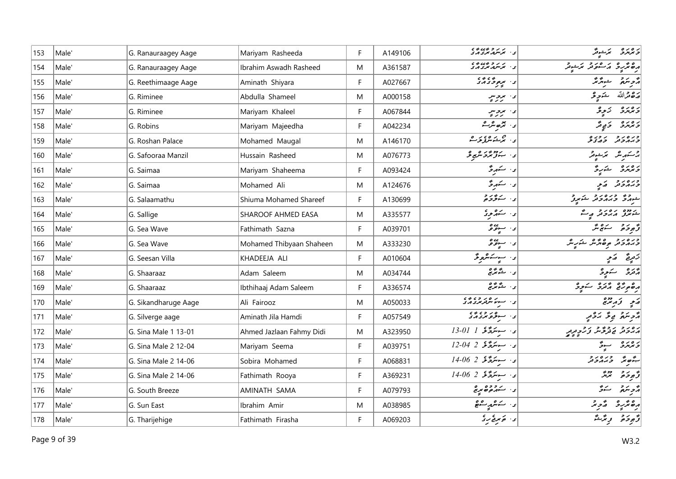| 153 | Male' | G. Ranauraagey Aage  | Mariyam Rasheeda         | F           | A149106 | e s us s v v v - s<br>s n s x n v x - s                   | دیروز ترجیعًا                                                                                       |
|-----|-------|----------------------|--------------------------|-------------|---------|-----------------------------------------------------------|-----------------------------------------------------------------------------------------------------|
| 154 | Male' | G. Ranauraagey Aage  | Ibrahim Aswadh Rasheed   | M           | A361587 | e n cen s v v v v s<br>s n s x n x x v s                  | ە ئەرەر دەر ئەيدە كەن ئەيدە ئەيدارى<br>مەھەمگەرى كەنسىدە ئەيدارى                                    |
| 155 | Male' | G. Reethimaage Aage  | Aminath Shiyara          | F           | A027667 | ای سره دی دی<br>در سره دی دی                              | أأوسكو المسرائير                                                                                    |
| 156 | Male' | G. Riminee           | Abdulla Shameel          | M           | A000158 | ی از مورو بس<br>الزامری                                   | مَە قَرَاللّه شَوَرِ ثَر                                                                            |
| 157 | Male' | G. Riminee           | Mariyam Khaleel          | F           | A067844 | ی از میرو س<br>اراز ۱۶                                    | ويرور ويحيى                                                                                         |
| 158 | Male' | G. Robins            | Mariyam Majeedha         | F           | A042234 | ى ئېچ مەرگ                                                | د ۱۵ د مې تر                                                                                        |
| 159 | Male' | G. Roshan Palace     | Mohamed Maugal           | M           | A146170 | ى بۇيغۇرلۇقرىيە                                           | כנסנכ נכנס<br>כגמכת כמצב                                                                            |
| 160 | Male' | G. Safooraa Manzil   | Hussain Rasheed          | ${\sf M}$   | A076773 | ى سۇرىم <i>ۋىترى تىرى</i> م ئى                            | چرىكىرىش ئىرىدىنى<br>مەسىر                                                                          |
| 161 | Male' | G. Saimaa            | Mariyam Shaheema         | F.          | A093424 | ى سىمەتى                                                  | وحدو خررة                                                                                           |
| 162 | Male' | G. Saimaa            | Mohamed Ali              | M           | A124676 | ى سىمەرىچ                                                 | ورەرو كەير                                                                                          |
| 163 | Male' | G. Salaamathu        | Shiuma Mohamed Shareef   | F.          | A130699 | ى سىۋىرە                                                  | جوړځ وره ده څخه د                                                                                   |
| 164 | Male' | G. Sallige           | SHAROOF AHMED EASA       | M           | A335577 | ى سەھرىمى                                                 | $\stackrel{\circ}{\sim}$ $\stackrel{\circ}{\sim}$ $\stackrel{\circ}{\sim}$ $\stackrel{\circ}{\sim}$ |
| 165 | Male' | G. Sea Wave          | Fathimath Sazna          | F.          | A039701 | ء سعود<br>پ                                               | و ده شوه                                                                                            |
| 166 | Male' | G. Sea Wave          | Mohamed Thibyaan Shaheen | M           | A333230 | ء سعومی<br>پ                                              | ورەرو مەمەر خىرىش                                                                                   |
| 167 | Male' | G. Seesan Villa      | KHADEEJA ALI             | F.          | A010604 | ار، سەسەھ <sub>ى</sub> موقە                               |                                                                                                     |
| 168 | Male' | G. Shaaraaz          | Adam Saleem              | M           | A034744 | ى شەھرىم                                                  | زېږمځ کميمو<br>د دره سکموړه<br>د ترې                                                                |
| 169 | Male' | G. Shaaraaz          | Ibthihaaj Adam Saleem    | F           | A336574 | ى شەھرىم                                                  |                                                                                                     |
| 170 | Male' | G. Sikandharuge Aage | Ali Fairooz              | M           | A050033 | <br>  د ۱۰ سوما مولوموړی لري                              | ړې زېږي                                                                                             |
| 171 | Male' | G. Silverge aage     | Aminath Jila Hamdi       | $\mathsf F$ | A057549 | د ۰ سوده ده ده د ۲                                        | دُّجِ سَمَّةَ فِي ذَكَّرٍ                                                                           |
| 172 | Male' | G. Sina Male 1 13-01 | Ahmed Jazlaan Fahmy Didi | M           | A323950 | $\overline{13\text{-}01}$ اء سوسَرَةَ قر $\overline{1}$ 1 | ره رو بروید و گردید.<br>مهرچند فافرنگس و گردید.                                                     |
| 173 | Male' | G. Sina Male 2 12-04 | Mariyam Seema            | $\mathsf F$ | A039751 | $12-04$ $2\,$ خوسترده كى $\,$ / $\,$                      | رەرە ب                                                                                              |
| 174 | Male' | G. Sina Male 2 14-06 | Sobira Mohamed           | F           | A068831 | $14-06$ $2$ $55  -$                                       | و رە ر د<br><i>د بە</i> گەر<br>سەھ ئىر                                                              |
| 175 | Male' | G. Sina Male 2 14-06 | Fathimath Rooya          | F           | A369231 | $14-06$ $2\,$ د سومترنځ کې $\,$                           | ۇ بوزى<br>ود بر<br>مردگر                                                                            |
| 176 | Male' | G. South Breeze      | AMINATH SAMA             | F.          | A079793 | ى سىدموھىرى                                               | ړ په کارو د                                                                                         |
| 177 | Male' | G. Sun East          | Ibrahim Amir             | M           | A038985 | ى سەشمەت ھ                                                | رە ئەر ئەر ئە                                                                                       |
| 178 | Male' | G. Tharijehige       | Fathimath Firasha        | F           | A069203 | ى پە ئۇمبرقى بەي                                          | قرم وقرقته ويتمش                                                                                    |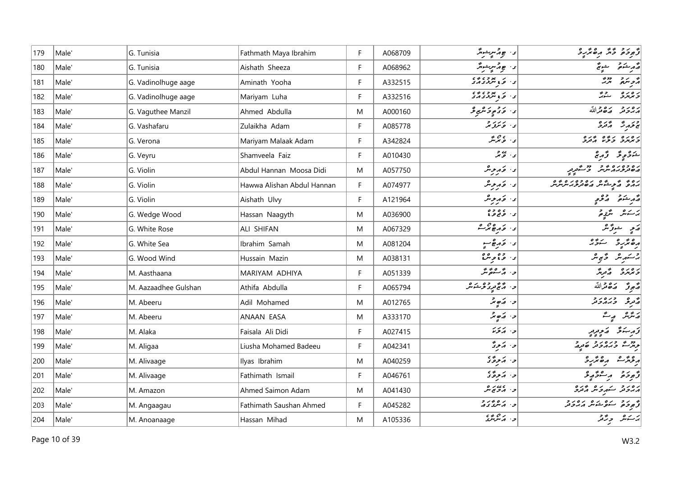| 179 | Male' | G. Tunisia           | Fathmath Maya Ibrahim      | F           | A068709 | ى ھەرسرىشىرگە                    | و دو و و مهم ده                                 |
|-----|-------|----------------------|----------------------------|-------------|---------|----------------------------------|-------------------------------------------------|
| 180 | Male' | G. Tunisia           | Aishath Sheeza             | F           | A068962 | ء ۽ ۾ سرپيونگر                   | أقهر مشرح مشويج                                 |
| 181 | Male' | G. Vadinolhuge aage  | Aminath Yooha              | $\mathsf F$ | A332515 | ر په موده وه<br>د کې مترون در    | دوم<br>پور<br>أثرمز تنعج                        |
| 182 | Male' | G. Vadinolhuge aage  | Mariyam Luha               | F           | A332516 | ر که موده وی<br>د گوه مرکز داد د | ر ه بر ه<br><del>د</del> بر بر و<br>ستەپر       |
| 183 | Male' | G. Vaguthee Manzil   | Ahmed Abdulla              | M           | A000160 | ى ئۇ ئۇ ئەشھۇ                    | وكافرالله<br>بر و بر و<br>م <i>ر</i> کرونر      |
| 184 | Male' | G. Vashafaru         | Zulaikha Adam              | F           | A085778 | ى بە ئەترىپى                     | بحتجميد مجموع                                   |
| 185 | Male' | G. Verona            | Mariyam Malaak Adam        | F.          | A342824 | ى بەھ ئەر                        | נ סנס נשם שנם<br>כמחב בבט העב                   |
| 186 | Male' | G. Veyru             | Shamveela Faiz             | $\mathsf F$ | A010430 | ی بھی جر                         | أخذة وتوقد وترميح                               |
| 187 | Male' | G. Violin            | Abdul Hannan Moosa Didi    | M           | A057750 | ى ئەمرىپەش                       | ره ده ره پر در در گردد.<br>پرچند در سرس و گردد. |
| 188 | Male' | G. Violin            | Hawwa Alishan Abdul Hannan | F           | A074977 | ى ئەمرىرىگە                      | ره ۶ گردگان ره ۲۵۶۶ و ۲                         |
| 189 | Male' | G. Violin            | Aishath Ulvy               | F           | A121964 | ى ئەمرىرىگە                      | أقهر شده المرقومي                               |
| 190 | Male' | G. Wedge Wood        | Hassan Naagyth             | M           | A036900 | 0,000,000                        | يَرْسَوْ سَمَّعْهِ مُحْ                         |
| 191 | Male' | G. White Rose        | ALI SHIFAN                 | M           | A067329 | ى ئوم ھوگ                        | أريمو الشوراكيل                                 |
| 192 | Male' | G. White Sea         | Ibrahim Samah              | M           | A081204 | ى ئۇرغۇپ                         | ەرھ ئ <sup>ۆ</sup> ر ۋ<br>سەۋر                  |
| 193 | Male' | G. Wood Wind         | Hussain Mazin              | M           | A038131 | ی وه ویده                        | ر مس <sub>و</sub> ر گرم گرم می میگر<br>مسیر میر |
| 194 | Male' | M. Aasthaana         | MARIYAM ADHIYA             | F           | A051339 | ى بە ھەم ئىر                     | و و ده و و پر                                   |
| 195 | Male' | M. Aazaadhee Gulshan | Athifa Abdulla             | F           | A065794 | ر به په <i>دو</i> و شکر ش        | صمجوقر صكاه تمالله                              |
| 196 | Male' | M. Abeeru            | Adil Mohamed               | M           | A012765 | د . مَه پر                       | ە ئىرى<br>و رە ر د<br><i>د بە</i> پەر           |
| 197 | Male' | M. Abeeru            | ANAAN EASA                 | M           | A333170 | د . م <i>ه ه</i> نر              | أيمترش ويسته                                    |
| 198 | Male' | M. Alaka             | Faisala Ali Didi           | $\mathsf F$ | A027415 | ە بەتەت                          | أقارحنا فالمتحافية                              |
| 199 | Male' | M. Aligaa            | Liusha Mohamed Badeeu      | F           | A042341 | د . مَرْدِهٌ                     | כת כנסנד בנורד לקב                              |
| 200 | Male' | M. Alivaage          | Ilyas Ibrahim              | M           | A040259 | و· مَعِرةٌ وُ                    | ودمراك وكالمرباد                                |
| 201 | Male' | M. Alivaage          | Fathimath Ismail           | F           | A046761 | و· مَعِرةٌ وُ                    | ژوده و عوړو                                     |
| 202 | Male' | M. Amazon            | Ahmed Saimon Adam          | M           | A041430 | ے پر دے مگر<br>ح• مرکز مگر       | أرور ومستمر ومداردة                             |
| 203 | Male' | M. Angaagau          | Fathimath Saushan Ahmed    | F.          | A045282 | ر ده در د                        | ه د د ده ده ده ده د و                           |
| 204 | Male' | M. Anoanaage         | Hassan Mihad               | M           | A105336 | و . پر چړي                       | يزكتاش ورتجر                                    |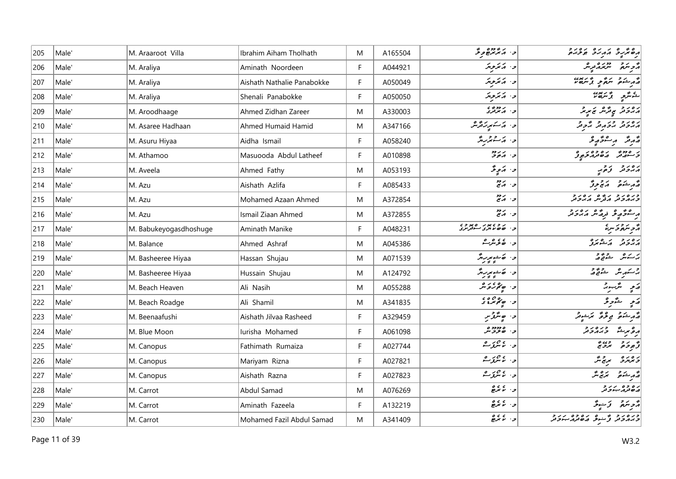| 205 | Male' | M. Araaroot Villa      | Ibrahim Aiham Tholhath     | M  | A165504 | و· مەمدىر ھەمەمى                                                                        |                                                   |
|-----|-------|------------------------|----------------------------|----|---------|-----------------------------------------------------------------------------------------|---------------------------------------------------|
| 206 | Male' | M. Araliya             | Aminath Noordeen           | F. | A044921 | والمركز كرواكر                                                                          | ה ביתה מגריתיית                                   |
| 207 | Male' | M. Araliya             | Aishath Nathalie Panabokke | F. | A050049 | والمركز كمرجواتر                                                                        | התשים יותר ואינט                                  |
| 208 | Male' | M. Araliya             | Shenali Panabokke          | F  | A050050 | والمركزونز                                                                              | شرنتر ومعه                                        |
| 209 | Male' | M. Aroodhaage          | Ahmed Zidhan Zareer        | M  | A330003 | ر دوده و<br>و۰ ه مرتور                                                                  | أزور و پوترس پَر پر                               |
| 210 | Male' | M. Asaree Hadhaan      | <b>Ahmed Humaid Hamid</b>  | M  | A347166 | ە · <b>ئەسىمىرىكەش</b>                                                                  | גם גב בלקבל הבב                                   |
| 211 | Male' | M. Asuru Hiyaa         | Aidha Ismail               | F  | A058240 | د . م <i>ەستىرى</i> رى <i>ر</i>                                                         | ويروثه وكالحويز                                   |
| 212 | Male' | M. Athamoo             | Masuooda Abdul Latheef     | F. | A010898 | ה זה בד<br>הי                                                                           | ر مدده ره ده در ه<br>د سهرتر مصرم ترجي            |
| 213 | Male' | M. Aveela              | Ahmed Fathy                | M  | A053193 | و٠ مَءٍ وَّ                                                                             | دەر د تەدىر                                       |
| 214 | Male' | M. Azu                 | Aishath Azlifa             | F  | A085433 | و٠ دريج                                                                                 | ومرشكة ومتحوق                                     |
| 215 | Male' | M. Azu                 | Mohamed Azaan Ahmed        | M  | A372854 | ה המץ                                                                                   | ورەر د بر دەر دەر د<br>دېرمردىر مائرىش مەردىر     |
| 216 | Male' | M. Azu                 | Ismail Ziaan Ahmed         | M  | A372855 | ה המץ                                                                                   | ړ ه څو په غږو په د د د د                          |
| 217 | Male' | M. Babukeyogasdhoshuge | Aminath Manike             | F  | A048231 | د د د د د د د د د د د<br>د ۱۰ کاکام افراد کام سوفرس                                     | و متعدد من                                        |
| 218 | Male' | M. Balance             | Ahmed Ashraf               | M  | A045386 | و، ھۆس                                                                                  | برەرد برشىر                                       |
| 219 | Male' | M. Basheeree Hiyaa     | Hassan Shujau              | M  | A071539 | و <sub>ا</sub> کاشوبرر پر<br>تاریخ                                                      | پر کے مگر مقصورت                                  |
| 220 | Male' | M. Basheeree Hiyaa     | Hussain Shujau             | M  | A124792 | و <sub>ن</sub> کاڪوبر ريگر<br>په په په ر                                                | جر سکور میں مقصورت کے م                           |
| 221 | Male' | M. Beach Heaven        | Ali Nasih                  | M  | A055288 | <sub>و</sub> . ھەممەر ئەس                                                               | أقدمي مترجين                                      |
| 222 | Male' | M. Beach Roadge        | Ali Shamil                 | M  | A341835 | 52280.5                                                                                 | أركمتم المتقرفر                                   |
| 223 | Male' | M. Beenaafushi         | Aishath Jilvaa Rasheed     | F  | A329459 | د په عدد مر                                                                             | مەرىشە يەھە ئەجەم                                 |
| 224 | Male' | M. Blue Moon           | lurisha Mohamed            | F. | A061098 | ם בכברים<br>כי סי <i>ב</i> כית                                                          | دوبرے درورد                                       |
| 225 | Male' | M. Canopus             | Fathimath Rumaiza          | F  | A027744 | ى ، ئەنتىرى <sup>م</sup>                                                                | و ده دره<br>وگړو ده سرونځ                         |
| 226 | Male' | M. Canopus             | Mariyam Rizna              | F  | A027821 | ى ، ئەنتەي <sub>ۇ</sub> ر ھ                                                             | ر ه بر ه<br><del>د</del> بربر و<br>ىرى مىگە       |
| 227 | Male' | M. Canopus             | Aishath Razna              | F. | A027823 | ى ئەنترىر ھ                                                                             | ۇرمۇم ئىرچىگە                                     |
| 228 | Male' | M. Carrot              | Abdul Samad                | M  | A076269 | و . ع يو ه                                                                              | ر ٥ ۶ و ۵ بر د ۶<br>پره توپر سنوتو تو             |
| 229 | Male' | M. Carrot              | Aminath Fazeela            | F  | A132219 | $\overset{o}{\phantom{o}}\,\overset{c}{\phantom{o}}\,\overset{c}{\phantom{o}}\,\cdot\,$ | د څر سر تر نو تر                                  |
| 230 | Male' | M. Carrot              | Mohamed Fazil Abdul Samad  | M  | A341409 | و . ع نو ه                                                                              | 2000 - 2000 - 2000 1000<br>2000 - 3000 5000 10000 |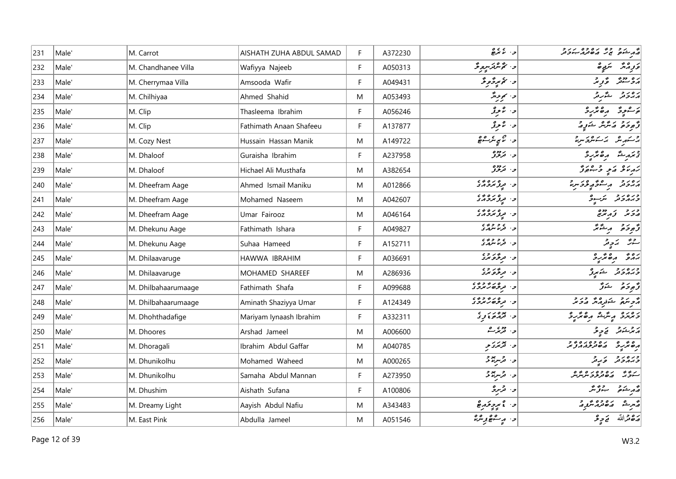| 231 | Male' | M. Carrot           | AISHATH ZUHA ABDUL SAMAD | F         | A372230 | د . کامرچ                                                     | ه مشروح وه ره وه رر و<br>هم مشرح مح کم ها تعم           |
|-----|-------|---------------------|--------------------------|-----------|---------|---------------------------------------------------------------|---------------------------------------------------------|
| 232 | Male' | M. Chandhanee Villa | Wafiyya Najeeb           | F         | A050313 | <br> و· ئۇمىزلەرسومۇ                                          | وَوِ ۾ ٿُر سَمَعِ ڦ                                     |
| 233 | Male' | M. Cherrymaa Villa  | Amsooda Wafir            | F         | A049431 | ر ، <sub>گوُم</sub> رِدَّهِ دَ                                | رە دەپر ئەربە                                           |
| 234 | Male' | M. Chilhiyaa        | Ahmed Shahid             | M         | A053493 | و· محولاتر<br>مرم                                             | رەر ئەرتە                                               |
| 235 | Male' | M. Clip             | Thasleema Ibrahim        | F         | A056246 | د . ، عرو                                                     | أبر عبورة المصريرة                                      |
| 236 | Male' | M. Clip             | Fathimath Anaan Shafeeu  | F         | A137877 | د. ءُ دِرْ                                                    | توجوحو أيكرش كورير                                      |
| 237 | Male' | M. Cozy Nest        | Hussain Hassan Manik     | M         | A149722 | - ريم پي ترگ مي                                               | ج سەر شەك بەسكەتلەر بار                                 |
| 238 | Male' | M. Dhaloof          | Guraisha Ibrahim         | F         | A237958 | و· ترووه                                                      | تحترمت رەتمر                                            |
| 239 | Male' | M. Dhaloof          | Hichael Ali Musthafa     | M         | A382654 | و· تروه و                                                     | رَ پرندى پرى دەرە                                       |
| 240 | Male' | M. Dheefram Aage    | Ahmed Ismail Maniku      | M         | A012866 | و۰ وروپورو دی                                                 | أرور وبالمحوز والمراد                                   |
| 241 | Male' | M. Dheefram Aage    | Mohamed Naseem           | M         | A042607 | د ۰ مرو بره و د ،<br>  د ۰ مرو برو ار د                       | دره در در سرگرادی<br>  در مرد در سرگرادی                |
| 242 | Male' | M. Dheefram Aage    | Umar Fairooz             | ${\sf M}$ | A046164 | و. مور مره وي                                                 | ورو وده                                                 |
| 243 | Male' | M. Dhekunu Aage     | Fathimath Ishara         | F         | A049827 | و . قر <i>ما مرور</i> ي                                       | أقهوحكم الرستيمر                                        |
| 244 | Male' | M. Dhekunu Aage     | Suhaa Hameed             | F         | A152711 | ه د ۱۶۶۶<br>د ۰ تر <i>ما س</i> رد د                           |                                                         |
| 245 | Male' | M. Dhilaavaruge     | HAWWA IBRAHIM            | F         | A036691 | و٠ توقرة دي                                                   |                                                         |
| 246 | Male' | M. Dhilaavaruge     | MOHAMED SHAREEF          | ${\sf M}$ | A286936 | و٠ تروگونو د ٢                                                | ورەرو شىرو                                              |
| 247 | Male' | M. Dhilbahaarumaage | Fathimath Shafa          | F         | A099688 | د ۰ ورو و و ۰ و                                               | قَ جو حريجة الشوقر                                      |
| 248 | Male' | M. Dhilbahaarumaage | Aminath Shaziyya Umar    | F         | A124349 | و۰ مروره ژور و                                                | הכיתם בונקרה הכית                                       |
| 249 | Male' | M. Dhohthadafige    | Mariyam Iynaash Ibrahim  | F         | A332311 | د. بده ربر ع                                                  | وبرمرو برشو برەبرى                                      |
| 250 | Male' | M. Dhoores          | Arshad Jameel            | M         | A006600 | و . دوی ه                                                     | پر چرڪ پر سي پي تحري                                    |
| 251 | Male' | M. Dhoragali        | Ibrahim Abdul Gaffar     | ${\sf M}$ | A040785 | و· قريم کامو                                                  |                                                         |
| 252 | Male' | M. Dhunikolhu       | Mohamed Waheed           | ${\sf M}$ | A000265 | د . ترسر پور                                                  | ورەرو كەيتر                                             |
| 253 | Male' | M. Dhunikolhu       | Samaha Abdul Mannan      | F         | A273950 | د . قرمبر <i>یند</i> و                                        | ر د د د د د د و د و د و.<br>سود پر اړه تر و د سرس       |
| 254 | Male' | M. Dhushim          | Aishath Sufana           | F         | A100806 | <sub>ح</sub> . قریرد <sub>گ</sub>                             | ە ئەيدىنى ئىستىر ئىگر                                   |
| 255 | Male' | M. Dreamy Light     | Aayish Abdul Nafiu       | M         | A343483 | $\left  \begin{array}{cc} c & c \\ c & d \end{array} \right $ | ره وه د و<br>پره ترو شر <sub>ک</sub> ر<br>پھ ہر بے<br>م |
| 256 | Male' | M. East Pink        | Abdulla Jameel           | ${\sf M}$ | A051546 | اه . روم هو وره و                                             | پر ۱۵ پر دی کلیم سی تو تحر                              |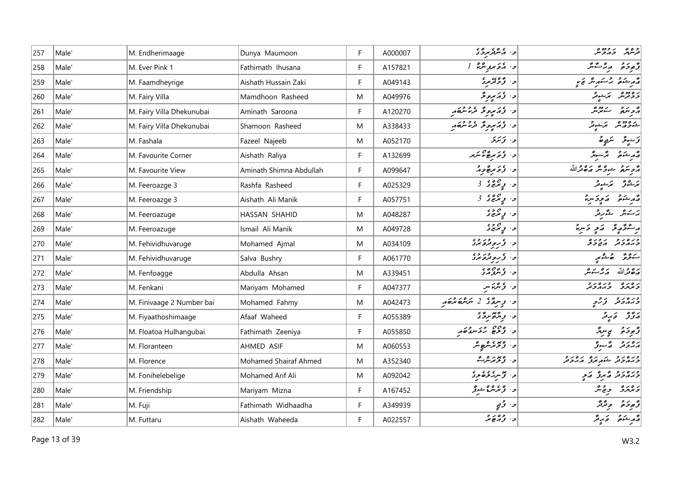| 257 | Male' | M. Endherimaage           | Dunya Maumoon           | F           | A000007 | و . م مرکز مرکز ک            | כם מ' קברבים.<br>נקייתות וכו <i>ח</i> ביות                                                                     |
|-----|-------|---------------------------|-------------------------|-------------|---------|------------------------------|----------------------------------------------------------------------------------------------------------------|
| 258 | Male' | M. Ever Pink 1            | Fathimath Ihusana       | F           | A157821 | و· مۇموسى مىدا               | ژوده مدشش                                                                                                      |
| 259 | Male' | M. Faamdheyrige           | Aishath Hussain Zaki    | E           | A049143 | وسمح وميموري                 | و من من المسكر من المحمد المحمد المحمد المحمد المحمد المحمد المحمد المحمد المحمد المحمد المحمد المحمد المحمد ا |
| 260 | Male' | M. Fairy Villa            | Mamdhoon Rasheed        | M           | A049976 | د . د د برو د گ              | ىرەدە بىر<br>ئەر بىر ئىسىمى                                                                                    |
| 261 | Male' | M. Fairy Villa Dhekunubai | Aminath Saroona         | F           | A120270 | و· وأربره و وروزه المقدر     | سەچرىتر<br>ړې سره                                                                                              |
| 262 | Male' | M. Fairy Villa Dhekunubai | Shamoon Rasheed         | M           | A338433 | والمحمد مروثة المراسمة مر    | شەھ بەر ئەسىر تەر                                                                                              |
| 263 | Male' | M. Fashala                | Fazeel Najeeb           | M           | A052170 | وسى كمنكر                    | ۇخو كىرىم                                                                                                      |
| 264 | Male' | M. Favourite Corner       | Aishath Raliya          | F           | A132699 | وسؤ وتحييظ ما مكرس           | أقرم شكوة المحر سوائح                                                                                          |
| 265 | Male' | M. Favourite View         | Aminath Shimna Abdullah | F           | A099647 | و· د کار پره و د             | مُ وسَعِدٍ شَوْعَتُرَ مَدَّهُ مَدَاللَّهُ                                                                      |
| 266 | Male' | M. Feeroazge 3            | Rashfa Rasheed          | F           | A025329 | 3.3899.5                     | <i>يُرَڪُوُنَ - يَرَڪُونُرُ</i>                                                                                |
| 267 | Male' | M. Feeroazge 3            | Aishath Ali Manik       | F           | A057751 | ه . د چرچ د 3                |                                                                                                                |
| 268 | Male' | M. Feeroazuge             | HASSAN SHAHID           | M           | A048287 | و۰ و پرېږي<br> و۰ و پرې      | ىر سەندار ئىقلار قىرا<br>مەسىر                                                                                 |
| 269 | Male' | M. Feeroazuge             | Ismail Ali Manik        | M           | A049728 | وسي ووه                      | ر مو د د د د دره                                                                                               |
| 270 | Male' | M. Fehividhuvaruge        | Mohamed Ajmal           | M           | A034109 | د· ڈرویزویمز                 | ورەرو رورە<br><i>دىد</i> رونر <mark>ئ</mark> ى                                                                 |
| 271 | Male' | M. Fehividhuvaruge        | Salva Bushry            | F           | A061770 | ه و وروه<br>او و مرد فرونده  | ستوخر كالشير                                                                                                   |
| 272 | Male' | M. Fenfoagge              | Abdulla Ahsan           | M           | A339451 | و و وه وه و و                | رە داللە ئەرىسەر                                                                                               |
| 273 | Male' | M. Fenkani                | Mariyam Mohamed         | F           | A047377 | <mark>و، ۇنترىئ</mark> ىبر   | נסנס כנסנכ<br>כ <i>אתכ כג</i> וכנ                                                                              |
| 274 | Male' | M. Finivaage 2 Number bai | Mohamed Fahmy           | M           | A042473 | و وسعد 2 شهر در              | وره دو دو                                                                                                      |
| 275 | Male' | M. Fiyaathoshimaage       | Afaaf Waheed            | F           | A055389 | د· و پژونروی                 | روه وَرِدْ                                                                                                     |
| 276 | Male' | M. Floatoa Hulhangubai    | Fathimath Zeeniya       | $\mathsf F$ | A055850 |                              | توجوختم بمج سرمدٌ                                                                                              |
| 277 | Male' | M. Floranteen             | AHMED ASIF              | M           | A060553 | د . ومور مع هر               |                                                                                                                |
| 278 | Male' | M. Florence               | Mohamed Shairaf Ahmed   | M           | A352340 | د . ۇنج <sub>ى</sub> ر شرىئە | ورەر دېمبرو رەر دې                                                                                             |
| 279 | Male' | M. Fonihelebelige         | Mohamed Arif Ali        | M           | A092042 | و. تر مربر د <i>کامر</i> ی   |                                                                                                                |
| 280 | Male' | M. Friendship             | Mariyam Mizna           | F           | A167452 | والمح ترمره والمسوفر         | נ סנים - כיבית<br>בינו <i>נים - כ</i> יבית                                                                     |
| 281 | Male' | M. Fuji                   | Fathimath Widhaadha     | F           | A349939 | و· تۇيچ                      | وٌمودَهُ وِتَرْتَرُ                                                                                            |
| 282 | Male' | M. Futtaru                | Aishath Waheeda         | F           | A022557 | و . وه د و<br>و . و د ه ه بر | مەرشكى قاياق                                                                                                   |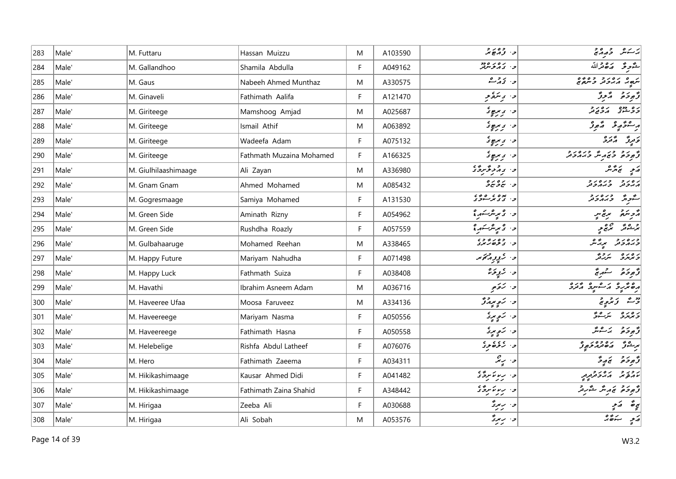| 283 | Male' | M. Futtaru           | Hassan Muizzu            | M           | A103590 | $5000 - 5$                                   | يركسكس ومرمج                               |
|-----|-------|----------------------|--------------------------|-------------|---------|----------------------------------------------|--------------------------------------------|
| 284 | Male' | M. Gallandhoo        | Shamila Abdulla          | F           | A049162 | ر بره بر ۱۶۵<br>و۰ که د توسربر               | حَدَّدتَ مَەصْرَاللَّه                     |
| 285 | Male' | M. Gaus              | Nabeeh Ahmed Munthaz     | M           | A330575 | د کارگ                                       | ر مره د د د د ده ده م                      |
| 286 | Male' | M. Ginaveli          | Fathimath Aalifa         | F           | A121470 | وسي سَرْءَ مِهِ                              | وٌوِدَءُ "دُوِدٌ                           |
| 287 | Male' | M. Giriteege         | Mamshoog Amjad           | M           | A025687 | او٠ و مرج د<br>________                      | ره دده ده رو<br>تروشنی مروم تر             |
| 288 | Male' | M. Giriteege         | Ismail Athif             | M           | A063892 |                                              | و شرقه قرار و مربور                        |
| 289 | Male' | M. Giriteege         | Wadeefa Adam             | F           | A075132 |                                              | ر په پېښو ده کرده<br>په پېښو د کرده        |
| 290 | Male' | M. Giriteege         | Fathmath Muzaina Mohamed | $\mathsf F$ | A166325 | ا د ۰ و مربع د<br>سد ۱۰ د بر                 | و و د در مر در در د                        |
| 291 | Male' | M. Giulhilaashimaage | Ali Zayan                | M           | A336980 | د· <sub>و</sub> ړېږ ترېږد                    | أەستى ئەركىس                               |
| 292 | Male' | M. Gnam Gnam         | Ahmed Mohamed            | M           | A085432 | و٠ سےوگھو                                    | رەر درەرد<br>גגבىر <i>בג</i> גבىر          |
| 293 | Male' | M. Gogresmaage       | Samiya Mohamed           | F           | A131530 | بره ده و ده و<br>د کرکر سوری                 | و رە ر د<br>تر پر پر تر<br>سڈر پڑ          |
| 294 | Male' | M. Green Side        | Aminath Rizny            | F           | A054962 | <sub>ج∙ گ</sub> وپېر مشرقه و                 | أأدوسكم والمحاسر                           |
| 295 | Male' | M. Green Side        | Rushdha Roazly           | F           | A057559 | د <sub>ش</sub> م و پر پر پر م                | ر وہ میں صریح میں<br>مرشوفٹر میں جو می     |
| 296 | Male' | M. Gulbahaaruge      | Mohamed Reehan           | M           | A338465 | وه ره و و و<br>و · و <del>و</del> ه ر بو و ع | ورەرو برگە                                 |
| 297 | Male' | M. Happy Future      | Mariyam Nahudha          | F           | A071498 | و کی پوږو گانو پر                            | ر ہ ر ہ<br>تر پربرو سربرتر                 |
| 298 | Male' | M. Happy Luck        | Fathmath Suiza           | F           | A038408 | ار <sub>س</sub> ر ديگر                       | و وده شهری                                 |
| 299 | Male' | M. Havathi           | Ibrahim Asneem Adam      | M           | A036716 | <sub>ح</sub> ، سَرَحَ <sub>حج</sub>          |                                            |
| 300 | Male' | M. Haveeree Ufaa     | Moosa Faruveez           | M           | A334136 | <sub>و</sub> . <sub>سكيم</sub> پرېژنځ        | اژم زېر <sub>و</sub> ب <sub>چ</sub>        |
| 301 | Male' | M. Haveereege        | Mariyam Nasma            | F           | A050556 | ح• سڪي پيري<br>ح                             | رەرە شەق                                   |
| 302 | Male' | M. Haveereege        | Fathimath Hasna          | $\mathsf F$ | A050558 |                                              | ۇۋۇۋە بەسەت                                |
| 303 | Male' | M. Helebelige        | Rishfa Abdul Latheef     | F           | A076076 | $rac{c}{55000}$                              | برشۇ مەدەم كېرو                            |
| 304 | Male' | M. Hero              | Fathimath Zaeema         | $\mathsf F$ | A034311 | اح میں<br>ا                                  | وٌوِدَهُ نَمَدٍدٌ                          |
| 305 | Male' | M. Hikikashimaage    | Kausar Ahmed Didi        | F           | A041482 | و سرما مردمی<br>مسرم                         | ر ور و مرور و<br>۱۶۸۰ قریبر از در در در در |
| 306 | Male' | M. Hikikashimaage    | Fathimath Zaina Shahid   | F           | A348442 |                                              | وتجودة تمريش تشرقه                         |
| 307 | Male' | M. Hirigaa           | Zeeba Ali                | F           | A030688 | و . ریودگا<br>زر                             |                                            |
| 308 | Male' | M. Hirigaa           | Ali Sobah                | M           | A053576 | و- ریردٌ<br>رس                               |                                            |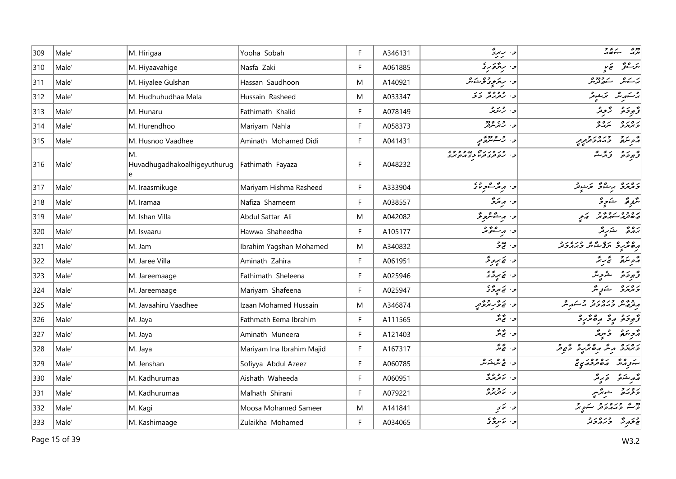| 309 | Male' | M. Hirigaa                         | Yooha Sobah               | F           | A346131 | و . ریودٌ<br>مسرور                                | $262 - 22$                                                                       |
|-----|-------|------------------------------------|---------------------------|-------------|---------|---------------------------------------------------|----------------------------------------------------------------------------------|
| 310 | Male' | M. Hiyaavahige                     | Nasfa Zaki                | E           | A061885 | - رېژو کړ                                         | يره پ <sup>و</sup> پر                                                            |
| 311 | Male' | M. Hiyalee Gulshan                 | Hassan Saudhoon           | M           | A140921 | <sub>و: ب</sub> ەترى <sub>چ</sub> ە ئىشكەش        | بر کشور کردوده                                                                   |
| 312 | Male' | M. Hudhuhudhaa Mala                | Hussain Rasheed           | M           | A033347 | و . رقورتو ترتو                                   | يز سكور مكر الكر كار من المحر و مر                                               |
| 313 | Male' | M. Hunaru                          | Fathimath Khalid          | $\mathsf F$ | A078149 | والمرجميز                                         | وٌمِودَةٌ رُّمِيْرٌ                                                              |
| 314 | Male' | M. Hurendhoo                       | Mariyam Nahla             | F           | A058373 | و ، و و و ود<br>و ، ريمرس                         | رەرە رەپر                                                                        |
| 315 | Male' | M. Husnoo Vaadhee                  | Aminath Mohamed Didi      | F           | A041431 | د ، ر حمد مردم <sub>مو</sub>                      | أأأدبره وبرود وترمرمر                                                            |
| 316 | Male' | М.<br>Huvadhugadhakoalhigeyuthurug | Fathimath Fayaza          | F           | A048232 | و د ور د ره عدوو و د<br>و د گونوی نوم نوی پره مون | وُجِرَح وَتَرَبَّ                                                                |
| 317 | Male' | M. Iraasmikuge                     | Mariyam Hishma Rasheed    | F           | A333904 | د۰ مربر مشور دی<br>د                              | رەرە بەشۇ ئەشەر                                                                  |
| 318 | Male' | M. Iramaa                          | Nafiza Shameem            | F           | A038557 | و. م <sup>ب</sup> ردٌ                             | شرة خ <i>ود</i>                                                                  |
| 319 | Male' | M. Ishan Villa                     | Abdul Sattar Ali          | M           | A042082 | د· مەشقىقبوقە                                     |                                                                                  |
| 320 | Male' | M. Isvaaru                         | Hawwa Shaheedha           | F           | A105177 | <sub>و</sub> . م <sub>و</sub> سفوند               |                                                                                  |
| 321 | Male' | M. Jam                             | Ibrahim Yagshan Mohamed   | M           | A340832 | و · مح و                                          | 0 <i>4 0 ر</i> ه مه 7 <i>0 10 رود</i><br>پر <i>هنگردی بر</i> وشوس <i>5 بر</i> وی |
| 322 | Male' | M. Jaree Villa                     | Aminath Zahira            | F           | A061951 | ه کامپورگ                                         |                                                                                  |
| 323 | Male' | M. Jareemaage                      | Fathimath Sheleena        | F           | A025946 | $\frac{1}{2}$                                     | و رو و و درو<br>مرحمد و درو<br>دوده د د پر                                       |
| 324 | Male' | M. Jareemaage                      | Mariyam Shafeena          | E           | A025947 | وستجميرة تمي                                      | دەرە شۇرىگە                                                                      |
| 325 | Male' | M. Javaahiru Vaadhee               | Izaan Mohamed Hussain     | M           | A346874 | و به نوگر برگرگور                                 | ה כל פני הרב ב באת ית                                                            |
| 326 | Male' | M. Jaya                            | Fathmath Eema Ibrahim     | F           | A111565 | والمحاجز                                          | ژوده رژ ره ژرد                                                                   |
| 327 | Male' | M. Jaya                            | Aminath Muneera           | $\mathsf F$ | A121403 | أواستجابش                                         | أروسكم والمريكر                                                                  |
| 328 | Male' | M. Jaya                            | Mariyam Ina Ibrahim Majid | $\mathsf F$ | A167317 | د . ق پر                                          | כמתכ תייל תסילתכ לפת                                                             |
| 329 | Male' | M. Jenshan                         | Sofiyya Abdul Azeez       | F           | A060785 | <sub>ج∙ قح</sub> ماهرشکرهر                        | ג פי גפרפנגם                                                                     |
| 330 | Male' | M. Kadhurumaa                      | Aishath Waheeda           | F           | A060951 | وسلم ووه                                          | أممر شوة وكرمم                                                                   |
| 331 | Male' | M. Kadhurumaa                      | Malhath Shirani           | E           | A079221 | ر د ده.<br>و۰ ماتربرگ                             | رەرد ھوترس<br><i>دېن</i> م                                                       |
| 332 | Male' | M. Kagi                            | Moosa Mohamed Sameer      | M           | A141841 | و، ئمى                                            | מ 2 2000 מקב                                                                     |
| 333 | Male' | M. Kashimaage                      | Zulaikha Mohamed          | F           | A034065 | د· ئۈيرگ <sup>ى</sup>                             | جو پر جر در در د                                                                 |
|     |       |                                    |                           |             |         |                                                   |                                                                                  |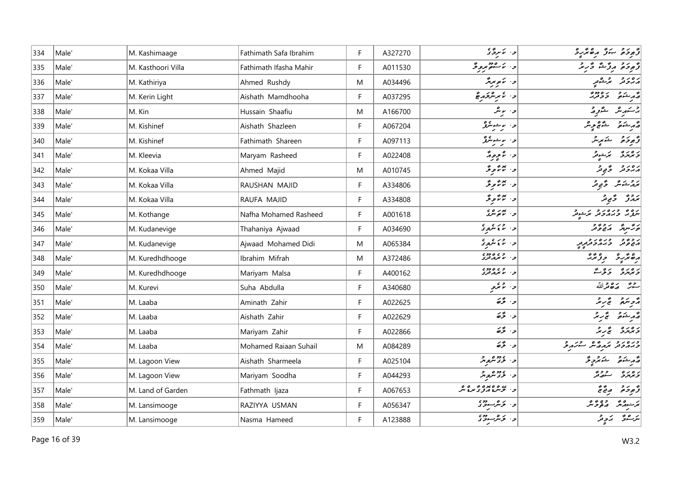| 334 | Male' | M. Kashimaage      | Fathimath Safa Ibrahim | F  | A327270 | د . ئايردگا                                | قەدە بىق مەھترىد                                        |
|-----|-------|--------------------|------------------------|----|---------|--------------------------------------------|---------------------------------------------------------|
| 335 | Male' | M. Kasthoori Villa | Fathimath Ifasha Mahir | F  | A011530 | د . ئاسىۋېروڭر                             | توجوجو برؤيئة ومربز                                     |
| 336 | Male' | M. Kathiriya       | Ahmed Rushdy           | M  | A034496 | د· مأمومبردگر                              | رەرد دەپر                                               |
| 337 | Male' | M. Kerin Light     | Aishath Mamdhooha      | F  | A037295 | والمعبر مركز وهجرها                        | و در دودو.<br>مهر شوم حام دور                           |
| 338 | Male' | M. Kin             | Hussain Shaafiu        | M  | A166700 | اح <sub>ز موبقر</sub><br>——                | برسكريش المشورة                                         |
| 339 | Male' | M. Kishinef        | Aishath Shazleen       | F  | A067204 | ى بېرىشوشۇ<br>كەنزىيەتلىكى                 | ۇرىشقى ھەج چ                                            |
| 340 | Male' | M. Kishinef        | Fathimath Shareen      | F. | A097113 | وسوعيونندر                                 | توجدة المتوسر                                           |
| 341 | Male' | M. Kleevia         | Maryam Rasheed         | F  | A022408 | د· مْ موِهِ مُّ                            | ویروژ پرَجونڈ                                           |
| 342 | Male' | M. Kokaa Villa     | Ahmed Majid            | M  | A010745 | ى ئىم ئىم ئىم ئىگە                         | دەر بەر ئېمىقى                                          |
| 343 | Male' | M. Kokaa Villa     | RAUSHAN MAJID          | F. | A334806 | د . ئاندۇقە                                | پر پر شور سر محمد تحریک                                 |
| 344 | Male' | M. Kokaa Villa     | RAUFA MAJID            | F  | A334808 | .<br>ح . ما متم عرقه                       | بروی و محیونر                                           |
| 345 | Male' | M. Kothange        | Nafha Mohamed Rasheed  | F  | A001618 | پر سره ده<br>د ۱ موسرد                     | رو ورور و رئیوتر<br>سرور ورمروتر برشوتر                 |
| 346 | Male' | M. Kudanevige      | Thahaniya Ajwaad       | F  | A034690 | د . د ، ، ، ، ،<br>د . ۴۷ موږ              | أتحرشه مروم والمحمد                                     |
| 347 | Male' | M. Kudanevige      | Ajwaad Mohamed Didi    | M  | A065384 | د . المؤتمور                               | ر د په د د د ر د دربر<br>م د د د بر د د دربر            |
| 348 | Male' | M. Kuredhdhooge    | Ibrahim Mifrah         | M  | A372486 | و به ۵ وو د<br>و ۰ ما مو پر توری           | دەندىر دوندر                                            |
| 349 | Male' | M. Kuredhdhooge    | Mariyam Malsa          | F  | A400162 | و به دود و<br>و ۰ ما موارکوری              | دەرە روغ                                                |
| 350 | Male' | M. Kurevi          | Suha Abdulla           | F  | A340680 | ا <i>جن ۽ جي</i> مو                        | حث صفقرالله                                             |
| 351 | Male' | M. Laaba           | Aminath Zahir          | F  | A022625 | و· تَرُّکَ                                 | ومحر سنتمر ومحرسر محرس                                  |
| 352 | Male' | M. Laaba           | Aishath Zahir          | F  | A022629 | و· تَوْرَ                                  | و مرد د مورخه<br>مرسس م                                 |
| 353 | Male' | M. Laaba           | Mariyam Zahir          | F  | A022866 | و· تۇھ                                     | دەرە ئەرىر                                              |
| 354 | Male' | M. Laaba           | Mohamed Raiaan Suhail  | M  | A084289 | و· تۇھ                                     | ورەرو برەرگە ئەركىر                                     |
| 355 | Male' | M. Lagoon View     | Aishath Sharmeela      | F  | A025104 | — عدد ه<br> و• نوی سرو پر                  | أورشني شروو                                             |
| 356 | Male' | M. Lagoon View     | Mariyam Soodha         | F  | A044293 | גי גידים ב<br>בי בגיינפת                   | ر و و پر<br>سسوهر تعر<br>ر ه ر ه<br><del>و</del> بربر و |
| 357 | Male' | M. Land of Garden  | Fathmath Ijaza         | F  | A067653 | ه عه ۶۵ مره به ۵۰۰<br>و گوسده د تو د مره ش | أزَّوِدَةً دِيَّةً                                      |
| 358 | Male' | M. Lansimooge      | RAZIYYA USMAN          | F  | A056347 | د کوټور ده<br>ر                            | برسوم وەپرە                                             |
| 359 | Male' | M. Lansimooge      | Nasma Hameed           | F. | A123888 | د . کورگرده دوم<br>ر                       | لترجيح الكافية                                          |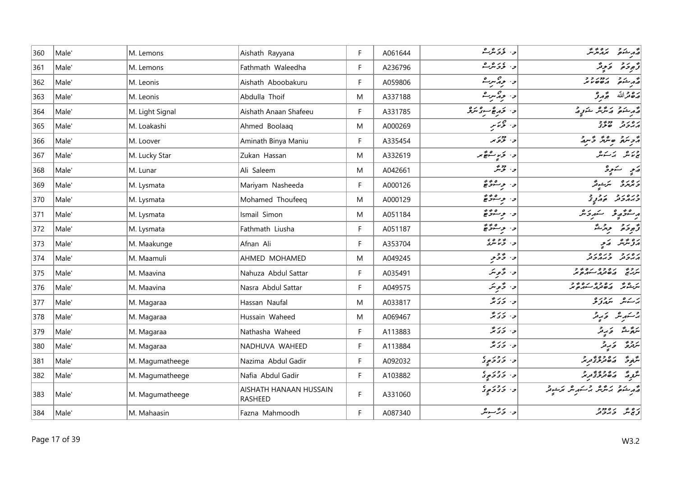| 360 | Male' | M. Lemons       | Aishath Rayyana                          | F  | A061644 | د . ئۇرگەر                 |                                           |
|-----|-------|-----------------|------------------------------------------|----|---------|----------------------------|-------------------------------------------|
| 361 | Male' | M. Lemons       | Fathmath Waleedha                        | F  | A236796 | د . ئۇزىئرىشە              | وَّجِودَةً وَمِعَةً                       |
| 362 | Male' | M. Leonis       | Aishath Aboobakuru                       | F  | A059806 | -<br> - مورجم میرے         |                                           |
| 363 | Male' | M. Leonis       | Abdulla Thoif                            | M  | A337188 | و. وړګېږگ                  | بره والله گهرو                            |
| 364 | Male' | M. Light Signal | Aishath Anaan Shafeeu                    | F. | A331785 | و· مَرْرِيْحْ سِنْ مَرْتَر | مەر شەھ مەنگەر شەر ئ                      |
| 365 | Male' | M. Loakashi     | Ahmed Boolaaq                            | M  | A000269 | اد به عجمانبر              | ره رو دورو<br>مدرس گامونی                 |
| 366 | Male' | M. Loover       | Aminath Binya Maniu                      | F. | A335454 | وسيحومر                    | أأدشي وسائد والمر                         |
| 367 | Male' | M. Lucky Star   | Zukan Hassan                             | M  | A332619 | د· ځېږ شوځه پر             | چرىكى ئەسكىگى                             |
| 368 | Male' | M. Lunar        | Ali Saleem                               | M  | A042661 | و . تۇنىگ                  | ړې خود                                    |
| 369 | Male' | M. Lysmata      | Mariyam Nasheeda                         | F  | A000126 | و٠ ورادة ثع                | كرەرە سكىشىڭى                             |
| 370 | Male' | M. Lysmata      | Mohamed Thoufeeq                         | M  | A000129 | و٠ وىدۇغ                   | כנסנכ נכנב<br>כממכני המציב                |
| 371 | Male' | M. Lysmata      | Ismail Simon                             | M  | A051184 | و٠ وىدۇغ                   | أرجع فيوفر ستهرقاهما                      |
| 372 | Male' | M. Lysmata      | Fathmath Liusha                          | F  | A051187 | اه. وعقق                   | أوالمحمد والمراسية                        |
| 373 | Male' | M. Maakunge     | Afnan Ali                                | F. | A353704 | و . و و ه و ه              | أروشرش أركمي                              |
| 374 | Male' | M. Maamuli      | AHMED MOHAMED                            | M  | A049245 | اد: ڈڈیو                   | رور ورورو                                 |
| 375 | Male' | M. Maavina      | Nahuza Abdul Sattar                      | F  | A035491 | و· ۇەبىر                   | ره وه ره دو<br>پره تر پر سهره بر<br>سرزنج |
| 376 | Male' | M. Maavina      | Nasra Abdul Sattar                       | F  | A049575 | د· څوپر                    | ر و د مسروه ره د و<br>سرشوند مصادر اسهم د |
| 377 | Male' | M. Magaraa      | Hassan Naufal                            | M  | A033817 | وسركر تر                   | يز کشش استمدى تو                          |
| 378 | Male' | M. Magaraa      | Hussain Waheed                           | M  | A069467 | وسى ئەركىگ                 | جر سک <i>م برگ او کم</i> یوتر             |
| 379 | Male' | M. Magaraa      | Nathasha Waheed                          | F. | A113883 | والمحكامگر                 | برويد كربرته                              |
| 380 | Male' | M. Magaraa      | NADHUVA WAHEED                           | F  | A113884 | ى ئەتەتىگە                 | بروء كالميرة                              |
| 381 | Male' | M. Magumatheege | Nazima Abdul Gadir                       | F  | A092032 | و ، نرور م                 | شموش مەدەپ ئور                            |
| 382 | Male' | M. Magumatheege | Nafia Abdul Gadir                        | F  | A103882 | وسرور ور                   | شره رەپورىيە                              |
| 383 | Male' | M. Magumatheege | AISHATH HANAAN HUSSAIN<br><b>RASHEED</b> | F  | A331060 | وسرور ور                   | و<br>درخوی برترس برگریم تر ترجیح          |
| 384 | Male' | M. Mahaasin     | Fazna Mahmoodh                           | F. | A087340 | ى ئەرگەسىر                 | ده پر محمد در د                           |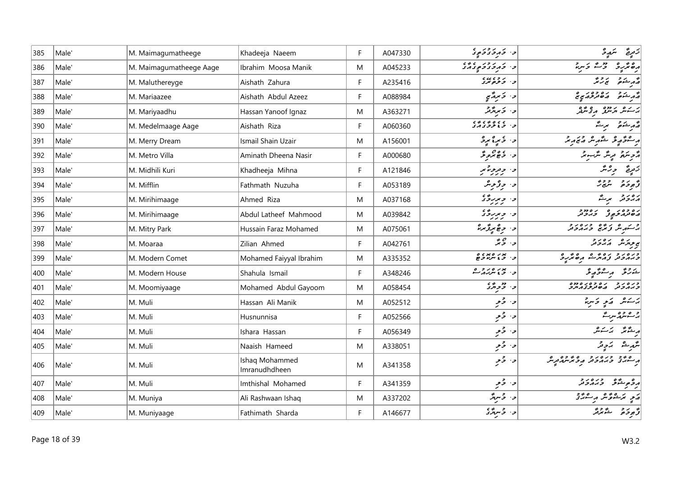| 385 | Male' | M. Maimagumatheege      | Khadeeja Naeem                  | F. | A047330 | و که دکوکوکو                              | تزمرقح أستمرقر                                                                                                                                                                                                                   |
|-----|-------|-------------------------|---------------------------------|----|---------|-------------------------------------------|----------------------------------------------------------------------------------------------------------------------------------------------------------------------------------------------------------------------------------|
| 386 | Male' | M. Maimagumatheege Aage | Ibrahim Moosa Manik             | M  | A045233 |                                           |                                                                                                                                                                                                                                  |
| 387 | Male' | M. Maluthereyge         | Aishath Zahura                  | F  | A235416 | ر و د د د د د<br>و ۰ و <del>و</del> و برد |                                                                                                                                                                                                                                  |
| 388 | Male' | M. Mariaazee            | Aishath Abdul Azeez             | F. | A088984 | د· دَبرمَّ <sub>م</sub> ِ                 | ה<br>ההגיים השי <i>ניכה ש</i> ל                                                                                                                                                                                                  |
| 389 | Male' | M. Mariyaadhu           | Hassan Yanoof Ignaz             | M  | A363271 | و· <sub>ك</sub> ېرېژنر                    | ر کے مرحوم و عام کا مقدمت کے منصب کے منصب کے منصب کے منصب کے منصب کے منصب کے منصب کے منصب کے منصب کے منصب کے س<br>منصب کے منصب کے منصب کے منصب کے منصب کے منصب کے منصب کے منصب کے منصب کے منصب کے منصب کے منصب کے منصب کے منصب ک |
| 390 | Male' | M. Medelmaage Aage      | Aishath Riza                    | F. | A060360 |                                           | وكرم شكوته المحرسة                                                                                                                                                                                                               |
| 391 | Male' | M. Merry Dream          | Ismail Shain Uzair              | M  | A156001 | د· د مړيو مړو                             | ړ هڅو په عمر شوه وتنه پر                                                                                                                                                                                                         |
| 392 | Male' | M. Metro Villa          | Aminath Dheena Nasir            | F  | A000680 | ە دەم بۇ ئە                               | ה<br>הקיימה <sub>בעידו</sub> הא                                                                                                                                                                                                  |
| 393 | Male' | M. Midhili Kuri         | Khadheeja Mihna                 | F  | A121846 | و <sub>ا</sub> وترورتمبر<br>ار را ر       | زَمرِيحٌ وِرْسٌ                                                                                                                                                                                                                  |
| 394 | Male' | M. Mifflin              | Fathmath Nuzuha                 | F  | A053189 | د· دِوْمِهْ                               | و موځ په د<br>سرىر ئە                                                                                                                                                                                                            |
| 395 | Male' | M. Mirihimaage          | Ahmed Riza                      | M  | A037168 | و ۰ و بربرونو<br>د ۱۰ د                   | دەر د برگ                                                                                                                                                                                                                        |
| 396 | Male' | M. Mirihimaage          | Abdul Latheef Mahmood           | M  | A039842 | 55155.5                                   | ג 200 ב 2000.<br>הסתה ב <sub>ות ב</sub> צי כגבת                                                                                                                                                                                  |
| 397 | Male' | M. Mitry Park           | Hussain Faraz Mohamed           | M  | A075061 |                                           | د کرده د ده دره د د<br>پرکستهر سر توسعی او بر مرد فر                                                                                                                                                                             |
| 398 | Male' | M. Moaraa               | Zilian Ahmed                    | F. | A042761 | و· گونگر                                  | ہے ویڑ شہر کے مرکز و                                                                                                                                                                                                             |
| 399 | Male' | M. Modern Comet         | Mohamed Faiyyal Ibrahim         | M  | A335352 | و . نیم دیم و ه                           | כנסגב גם צים תסתיב                                                                                                                                                                                                               |
| 400 | Male' | M. Modern House         | Shahula Ismail                  | F. | A348246 | ى ئىچ ئەرىرى<br>ئ                         | المذروح المرائدة للمحر                                                                                                                                                                                                           |
| 401 | Male' | M. Moomiyaage           | Mohamed Abdul Gayoom            | M  | A058454 | כי כציבות בי                              | כנסני נסיפטנסמס<br>כגהכת הסתיבהתכ                                                                                                                                                                                                |
| 402 | Male' | M. Muli                 | Hassan Ali Manik                | M  | A052512 | وستحو                                     | يمكش كالمج كالردم                                                                                                                                                                                                                |
| 403 | Male' | M. Muli                 | Husnunnisa                      | F  | A052566 | والمتحمو                                  | ج <sub>ى</sub> شەتتەھرىت                                                                                                                                                                                                         |
| 404 | Male' | M. Muli                 | Ishara Hassan                   | F  | A056349 | د . د نو                                  | م ڪري ڪراچين                                                                                                                                                                                                                     |
| 405 | Male' | M. Muli                 | Naaish Hameed                   | M  | A338051 | والمحمو                                   | شمرے پروتر                                                                                                                                                                                                                       |
| 406 | Male' | M. Muli                 | Ishaq Mohammed<br>Imranudhdheen | M  | A341358 | اف وفو                                    | ر ۱۶۶۵ ورور و ۱۶۶۵ و.<br>در سربری و برمرونر مرو برسمبرترس                                                                                                                                                                        |
| 407 | Male' | M. Muli                 | Imthishal Mohamed               | F. | A341359 | وستحو                                     | د وه شوه دره د د                                                                                                                                                                                                                 |
| 408 | Male' | M. Muniya               | Ali Rashwaan Ishaq              | M  | A337202 | و . و سرگر                                | ر<br>كو برخوش رئين                                                                                                                                                                                                               |
| 409 | Male' | M. Muniyaage            | Fathimath Sharda                | F. | A146677 | و . و سرو ،                               | ر<br>توجو حقوقه                                                                                                                                                                                                                  |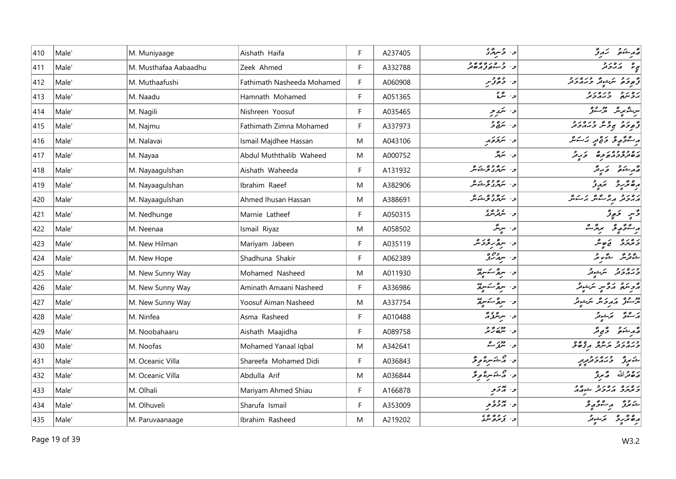| 410 | Male' | M. Muniyaage          | Aishath Haifa              | F           | A237405 | و . و سرو ،                          | م مدين مدينه<br>مدينه مدينه                     |
|-----|-------|-----------------------|----------------------------|-------------|---------|--------------------------------------|-------------------------------------------------|
| 411 | Male' | M. Musthafaa Aabaadhu | Zeek Ahmed                 | F           | A332788 |                                      | 5,0,0,0,0,0,0,0,0                               |
| 412 | Male' | M. Muthaafushi        | Fathimath Nasheeda Mohamed | $\mathsf F$ | A060908 | و . ژۇۋىر                            | تجمج وكالمستحق ويرور والمحمد                    |
| 413 | Male' | M. Naadu              | Hamnath Mohamed            | F           | A051365 | و. سُرْدُ                            | נסנד בנסנד<br>גרייטת בגובע                      |
| 414 | Male' | M. Nagili             | Nishreen Yoosuf            | F           | A035465 | ا <sup>و،</sup> سُمَّدُو<br>ا        | سرڪي سر جو وه<br>سرڪي                           |
| 415 | Male' | M. Najmu              | Fathimath Zimna Mohamed    | F           | A337973 | وستمقام                              | و د د م د دره د د<br>ژوده پروس وره د            |
| 416 | Male' | M. Nalavai            | Ismail Majdhee Hassan      | M           | A043106 | وسترتزقه                             | ر موځږي وه پر ټر شر                             |
| 417 | Male' | M. Nayaa              | Abdul Muththalib Waheed    | ${\sf M}$   | A000752 | و· سَرَدَّرُ                         | גם כם כם גם הבית המונגרית.<br>המשתיכת הפיס הבית |
| 418 | Male' | M. Nayaagulshan       | Aishath Waheeda            | F           | A131932 | ى سىرگە <i>ۋە</i> شەھر               | وكرشكو وبرقر                                    |
| 419 | Male' | M. Nayaagulshan       | Ibrahim Raeef              | M           | A382906 | ى سىرگە <i>ۋە</i> شەھر               | رە ئۈر ئىدۇ                                     |
| 420 | Male' | M. Nayaagulshan       | Ahmed Ihusan Hassan        | M           | A388691 | ى سىترىق ئەيدىش                      | رەرد مەشھىر ئەسەر                               |
| 421 | Male' | M. Nedhunge           | Marnie Latheef             | F           | A050315 | و . عروم و ه<br>و . سربرسری          | دُّسٍ دَوِرْ                                    |
| 422 | Male' | M. Neenaa             | Ismail Riyaz               | M           | A058502 | اھ سوچر<br>— ق                       | رەئەر بەر                                       |
| 423 | Male' | M. New Hilman         | Mariyam Jabeen             | $\mathsf F$ | A035119 | ە بىر <i>قۇر ۋۇ ئ</i> ر              | و ده ده سر محمد به محمد                         |
| 424 | Male' | M. New Hope           | Shadhuna Shakir            | F           | A062389 | و. سرد بو                            | شەرش شەرر                                       |
| 425 | Male' | M. New Sunny Way      | Mohamed Nasheed            | M           | A011930 | د . سره کسرهٔ گ                      | ورەرو ش يو                                      |
| 426 | Male' | M. New Sunny Way      | Aminath Amaani Nasheed     | F           | A336986 | و . سره کوسره                        | أأرمنهم أركبها للمستوفر                         |
| 427 | Male' | M. New Sunny Way      | Yoosuf Aiman Nasheed       | M           | A337754 | د . سره کسرهٔ گر                     | מים כם התכיל יליבול.<br>מיים התכיל יליבול       |
| 428 | Male' | M. Ninfea             | Asma Rasheed               | F           | A010488 | د. سرسرگرمگر                         | ر وه<br>د سوځ نمر شومر                          |
| 429 | Male' | M. Noobahaaru         | Aishath Maajidha           | $\mathsf F$ | A089758 | و . بیره در و                        | أشهر شكامي والمحمح والمحمد                      |
| 430 | Male' | M. Noofas             | Mohamed Yanaal Iqbal       | M           | A342641 | د ، شۇرشە                            | כנסנב נשפ פשם<br>כממכת תיתב תציפי               |
| 431 | Male' | M. Oceanic Villa      | Shareefa Mohamed Didi      | F           | A036843 | د. گەشكىبرى <i>نا <sub>ئو</sub>ڭ</i> | شَرِيرٌ = 20,2000 مَرْمَرِ مِر                  |
| 432 | Male' | M. Oceanic Villa      | Abdulla Arif               | ${\sf M}$   | A036844 | د . م <sup>م</sup> شوسره و د         | برة والله مجموع                                 |
| 433 | Male' | M. Olhali             | Mariyam Ahmed Shiau        | $\mathsf F$ | A166878 | د به میخورد به                       | נ סנים נפנים להתבר                              |
| 434 | Male' | M. Olhuveli           | Sharufa Ismail             | F           | A353009 | -<br>د کرندگور                       | شەرز رەشۇر ئو                                   |
| 435 | Male' | M. Paruvaanaage       | Ibrahim Rasheed            | ${\sf M}$   | A219202 | ر بر و بر بر ،<br>د ۰ زیمره شمک      | رە ئۇرۇ بىر ئور                                 |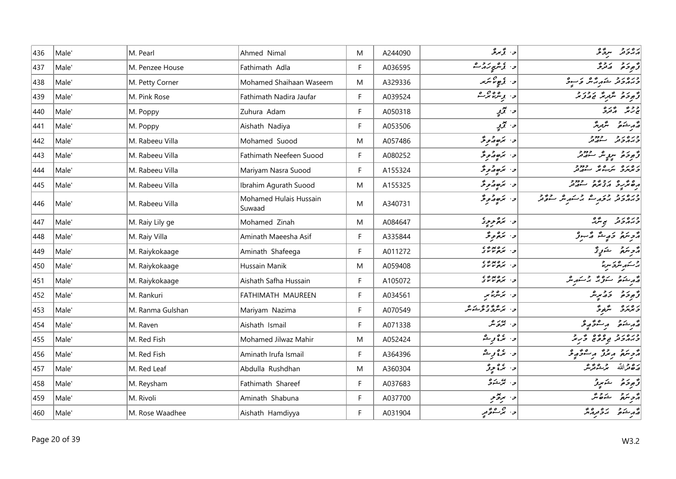| 436 | Male' | M. Pearl         | Ahmed Nimal                      | M  | A244090 | و· گۇىرى                                                                                                                                                                                                                                                                                                                                                                                                                                                                                     | رەرو سرگە                              |
|-----|-------|------------------|----------------------------------|----|---------|----------------------------------------------------------------------------------------------------------------------------------------------------------------------------------------------------------------------------------------------------------------------------------------------------------------------------------------------------------------------------------------------------------------------------------------------------------------------------------------------|----------------------------------------|
| 437 | Male' | M. Penzee House  | Fathimath Adla                   | F. | A036595 | و· بۇش <sub>چ</sub> رىرم                                                                                                                                                                                                                                                                                                                                                                                                                                                                     | و دو دوو                               |
| 438 | Male' | M. Petty Corner  | Mohamed Shaihaan Waseem          | M  | A329336 | وستجوه يتمهر                                                                                                                                                                                                                                                                                                                                                                                                                                                                                 | ورەرو خىرىگىر كەسو                     |
| 439 | Male' | M. Pink Rose     | Fathimath Nadira Jaufar          | F  | A039524 | <sub>د</sub> . ب <sub>و</sub> مرړغ شه                                                                                                                                                                                                                                                                                                                                                                                                                                                        | وتجوحكم التربتر فأمادينه               |
| 440 | Male' | M. Poppy         | Zuhura Adam                      | F  | A050318 | ر جي پر                                                                                                                                                                                                                                                                                                                                                                                                                                                                                      | ۶ ۶ ۶ ۴ ۶ ۶ مرد ۹                      |
| 441 | Male' | M. Poppy         | Aishath Nadiya                   | F. | A053506 | والمجمولي                                                                                                                                                                                                                                                                                                                                                                                                                                                                                    | مەرىشى ئىر                             |
| 442 | Male' | M. Rabeeu Villa  | Mohamed Suood                    | M  | A057486 | د· ئۈمەمۇقە                                                                                                                                                                                                                                                                                                                                                                                                                                                                                  | כנים ניבר בדבר<br>קינית פלי הביתית     |
| 443 | Male' | M. Rabeeu Villa  | Fathimath Neefeen Suood          | F. | A080252 | د· ئەھەم ئە                                                                                                                                                                                                                                                                                                                                                                                                                                                                                  | ژودۇ سرپە سەھ                          |
| 444 | Male' | M. Rabeeu Villa  | Mariyam Nasra Suood              | F  | A155324 | د· ئۈچەتموڭر                                                                                                                                                                                                                                                                                                                                                                                                                                                                                 | נים נים ונים שי החבר.<br>המחבר ייתה מל |
| 445 | Male' | M. Rabeeu Villa  | Ibrahim Agurath Suood            | M  | A155325 | و· ئۈچمە ئوقر                                                                                                                                                                                                                                                                                                                                                                                                                                                                                | ת סיבי כ גביבי כברב                    |
| 446 | Male' | M. Rabeeu Villa  | Mohamed Hulais Hussain<br>Suwaad | M  | A340731 | د· ئۈچەر ئۇ                                                                                                                                                                                                                                                                                                                                                                                                                                                                                  | وره د د ور د د د کريږ د وود            |
| 447 | Male' | M. Raiy Lily ge  | Mohamed Zinah                    | M  | A084647 | - ئىۋومۇچ                                                                                                                                                                                                                                                                                                                                                                                                                                                                                    | ورەر دېگر                              |
| 448 | Male' | M. Raiy Villa    | Aminath Maeesha Asif             | F  | A335844 | د . برگړو برگ                                                                                                                                                                                                                                                                                                                                                                                                                                                                                | أوبرة وراعة أسرا                       |
| 449 | Male' | M. Raiykokaage   | Aminath Shafeega                 | F  | A011272 | $\begin{array}{cc} c \nleftrightarrow c \circ c \circ c \cdot c \cdot c \cdot c \end{array}$                                                                                                                                                                                                                                                                                                                                                                                                 | أزويتم شرير                            |
| 450 | Male' | M. Raiykokaage   | Hussain Manik                    | M  | A059408 | $\frac{c\mathbin{\&} \mathbin{\&} \mathbin{\&} \mathbin{\&} \mathbin{\&} \mathbin{\&} \mathbin{\&} \mathbin{\&} \mathbin{\&} \mathbin{\&} \mathbin{\&} \mathbin{\&} \mathbin{\&} \mathbin{\&} \mathbin{\&} \mathbin{\&} \mathbin{\&} \mathbin{\&} \mathbin{\&} \mathbin{\&} \mathbin{\&} \mathbin{\&} \mathbin{\&} \mathbin{\&} \mathbin{\&} \mathbin{\&} \mathbin{\&} \mathbin{\&} \mathbin{\&} \mathbin{\&} \mathbin{\&} \mathbin{\&} \mathbin{\&} \mathbin{\&} \mathbin{\&} \mathbin{\&}$ | جر سنهر مثر بحر سررتم                  |
| 451 | Male' | M. Raiykokaage   | Aishath Safha Hussain            | F  | A105072 | $\frac{c\mathop{\not\sim} \mathop{\mathit\sim}}{c\mathop{\not\sim} \mathop{\not\sim}}\frac{c}{c}$                                                                                                                                                                                                                                                                                                                                                                                            | ە<br>مەرشۇم سۆز باشىرىكى               |
| 452 | Male' | M. Rankuri       | FATHIMATH MAUREEN                | F  | A034561 | د <sub>ا</sub> برم <sup>ور</sup> بر                                                                                                                                                                                                                                                                                                                                                                                                                                                          | توجوحو وديرس                           |
| 453 | Male' | M. Ranma Gulshan | Mariyam Nazima                   | F  | A070549 | وسيره ووه وعاشره                                                                                                                                                                                                                                                                                                                                                                                                                                                                             | رەرە شەر                               |
| 454 | Male' | M. Raven         | Aishath Ismail                   | F  | A071338 | و به عدد ه<br>و به محره مگر                                                                                                                                                                                                                                                                                                                                                                                                                                                                  | مەر شىم بىر بىر ئور                    |
| 455 | Male' | M. Red Fish      | Mohamed Jilwaz Mahir             | M  | A052424 | د . نگروری و مشر                                                                                                                                                                                                                                                                                                                                                                                                                                                                             | ورەرو پەدە ۋرىژ                        |
| 456 | Male' | M. Red Fish      | Aminath Irufa Ismail             | F. | A364396 | د· تر؟ دِ شر                                                                                                                                                                                                                                                                                                                                                                                                                                                                                 | أزوينه وبرز وبالمؤوفر                  |
| 457 | Male' | M. Red Leaf      | Abdulla Rushdhan                 | M  | A360304 | ل د مي و د د                                                                                                                                                                                                                                                                                                                                                                                                                                                                                 | رە داللە بەھ ئەھ                       |
| 458 | Male' | M. Reysham       | Fathimath Shareef                | F  | A037683 | و به عرضوی                                                                                                                                                                                                                                                                                                                                                                                                                                                                                   | ترجوخا مشتمير                          |
| 459 | Male' | M. Rivoli        | Aminath Shabuna                  | F  | A037700 | د· برقمو                                                                                                                                                                                                                                                                                                                                                                                                                                                                                     | أروسره شكاه الأر                       |
| 460 | Male' | M. Rose Waadhee  | Aishath Hamdiyya                 | F. | A031904 | د . مر هو تور                                                                                                                                                                                                                                                                                                                                                                                                                                                                                | مەر ئەھرىدە ئەر ئور                    |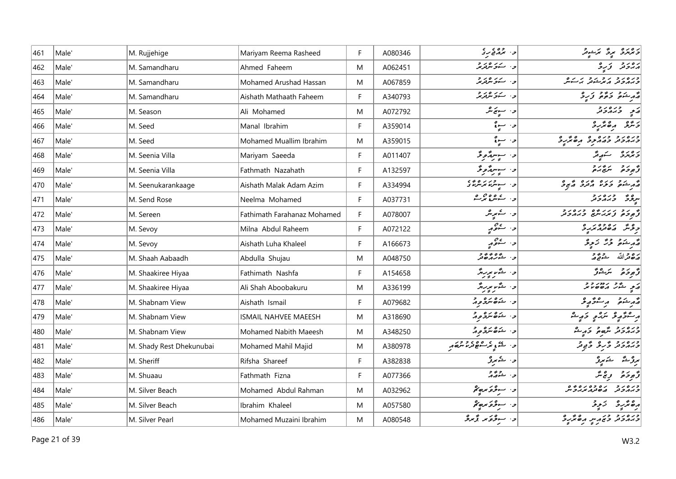| 461 | Male' | M. Rujjehige             | Mariyam Reema Rasheed       | F.          | A080346 | وسيره في ري                                            | ويمهك برده يكشونه                                                |
|-----|-------|--------------------------|-----------------------------|-------------|---------|--------------------------------------------------------|------------------------------------------------------------------|
| 462 | Male' | M. Samandharu            | Ahmed Faheem                | M           | A062451 | و . ستوتكويز                                           | برەر تەرۋ                                                        |
| 463 | Male' | M. Samandharu            | Mohamed Arushad Hassan      | M           | A067859 | و. سەۋسىمەترىتى                                        | ورەر دې دې دې کرکړه<br><i>وېرم</i> ونډ م <sub>م</sub> رشونډ کرکړ |
| 464 | Male' | M. Samandharu            | Aishath Mathaath Faheem     | F           | A340793 | و، سەۋش بولايى                                         | أورشتم وموم وره                                                  |
| 465 | Male' | M. Season                | Ali Mohamed                 | M           | A072792 |                                                        | أرو وره دو                                                       |
| 466 | Male' | M. Seed                  | Manal Ibrahim               | F           | A359014 | $\frac{1}{2}$ $\frac{1}{2}$                            | وترو مەترىر                                                      |
| 467 | Male' | M. Seed                  | Mohamed Muallim Ibrahim     | M           | A359015 | ح• سنڌ                                                 |                                                                  |
| 468 | Male' | M. Seenia Villa          | Mariyam Saeeda              | $\mathsf F$ | A011407 | و، سوسرمۇمۇ                                            | ويربرو كتميز                                                     |
| 469 | Male' | M. Seenia Villa          | Fathmath Nazahath           | F.          | A132597 | د· سوسرمۇمۇ                                            | و د د سرور د                                                     |
| 470 | Male' | M. Seenukarankaage       | Aishath Malak Adam Azim     | F.          | A334994 | و ۱۰ سوسر بر ۱۳۵۵<br>په سوسر پوسر پرې                  | ه د شکوه د ده د د د د م                                          |
| 471 | Male' | M. Send Rose             | Neelma Mohamed              | F           | A037731 | ى ئەرەم ب <sub>ىر</sub> ھ                              | سروی دره در                                                      |
| 472 | Male' | M. Sereen                | Fathimath Farahanaz Mohamed | F           | A078007 | د. سگېږېدگر                                            | و د د د در ده د دره د                                            |
| 473 | Male' | M. Sevoy                 | Milna Abdul Raheem          | F           | A072122 | $25 - 3$                                               | د و شهر من مربر و                                                |
| 474 | Male' | M. Sevoy                 | Aishath Luha Khaleel        | $\mathsf F$ | A166673 | د. سگوه<br>د                                           | وأرجع ورا زوو                                                    |
| 475 | Male' | M. Shaah Aabaadh         | Abdulla Shujau              | M           | A048750 | و . شوره و د و<br>و . شور <i>و ه</i> تر                | رەتراللە ھ <sup>ە</sup> قەر                                      |
| 476 | Male' | M. Shaakiree Hiyaa       | Fathimath Nashfa            | F           | A154658 | و- ڪُما بوريز<br>ر                                     | توجدة سكيشوش                                                     |
| 477 | Male' | M. Shaakiree Hiyaa       | Ali Shah Aboobakuru         | M           | A336199 | و · ستگما موردگر<br>مربور                              | مو شى رود دە                                                     |
| 478 | Male' | M. Shabnam View          | Aishath Ismail              | F           | A079682 | و. شوه سرو و د                                         | ۇرىشقى برىشۇرچ                                                   |
| 479 | Male' | M. Shabnam View          | <b>ISMAIL NAHVEE MAEESH</b> | M           | A318690 | - مشخص مرد و د<br>د ۱۰ مشخص مرد و د                    | ړ گرگړي کرگړ کړې ک                                               |
| 480 | Male' | M. Shabnam View          | Mohamed Nabith Maeesh       | M           | A348250 | و. ځوه سرچ ور                                          | ورەرو شھۇ ئېرىش                                                  |
| 481 | Male' | M. Shady Rest Dhekunubai | Mohamed Mahil Majid         | M           | A380978 | د . شو و ده و د در سرخه د<br>د . شو و مر سوخ در سرخه ر | ورەر دېرو دېرو                                                   |
| 482 | Male' | M. Sheriff               | Rifsha Shareef              | F           | A382838 | و. ڪمبروگر                                             | ىرۇڭ خىرۇ                                                        |
| 483 | Male' | M. Shuaau                | Fathmath Fizna              | F           | A077366 | و، شەھەر                                               | وٌوحوه وع"                                                       |
| 484 | Male' | M. Silver Beach          | Mohamed Abdul Rahman        | M           | A032962 | وسوو وكره كالحج                                        | כנסני נסיפטנסים<br>כגמכת מסתמינגלית                              |
| 485 | Male' | M. Silver Beach          | Ibrahim Khaleel             | M           | A057580 | وسودة مرجو                                             | رەترىرو تېرو                                                     |
| 486 | Male' | M. Silver Pearl          | Mohamed Muzaini Ibrahim     | M           | A080548 | واستوكا مراجي والمحمد                                  | כנסגב בזקית הסתנב                                                |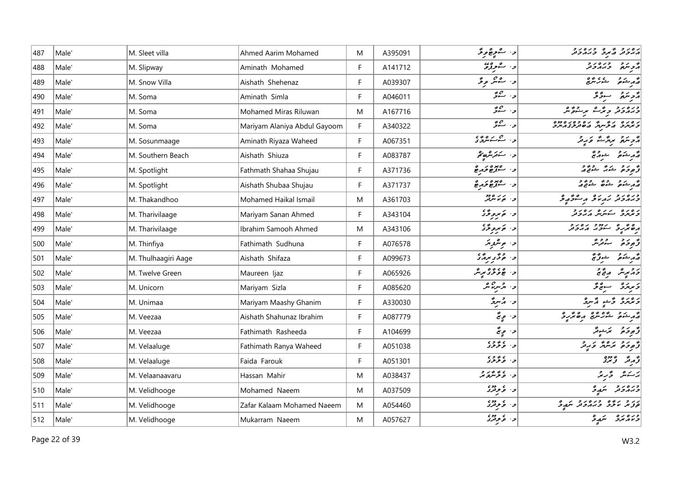| 487 | Male' | M. Sleet villa      | Ahmed Aarim Mohamed          | M           | A395091 | و. سگوچ عربحه                                                       | גם גב היי כגוביה                                            |
|-----|-------|---------------------|------------------------------|-------------|---------|---------------------------------------------------------------------|-------------------------------------------------------------|
| 488 | Male' | M. Slipway          | Aminath Mohamed              | $\mathsf F$ | A141712 | و· سگوده                                                            | أثر مرد وره در                                              |
| 489 | Male' | M. Snow Villa       | Aishath Shehenaz             | F           | A039307 | <mark>و. سانگر و م</mark> ح                                         | ے پر می <sub>ر</sub> م<br>و.<br>در کار شوی                  |
| 490 | Male' | M. Soma             | Aminath Simla                | F           | A046011 | د . شۇ                                                              | وحريتهم سودقه                                               |
| 491 | Male' | M. Soma             | Mohamed Miras Riluwan        | M           | A167716 | لى جۇ                                                               | כנסגב בשלים תשיפות                                          |
| 492 | Male' | M. Soma             | Mariyam Alaniya Abdul Gayoom | F           | A340322 | ە بىر                                                               | גם גם גלייטי גם בסגסדם<br>בימ <i>תר הצייטי, הסתיבה</i> מת   |
| 493 | Male' | M. Sosunmaage       | Aminath Riyaza Waheed        | F           | A067351 | د. گە ئەھرى                                                         | مزويتهم برمزيشه كربانه                                      |
| 494 | Male' | M. Southern Beach   | Aishath Shiuza               | F           | A083787 | و . سکتر شرحه گر                                                    | محمد شده شودج<br>محمد شودج                                  |
| 495 | Male' | M. Spotlight        | Fathmath Shahaa Shujau       | F           | A371736 | $rac{1}{2}$                                                         | و د د شکر شوخ د                                             |
| 496 | Male' | M. Spotlight        | Aishath Shubaa Shujau        | F           | A371737 | و، سوره وره                                                         | و د شوم شوځ شو <i>نځ و</i>                                  |
| 497 | Male' | M. Thakandhoo       | Mohamed Haikal Ismail        | M           | A361703 | ر ر ر د د و د و                                                     | כממכנק ממיב תשיכתיב                                         |
| 498 | Male' | M. Tharivilaage     | Mariyam Sanan Ahmed          | F           | A343104 | و· غو برو ژُرُ                                                      | ره ره مسکن مده دره د                                        |
| 499 | Male' | M. Tharivilaage     | Ibrahim Samooh Ahmed         | M           | A343106 | و· <sub>م</sub> ۇبرە ۋ <sup>ى</sup>                                 | مه شرح سود رورد                                             |
| 500 | Male' | M. Thinfiya         | Fathimath Sudhuna            | $\mathsf F$ | A076578 | د· موسْروبرَ                                                        | ۇي <sub>و</sub> دۇ بەترىگە                                  |
| 501 | Male' | M. Thulhaagiri Aage | Aishath Shifaza              | F           | A099673 | $\begin{bmatrix} 2 & 2 & 3 \\ 5 & 2 & 3 \\ 1 & 2 & 3 \end{bmatrix}$ | و د شور د درستون<br>مارستون درستون                          |
| 502 | Male' | M. Twelve Green     | Maureen ljaz                 | F           | A065926 | و، ھەمرىر مرىر                                                      | د د پر شه په په                                             |
| 503 | Male' | M. Unicorn          | Mariyam Sizla                | F           | A085620 | ح <i>ا</i> مرسر ما مگر                                              | د بروژ جوړو                                                 |
| 504 | Male' | M. Unimaa           | Mariyam Maashy Ghanim        | F           | A330030 | و . ه پهرنگ                                                         | ويرمرو المحتو أأسرو                                         |
| 505 | Male' | M. Veezaa           | Aishath Shahunaz Ibrahim     | F           | A087779 |                                                                     |                                                             |
| 506 | Male' | M. Veezaa           | Fathimath Rasheeda           | F           | A104699 | و· وٍیٌ                                                             | وٌمودَهُ برَجهِرٌ                                           |
| 507 | Male' | M. Velaaluge        | Fathimath Ranya Waheed       | $\mathsf F$ | A051038 | ه ۱۵ وه<br>و گوگوی                                                  | و د د ده و د د د                                            |
| 508 | Male' | M. Velaaluge        | Faida Farouk                 | F           | A051301 | ه ۱۵ وه<br>و۰ وگروی                                                 | قەر ئەھمىتى ئەسىر                                           |
| 509 | Male' | M. Velaanaavaru     | Hassan Mahir                 | M           | A038437 | ە ئەھەرىرى<br><i>ھ</i> ئوقرىتى ئىر                                  | ىر سەندە ئەرىر                                              |
| 510 | Male' | M. Velidhooge       | Mohamed Naeem                | M           | A037509 |                                                                     | ورەر ئىمەد                                                  |
| 511 | Male' | M. Velidhooge       | Zafar Kalaam Mohamed Naeem   | M           | A054460 | و· قُرُونوری                                                        | رر د روه دره رد شده.<br>فوزند نامود وبرماد شمی <sup>9</sup> |
| 512 | Male' | M. Velidhooge       | Mukarram Naeem               | M           | A057627 | و . ځونونو                                                          | وره ره سمده                                                 |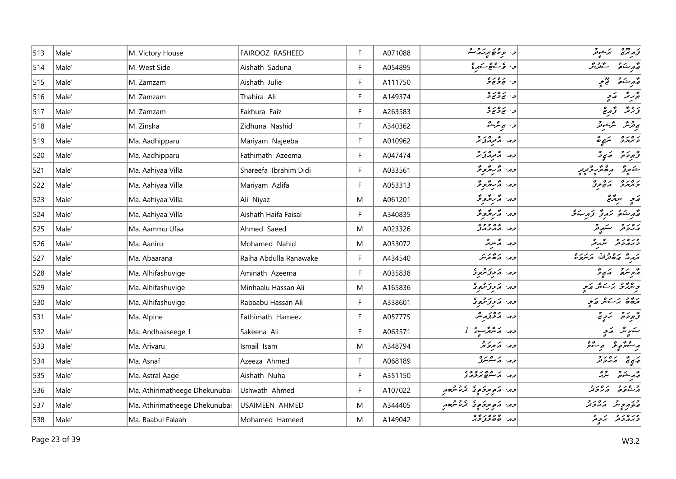| 513 | Male' | M. Victory House              | FAIROOZ RASHEED        | F  | A071088 | و· وِرْعَ مِرْرَهْرْ -                    | تەرەپى ئىرىشوتىر<br>كەربىرىج ئىرىشوتىر |
|-----|-------|-------------------------------|------------------------|----|---------|-------------------------------------------|----------------------------------------|
| 514 | Male' | M. West Side                  | Aishath Saduna         | F. | A054895 |                                           | پ <sup>ر</sup> در شوځ<br>شەۋر ئەگە     |
| 515 | Male' | M. Zamzam                     | Aishath Julie          | F  | A111750 | ر ره ره<br>د کارگار                       | وگهرڪو وڏمو                            |
| 516 | Male' | M. Zamzam                     | Thahira Ali            | F  | A149374 | $5555 - 5$                                | ۾ پڻ ماڻي                              |
| 517 | Male' | M. Zamzam                     | Fakhura Faiz           | F  | A263583 | $555 - 5$                                 | ۇزىر<br>ترمرج                          |
| 518 | Male' | M. Zinsha                     | Zidhuna Nashid         | F  | A340362 | ىر. س <sub>ى</sub> ئىرىشە                 | ىر قرىگر گرىشوتر                       |
| 519 | Male' | Ma. Aadhipparu                | Mariyam Najeeba        | F. | A010962 | دە. ئ <sup>ې</sup> ترەك <sub>ى</sub> ر    | رەرە شەھ                               |
| 520 | Male' | Ma. Aadhipparu                | Fathimath Azeema       | F  | A047474 | وړ٠ م <sup>5</sup> مرم ور و               | ژُودَهْ کَمَوْ                         |
| 521 | Male' | Ma. Aahiyaa Villa             | Shareefa Ibrahim Didi  | F  | A033561 | حەر، ئەگرىدىگە بۇ                         | شرير رەئروبرىر                         |
| 522 | Male' | Ma. Aahiyaa Villa             | Mariyam Azlifa         | F. | A053313 | حەر، ئ <sup>ە</sup> ر ئ <sup>ۇ</sup> ھوقە | ومده ده وو                             |
| 523 | Male' | Ma. Aahiyaa Villa             | Ali Niyaz              | M  | A061201 | حەر بە ئەس <i>ر ت</i> وغ                  | أتذبح سرمزمج                           |
| 524 | Male' | Ma. Aahiyaa Villa             | Aishath Haifa Faisal   | F  | A340835 | دە. ئ <i>ېرترو</i> ۇ                      | دە ئەق ئەرگە كەسكى                     |
| 525 | Male' | Ma. Aammu Ufaa                | Ahmed Saeed            | M  | A023326 |                                           | برەرو سەپىر                            |
| 526 | Male' | Ma. Aaniru                    | Mohamed Nahid          | M  | A033072 | ور. رمُّسِر                               | ورەر د شریر                            |
| 527 | Male' | Ma. Abaarana                  | Raiha Abdulla Ranawake | F  | A434540 | وړ٠ رُهڅرس                                | بمدير محصرالله بمسعد                   |
| 528 | Male' | Ma. Alhifashuvige             | Aminath Azeema         | F. | A035838 | حەر بە ئوتۇ ترەپج                         | أأروبتهم أرجاقه                        |
| 529 | Male' | Ma. Alhifashuvige             | Minhaalu Hassan Ali    | M  | A165836 | وړ٠ م <i>رو و</i> کر <sub>و و</sub> ی     | ومربوح بركاها وبمو                     |
| 530 | Male' | Ma. Alhifashuvige             | Rabaabu Hassan Ali     | F  | A338601 | حەر، م <i>ەببۇ ترە</i> بج                 |                                        |
| 531 | Male' | Ma. Alpine                    | Fathimath Hameez       | F  | A057775 | دە ب <sup>ە</sup> ئۇزەپر                  | وٌمودَهُ رَدٍ مُ                       |
| 532 | Male' | Ma. Andhaaseege 1             | Sakeena Ali            | F  | A063571 | حەر، ئەسرىگرىسى 1                         | سكيانگر الأمج                          |
| 533 | Male' | Ma. Arivaru                   | Ismail Isam            | M  | A348794 | وړ٠ مُبروگر                               | وستوري وجو                             |
| 534 | Male' | Ma. Asnaf                     | Azeeza Ahmed           | F  | A068189 | ور. ئەسەتتر                               |                                        |
| 535 | Male' | Ma. Astral Aage               | Aishath Nuha           | F  | A351150 |                                           | أقهر مشعور المتركز                     |
| 536 | Male' | Ma. Athirimatheege Dhekunubai | Ushwath Ahmed          | F. | A107022 | בגי גם בבסביב בני יינסת                   | و عدد و ده دو<br>پرشوحهی پربروتر       |
| 537 | Male' | Ma. Athirimatheege Dhekunubai | USAIMEEN AHMED         | M  | A344405 | בתי ת'ם תבים בי לעיל יתסת                 | בבתבית המכת                            |
| 538 | Male' | Ma. Baabul Falaah             | Mohamed Hameed         | M  | A149042 | ر<br>در گ <sup>و</sup> ور دو              | ورەرو پەرو                             |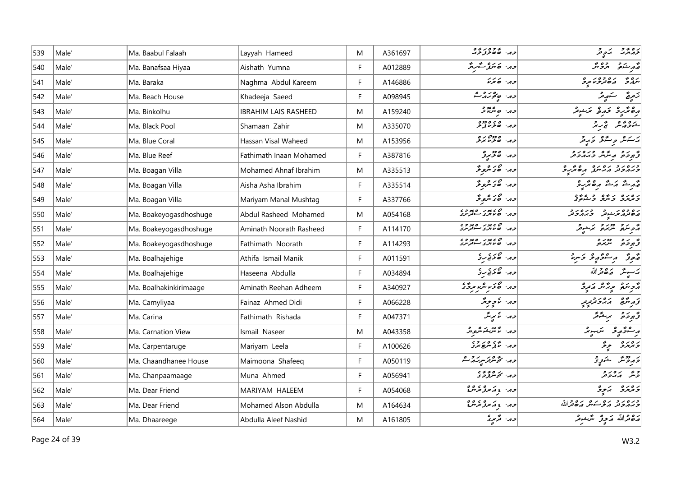| 539 | Male' | Ma. Baabul Falaah      | Layyah Hameed               | M  | A361697 | ر ده ده د ده و<br>د د کاه د و د د               | ده د د بر د د                                                    |
|-----|-------|------------------------|-----------------------------|----|---------|-------------------------------------------------|------------------------------------------------------------------|
| 540 | Male' | Ma. Banafsaa Hiyaa     | Aishath Yumna               | F. | A012889 | ور. ئەسرى-ئىرى <i>گ</i>                         | مەر شەم ھەر ھە                                                   |
| 541 | Male' | Ma. Baraka             | Naghma Abdul Kareem         | F  | A146886 | $\frac{1}{2}$                                   | גם גם בסגם<br>המכל השנת בשית ב                                   |
| 542 | Male' | Ma. Beach House        | Khadeeja Saeed              | F  | A098945 | $2720 - 12$                                     | ترىرىچ – سكھوىتر                                                 |
| 543 | Male' | Ma. Binkolhu           | <b>IBRAHIM LAIS RASHEED</b> | M  | A159240 | כני סייקע ב                                     | رە ئرىر كەرە كەسى                                                |
| 544 | Male' | Ma. Black Pool         | Shamaan Zahir               | M  | A335070 | ם גם בכתבים<br><i>ב</i> וגי ישי <i>ב ט</i> וביב | شەھ ھەر ئىم بىر                                                  |
| 545 | Male' | Ma. Blue Coral         | Hassan Visal Waheed         | M  | A153956 |                                                 | يُرَسَمَّسُ وِسَنَّوْ وَرِيْرُ                                   |
| 546 | Male' | Ma. Blue Reef          | Fathimath Inaan Mohamed     | F. | A387816 | وړ٠ هڅپرنو                                      | و و د د په پښتر ورده د د                                         |
| 547 | Male' | Ma. Boagan Villa       | Mohamed Ahnaf Ibrahim       | M  | A335513 | ور صي سره د                                     | כנסני גניינג הסתנים                                              |
| 548 | Male' | Ma. Boagan Villa       | Aisha Asha Ibrahim          | F. | A335514 | ٦٠٥ - ١٥٧٥ محمد شهر محمد                        | ړُر ۲۰۰۰ کې روڅرگ                                                |
| 549 | Male' | Ma. Boagan Villa       | Mariyam Manal Mushtag       | F. | A337766 | در گ <sup>ره</sup> دهدگ                         | ر ٥ ر ٥ ر ٥ و ٥ و ٥ و و<br>تر بر بر تر تر شوگونی                 |
| 550 | Male' | Ma. Boakeyogasdhoshuge | Abdul Rasheed Mohamed       | M  | A054168 |                                                 | ر 2000 - 2000 - 2000<br>גיסט <i>ו</i> ת <i>גל</i> ייניג - 2000 ע |
| 551 | Male' | Ma. Boakeyogasdhoshuge | Aminath Noorath Rasheed     | F. | A114170 | e > x o   y x c 0<br>وړ ۰   ۲۵ د د ک سونرن      | ה ביינים ייניום ולייניה                                          |
| 552 | Male' | Ma. Boakeyogasdhoshuge | Fathimath Noorath           | F  | A114293 | 2 משיר 2 מידי 2<br>17 מידות באינדי ש            | توجيد و دور و                                                    |
| 553 | Male' | Ma. Boalhajehige       | Athifa Ismail Manik         | F  | A011591 | ه ده ده ده در د                                 | أقموقه وسفوقهو وسرة                                              |
| 554 | Male' | Ma. Boalhajehige       | Haseena Abdulla             | F  | A034894 | حەر ھۆكى بىرى<br>جەر ھۆكى بىرى                  | ترسيستر كانقاقدالله                                              |
| 555 | Male' | Ma. Boalhakinkirimaage | Aminath Reehan Adheem       | F. | A340927 | בו ליני ייש בבצ                                 | הכיתו תהיו ה'תכ                                                  |
| 556 | Male' | Ma. Camyliyaa          | Fainaz Ahmed Didi           | F. | A066228 | -<br> -<br> -<br> -                             | تر مرتكئ مركز كالمرتبر                                           |
| 557 | Male' | Ma. Carina             | Fathimath Rishada           | F. | A047371 | حەر، ئۈمىيەتىگە                                 | وٌمودَهُ بِرِحْمَدٌ                                              |
| 558 | Male' | Ma. Carnation View     | Ismail Naseer               | M  | A043358 | وړ٠ نۀ ټر شور پر و                              | ر جۇرپۇ - سەيبول                                                 |
| 559 | Male' | Ma. Carpentaruge       | Mariyam Leela               | F  | A100626 | وړ٠ نو وروه<br><i>در</i> ٠ نو کرهيو             | دەرە بېۋ                                                         |
| 560 | Male' | Ma. Chaandhanee House  | Maimoona Shafeeq            | F  | A050119 | دە. ئۇسرىرسرىر 2                                | د پرونګر ځوړنځ                                                   |
| 561 | Male' | Ma. Chanpaamaage       | Muna Ahmed                  | F  | A056941 | د د. که سروری<br>در که سروری                    | وثر مەردىر                                                       |
| 562 | Male' | Ma. Dear Friend        | MARIYAM HALEEM              | F. | A054068 | وړ٠ ، د تر وه ده ه<br>د د ۰ ، د تر تر تر ش      | رەرە بەرە                                                        |
| 563 | Male' | Ma. Dear Friend        | Mohamed Alson Abdulla       | M  | A164634 | در وربرو برمو                                   | ورەرو رەرى رەۋالله                                               |
| 564 | Male' | Ma. Dhaareege          | Abdulla Aleef Nashid        | M  | A161805 | وە. ئۇيرى                                       | <b>رەدراللە كەمرۇ ك</b> رىشونتر                                  |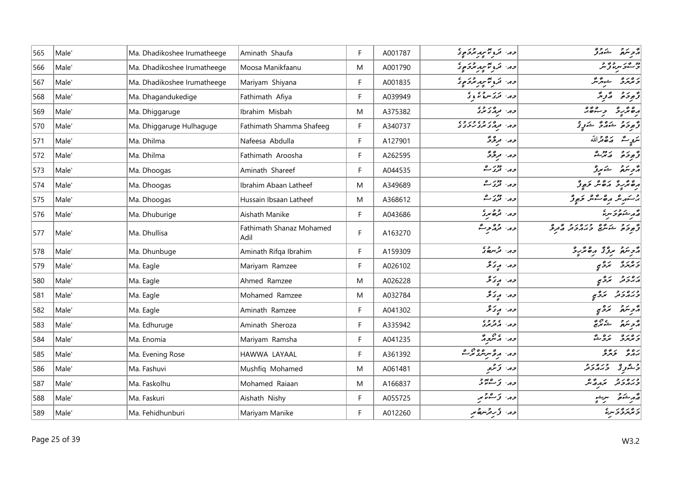| 565 | Male' | Ma. Dhadikoshee Irumatheege | Aminath Shaufa                   | F  | A001787 | ره زر مرد تور برد و د مرد استاده براسمبرد با استاده براسمبرد با براسمبرد با براسمبرد با براسمبرد با<br>مرد استاده براسمبرد براسمبرد براسمبرد براسمبرد براسمبرد براسمبرد براسمبرد براسمبرد براسمبرد براسمبرد براسمبرد | أروسكم المشارقر                                                                                                                                                                                                                  |
|-----|-------|-----------------------------|----------------------------------|----|---------|----------------------------------------------------------------------------------------------------------------------------------------------------------------------------------------------------------------------|----------------------------------------------------------------------------------------------------------------------------------------------------------------------------------------------------------------------------------|
| 566 | Male' | Ma. Dhadikoshee Irumatheege | Moosa Manikfaanu                 | M  | A001790 | وړ٠ تروتر پروتروتو د                                                                                                                                                                                                 | دو مړي په ده و.<br>د سرد سربانو س                                                                                                                                                                                                |
| 567 | Male' | Ma. Dhadikoshee Irumatheege | Mariyam Shiyana                  | F  | A001835 | در نروت <sup>پر</sup> برم <sup>و</sup> د و <sup>ی</sup>                                                                                                                                                              | كرەرە ھەر ش                                                                                                                                                                                                                      |
| 568 | Male' | Ma. Dhagandukedige          | Fathimath Afiya                  | F  | A039949 | ور. ترکه سره ۲۶                                                                                                                                                                                                      | والمحافية والمحرار                                                                                                                                                                                                               |
| 569 | Male' | Ma. Dhiggaruge              | Ibrahim Misbah                   | M  | A375382 | وړ٠ تورو ده.<br>در                                                                                                                                                                                                   | دەندىق دىسى                                                                                                                                                                                                                      |
| 570 | Male' | Ma. Dhiggaruge Hulhaguge    | Fathimath Shamma Shafeeg         | F  | A340737 |                                                                                                                                                                                                                      | وَجِعِدَةٍ حَبَيْدَةٌ حَبَوٍ وَ                                                                                                                                                                                                  |
| 571 | Male' | Ma. Dhilma                  | Nafeesa Abdulla                  | F  | A127901 | وړ٠ ترڅرگ                                                                                                                                                                                                            | سَعَيٍّــتَمَّــــ صَ <b>صَد</b> َاللَّه                                                                                                                                                                                         |
| 572 | Male' | Ma. Dhilma                  | Fathimath Aroosha                | F  | A262595 | وړ٠ تروگ                                                                                                                                                                                                             | توجوحه المائدية                                                                                                                                                                                                                  |
| 573 | Male' | Ma. Dhoogas                 | Aminath Shareef                  | F  | A044535 | وړ ور د                                                                                                                                                                                                              | أأدوسكم شورو                                                                                                                                                                                                                     |
| 574 | Male' | Ma. Dhoogas                 | Ibrahim Abaan Latheef            | M  | A349689 | وړ ودر ه                                                                                                                                                                                                             |                                                                                                                                                                                                                                  |
| 575 | Male' | Ma. Dhoogas                 | Hussain Ibsaan Latheef           | M  | A368612 | وړ ودر ه                                                                                                                                                                                                             | ر سركر مره شمر كرو و محمد براسم به براسم براسم براسم براسم براسم براسم براسم براسم براسم براسم براسم براسم برا<br>مراسم براسم براسم براسم براسم براسم براسم براسم براسم براسم براسم براسم براسم براسم براسم براسم براسم براسم بر |
| 576 | Male' | Ma. Dhuburige               | Aishath Manike                   | F  | A043686 | دړ٠ تره برو                                                                                                                                                                                                          |                                                                                                                                                                                                                                  |
| 577 | Male' | Ma. Dhullisa                | Fathimath Shanaz Mohamed<br>Adil | F  | A163270 | دە. ئۇرگوپ                                                                                                                                                                                                           | و دو دره دره در و و و                                                                                                                                                                                                            |
| 578 | Male' | Ma. Dhunbuge                | Aminath Rifqa Ibrahim            | F  | A159309 | בו. נקייק <i>ים ב</i>                                                                                                                                                                                                | أزويته بروته ره تزرد                                                                                                                                                                                                             |
| 579 | Male' | Ma. Eagle                   | Mariyam Ramzee                   | F  | A026102 | دړ ، ږيځ                                                                                                                                                                                                             | د ۵ ر د ۲ ر ۵ ر ۵ ر                                                                                                                                                                                                              |
| 580 | Male' | Ma. Eagle                   | Ahmed Ramzee                     | M  | A026228 | وړ٠ د د کو                                                                                                                                                                                                           | رەرد رەپ                                                                                                                                                                                                                         |
| 581 | Male' | Ma. Eagle                   | Mohamed Ramzee                   | M  | A032784 | وړ٠ پرکو                                                                                                                                                                                                             | وره رو ده                                                                                                                                                                                                                        |
| 582 | Male' | Ma. Eagle                   | Aminath Ramzee                   | F  | A041302 | ادر دیگر                                                                                                                                                                                                             | أزوينهم تردمي                                                                                                                                                                                                                    |
| 583 | Male' | Ma. Edhuruge                | Aminath Sheroza                  | F  | A335942 | ے و و ع<br>وەس مەنغرىمى                                                                                                                                                                                              | $\overline{\begin{array}{ccc} \overline{266} & \overline{266} \\ \overline{266} & \overline{266} \end{array}}$                                                                                                                   |
| 584 | Male' | Ma. Enomia                  | Mariyam Ramsha                   | F  | A041235 | در مشعرهٔ                                                                                                                                                                                                            | د ۱۵ ده د کرو گ                                                                                                                                                                                                                  |
| 585 | Male' | Ma. Evening Rose            | HAWWA LAYAAL                     | F  | A361392 | בו הפיתייטביב                                                                                                                                                                                                        | ره په کرده                                                                                                                                                                                                                       |
| 586 | Male' | Ma. Fashuvi                 | Mushfiq Mohamed                  | M  | A061481 | وړ٤ ترتمو                                                                                                                                                                                                            | و وره در در                                                                                                                                                                                                                      |
| 587 | Male' | Ma. Faskolhu                | Mohamed Raiaan                   | M  | A166837 | בו צ'ייני                                                                                                                                                                                                            | ورەرو بردۇش                                                                                                                                                                                                                      |
| 588 | Male' | Ma. Faskuri                 | Aishath Nishy                    | F. | A055725 | —<br>  <i>حەن ق</i> ىسىملىمىيە<br> -                                                                                                                                                                                 | الا<br>الدائم مشومی المورشو<br>الدائم مرکزی                                                                                                                                                                                      |
| 589 | Male' | Ma. Fehidhunburi            | Mariyam Manike                   | F  | A012260 | ور. ژُرِ ترْسهُ بر                                                                                                                                                                                                   | ر ٥ ر ٥ ر ٢٠                                                                                                                                                                                                                     |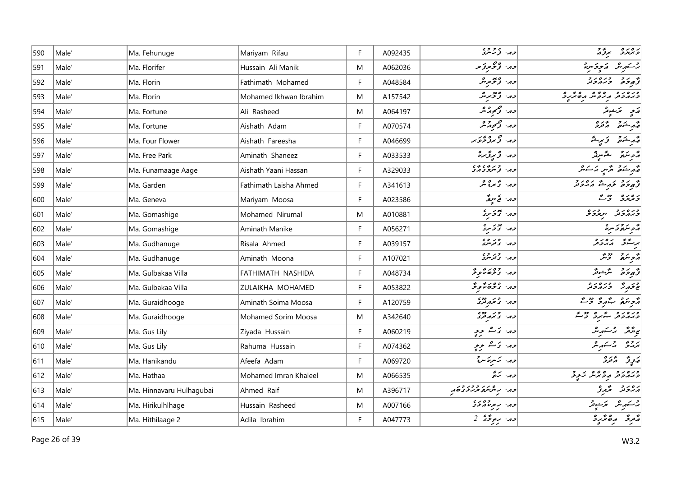| 590 | Male' | Ma. Fehunuge             | Mariyam Rifau          | F           | A092435 | وړ ورس                        | د ۱۵ د به د و                                |
|-----|-------|--------------------------|------------------------|-------------|---------|-------------------------------|----------------------------------------------|
| 591 | Male' | Ma. Florifer             | Hussain Ali Manik      | M           | A062036 | دە. ئۇنۇپرۇپر                 | وحسكر مكافح والمراديم                        |
| 592 | Male' | Ma. Florin               | Fathimath Mohamed      | $\mathsf F$ | A048584 | دە. ۋىۋىرىگە                  | و ده وره در                                  |
| 593 | Male' | Ma. Florin               | Mohamed Ikhwan Ibrahim | M           | A157542 | در. ومجر عبر مثر              | כנים ניבח הפית הסיקיקים                      |
| 594 | Male' | Ma. Fortune              | Ali Rasheed            | M           | A064197 | در گرم دمگر                   | أركمني المركب وتر                            |
| 595 | Male' | Ma. Fortune              | Aishath Adam           | $\mathsf F$ | A070574 | در و محموم مل                 | و در دره<br>مگرشو مګرد                       |
| 596 | Male' | Ma. Four Flower          | Aishath Fareesha       | F           | A046699 | وړ٠ ژمونونو <i>پر</i>         | وكركو وكرك                                   |
| 597 | Male' | Ma. Free Park            | Aminath Shaneez        | $\mathsf F$ | A033533 | حەر، ئۇ ئورگە ئىرىنا          | أأدمر المستقلية                              |
| 598 | Male' | Ma. Funamaage Aage       | Aishath Yaani Hassan   | F           | A329033 | ور و ده ده ده<br>در و شرق درد | و در در در به برگرده .<br>در شوم گرمبر برگرد |
| 599 | Male' | Ma. Garden               | Fathimath Laisha Ahmed | F           | A341613 | حەر، ئەسمى ھ                  | توجوج ترمث مهدد                              |
| 600 | Male' | Ma. Geneva               | Mariyam Moosa          | F           | A023586 | و ۾ سي سيءَ                   | رەرە «ئ                                      |
| 601 | Male' | Ma. Gomashige            | Mohamed Nirumal        | M           | A010881 | <br>  دړينۍ ترکي              | ورەرو سرگروگو                                |
| 602 | Male' | Ma. Gomashige            | Aminath Manike         | F           | A056271 | وړ بوترنگ                     | أمحر سكوخر سرع                               |
| 603 | Male' | Ma. Gudhanuge            | Risala Ahmed           | $\mathsf F$ | A039157 | ور ور ور<br><i>و</i> ر کوترس  | برسموش كالمائزونر                            |
| 604 | Male' | Ma. Gudhanuge            | Aminath Moona          | F           | A107021 | כני בנמש                      | أأدم المحمد المحمد                           |
| 605 | Male' | Ma. Gulbakaa Villa       | FATHIMATH NASHIDA      | F           | A048734 | ورسى وەر ئەر ئى               | تزجوخا متمشوش                                |
| 606 | Male' | Ma. Gulbakaa Villa       | ZULAIKHA MOHAMED       | F           | A053822 | ورسى وەرمۇمۇ                  | يحكم في المحدد المحمد                        |
| 607 | Male' | Ma. Guraidhooge          | Aminath Soima Moosa    | F           | A120759 | כוזי המקבירה<br>כוזי המקבירה  |                                              |
| 608 | Male' | Ma. Guraidhooge          | Mohamed Sorim Moosa    | M           | A342640 | <br>  כוזי - ב' יינות בגב     | ورەرو پەرە دەم                               |
| 609 | Male' | Ma. Gus Lily             | Ziyada Hussain         | F           | A060219 | در کرے وو                     | ى مەڭر كەسكىر بىر                            |
| 610 | Male' | Ma. Gus Lily             | Rahuma Hussain         | F           | A074362 | در کرگ دو                     | بروه برخمه                                   |
| 611 | Male' | Ma. Hanikandu            | Afeefa Adam            | F           | A069720 | ورس كبرماسي                   | ړې په پره                                    |
| 612 | Male' | Ma. Hathaa               | Mohamed Imran Khaleel  | M           | A066535 | ود. رَصِّ                     | ورەرو روپمى ئېچى                             |
| 613 | Male' | Ma. Hinnavaru Hulhagubai | Ahmed Raif             | M           | A396717 | وړ٠ رسمبرو دور وه د           | ړه ده پروژ                                   |
| 614 | Male' | Ma. Hirikulhlhage        | Hussain Rasheed        | M           | A007166 | כתי התעמשים<br>קי             | جاسكويش الكركسوفر                            |
| 615 | Male' | Ma. Hithilaage 2         | Adila Ibrahim          | F           | A047773 | ور. رەۋد 2                    | ە ئىرقى مەھەرد                               |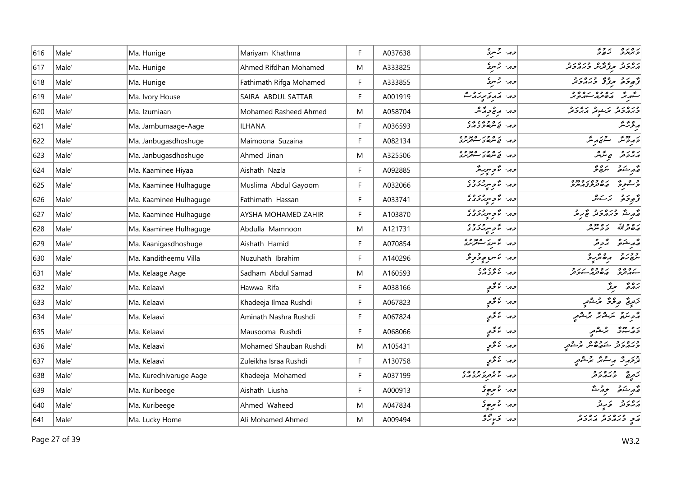| 616 | Male' | Ma. Hunige             | Mariyam Khathma         | F         | A037638 | وړ کرس                                                                       | ره ره د و و                                                |
|-----|-------|------------------------|-------------------------|-----------|---------|------------------------------------------------------------------------------|------------------------------------------------------------|
| 617 | Male' | Ma. Hunige             | Ahmed Rifdhan Mohamed   | M         | A333825 | وړ ژبره                                                                      | ره ر د ه ده و د ره ر د<br>  پر د تر مرو تر شر د بر پر د تر |
| 618 | Male' | Ma. Hunige             | Fathimath Rifga Mohamed | F.        | A333855 | وړ کرس                                                                       | توجدة برؤة وبرورد                                          |
| 619 | Male' | Ma. Ivory House        | SAIRA ABDUL SATTAR      | F.        | A001919 | <i>دە. مەمۇمىرىم</i> ۇت                                                      | سگر مخر مره ده در در در                                    |
| 620 | Male' | Ma. Izumiaan           | Mohamed Rasheed Ahmed   | M         | A058704 | <i>د</i> ړ. رنج پر مگ                                                        | ورەرو رىيىشوتر مەرو<br><i>وبەم</i> وتر برىشوتر مەروتر      |
| 621 | Male' | Ma. Jambumaage-Aage    | <b>ILHANA</b>           | F         | A036593 | 1919901.                                                                     | بروژنٹر                                                    |
| 622 | Male' | Ma. Janbugasdhoshuge   | Maimoona Suzaina        | F         | A082134 | ر ۲۰۰۵ روپو د ۲<br>دړ کا شهاد سترس                                           | ۇردىق سۇمرىتر                                              |
| 623 | Male' | Ma. Janbugasdhoshuge   | Ahmed Jinan             | ${\sf M}$ | A325506 | ر ۲۰۰۵ روپو د ۲<br>دړ کا شهاد سوترس                                          | أرور ويرمح                                                 |
| 624 | Male' | Ma. Kaaminee Hiyaa     | Aishath Nazla           | F.        | A092885 | وړ٠ تأو سربر پر                                                              | ۇرىشقى سىنى ئى                                             |
| 625 | Male' | Ma. Kaaminee Hulhaguge | Muslima Abdul Gayoom    | F         | A032066 | وړ٠ نۀ د سربر ور ور<br>در ۱۰ نۀ د سربر ور ور                                 | و ه د ۲۵۶۵۶۵<br>د سرود که محمد دورو                        |
| 626 | Male' | Ma. Kaaminee Hulhaguge | Fathimath Hassan        | F.        | A033741 | دړ٠ لم تر سرچ پر د ،<br>                                                     | ۇۋدۇ ئەسكىر                                                |
| 627 | Male' | Ma. Kaaminee Hulhaguge | AYSHA MOHAMED ZAHIR     | F         | A103870 | در گرس در د ،<br>در گرس در                                                   | و دره در در د و د د                                        |
| 628 | Male' | Ma. Kaaminee Hulhaguge | Abdulla Mamnoon         | M         | A121731 | وړ٠ نۀ د سرچر و ،<br>در٠ نۀ د سرچر و ،                                       | رە داللە بە دەرە                                           |
| 629 | Male' | Ma. Kaanigasdhoshuge   | Aishath Hamid           | F         | A070854 | وړ٠ ته سري گونوري<br><i>د</i> ړ٠ ته سري گونوري                               | وأرشكم المجاور                                             |
| 630 | Male' | Ma. Kanditheemu Villa  | Nuzuhath Ibrahim        | F         | A140296 | در. ، ئىسدە پەرتىرىگە                                                        | ככנכ הסתנכ                                                 |
| 631 | Male' | Ma. Kelaage Aage       | Sadham Abdul Samad      | M         | A160593 | גם היה היה<br>החיי מי <i>יב</i> דודב                                         | ره ۵۰ میلو ده در در<br>سوړونر د پره تر پر سود تر           |
| 632 | Male' | Ma. Kelaavi            | Hawwa Rifa              | F         | A038166 | دە. ئاقرەپ                                                                   | ر ه پ<br>برآرڅ<br>سموقر                                    |
| 633 | Male' | Ma. Kelaavi            | Khadeeja Ilmaa Rushdi   | F.        | A067823 | حەر ، ئىم ئۇ <sub>ھي</sub>                                                   | ترىرى پروۇ برىشىر                                          |
| 634 | Male' | Ma. Kelaavi            | Aminath Nashra Rushdi   | F.        | A067824 | در ، ءُ ڏُو                                                                  | أأدم مكرة الكرشور المراجعي                                 |
| 635 | Male' | Ma. Kelaavi            | Mausooma Rushdi         | F         | A068066 | دە. ئاۋە                                                                     | ر د دده د وروپر<br>د د سرگر مرشوبه                         |
| 636 | Male' | Ma. Kelaavi            | Mohamed Shauban Rushdi  | M         | A105431 | وړ· غځې                                                                      | وره ر و در وره ه و وه و.<br>وبربروتر څربره شريعي برخونږ    |
| 637 | Male' | Ma. Kelaavi            | Zuleikha Israa Rushdi   | F         | A130758 | -<br>  <i>وه</i> · عگو <sub>ي</sub>                                          | فرحرمر شرعته برهور                                         |
| 638 | Male' | Ma. Kuredhivaruge Aage | Khadeeja Mohamed        | F         | A037199 | وړ٠ م <del>بر</del> ترو بر <sub>ک</sub> ره<br>دړ٠ م برترو بر <sub>ک</sub> رر | زَمْرِيحَ وَيَرُومُومُ                                     |
| 639 | Male' | Ma. Kuribeege          | Aishath Liusha          | F.        | A000913 | $rac{c}{s}$                                                                  | أقهر شدة والمرشو                                           |
| 640 | Male' | Ma. Kuribeege          | Ahmed Waheed            | M         | A047834 | כני עיקים ב<br>גי                                                            | رەر دىر دىگر                                               |
| 641 | Male' | Ma. Lucky Home         | Ali Mohamed Ahmed       | M         | A009494 | حەر. ئۇيە <sup>00</sup>                                                      | د وره دو ره دو د                                           |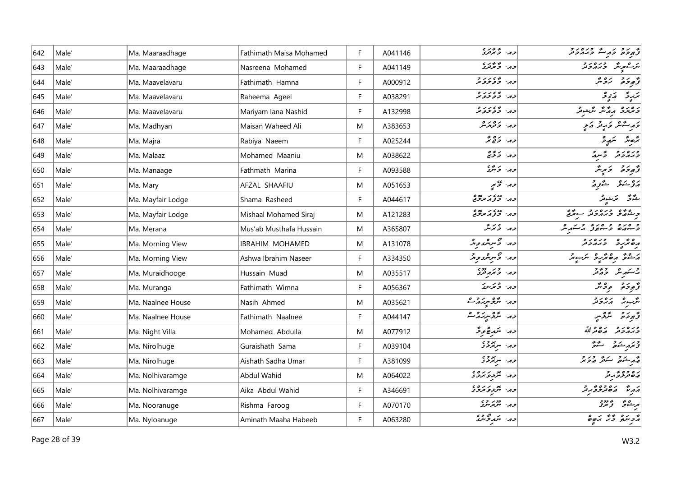| 642 | Male' | Ma. Maaraadhage   | Fathimath Maisa Mohamed | F         | A041146 | وړ و تور ،<br>وړ و ترلوی               | לפלם בת בינים                                                                                                                                                                                                                 |
|-----|-------|-------------------|-------------------------|-----------|---------|----------------------------------------|-------------------------------------------------------------------------------------------------------------------------------------------------------------------------------------------------------------------------------|
| 643 | Male' | Ma. Maaraadhage   | Nasreena Mohamed        | F         | A041149 | و در په دره<br>وه د گرمزد              | پرک پر در در در                                                                                                                                                                                                               |
| 644 | Male' | Ma. Maavelavaru   | Fathimath Hamna         | F         | A000912 | وړ ورور د<br>وړ وونونونو               | و المحمد المحمد المحمد المحمد المحمد المحمد المحمد المحمد المحمدة المحمدة المحمدة المحمدة المحمدة ال                                                                                                                          |
| 645 | Male' | Ma. Maavelavaru   | Raheema Ageel           | F         | A038291 | وړ ورو ده<br>وړ وگونونونو              | بَرْرِدَ - مَاتِرِ وَ                                                                                                                                                                                                         |
| 646 | Male' | Ma. Maavelavaru   | Mariyam lana Nashid     | F         | A132998 | وړ گونونو تر<br>وړ گونونو تر           | ו פנים ההיית ית.<br>בינות ההיית ית. בנ                                                                                                                                                                                        |
| 647 | Male' | Ma. Madhyan       | Maisan Waheed Ali       | M         | A383653 | وړ وتربرگر                             | ورشش ورو دي                                                                                                                                                                                                                   |
| 648 | Male' | Ma. Majra         | Rabiya Naeem            | F         | A025244 | ود کی تر                               | بمُصِدٌ سَمِدٍ وَ                                                                                                                                                                                                             |
| 649 | Male' | Ma. Malaaz        | Mohamed Maaniu          | ${\sf M}$ | A038622 | وړ کوگړه                               | בגםגב ביינה                                                                                                                                                                                                                   |
| 650 | Male' | Ma. Manaage       | Fathmath Marina         | F         | A093588 | وړ کري                                 | وتجوخو وسير                                                                                                                                                                                                                   |
| 651 | Male' | Ma. Mary          | AFZAL SHAAFIU           | M         | A051653 | وړ بي پر                               | پره پره په شوړ                                                                                                                                                                                                                |
| 652 | Male' | Ma. Mayfair Lodge | Shama Rasheed           | F         | A044617 | $\frac{1}{2}$                          | أحقاق المركبونر                                                                                                                                                                                                               |
| 653 | Male' | Ma. Mayfair Lodge | Mishaal Mohamed Siraj   | M         | A121283 | در به در بده<br>  در گزار مرکزم        | و شوره و وړه د د ده ده                                                                                                                                                                                                        |
| 654 | Male' | Ma. Merana        | Mus'ab Musthafa Hussain | M         | A365807 | وړ کوبوگر                              | و ورو و ورد و رکه و                                                                                                                                                                                                           |
| 655 | Male' | Ma. Morning View  | <b>IBRAHIM MOHAMED</b>  | M         | A131078 | وړ٠ <sub>څ</sub> سرسر <sub>ۍ و</sub> ر | 1010 - 1010 - 1010 - 1010 - 1010 - 1010 - 1010 - 1010 - 1010 - 1010 - 1010 - 1010 - 1010 - 1010 - 1010 - 1010 - 1010 - 1010 - 1010 - 1010 - 1010 - 1010 - 1010 - 1010 - 1010 - 1010 - 1010 - 1010 - 1010 - 1010 - 1010 - 1010 |
| 656 | Male' | Ma. Morning View  | Ashwa Ibrahim Naseer    | F         | A334350 | وړ٠ د سرسرو پر                         | أروء أرە ئەر ئىسىدىگى                                                                                                                                                                                                         |
| 657 | Male' | Ma. Muraidhooge   | Hussain Muad            | M         | A035517 | כוזי כ"מקטבב<br>כוזי כ"מקטבב           | 2007 متر مرد در در در                                                                                                                                                                                                         |
| 658 | Male' | Ma. Muranga       | Fathimath Wimna         | F         | A056367 | בו במיעצ                               | أراوحوه ودهم                                                                                                                                                                                                                  |
| 659 | Male' | Ma. Naalnee House | Nasih Ahmed             | M         | A035621 | دە. ئ <i>ىروپىرىدى</i><br>مە           | شرب مدد و                                                                                                                                                                                                                     |
| 660 | Male' | Ma. Naalnee House | Fathimath Naalnee       | F         | A044147 | دە. ئ <i>ىروپىرىدى</i>                 | أراموخاما التركاسي                                                                                                                                                                                                            |
| 661 | Male' | Ma. Night Villa   | Mohamed Abdulla         | M         | A077912 | حەر سىمبەغ <i>بو</i> ڭر                | وره رو دەقراللە                                                                                                                                                                                                               |
| 662 | Male' | Ma. Nirolhuge     | Guraishath Sama         | F         | A039104 | وړ سرچرون                              | تو تر مرشور کرد کر                                                                                                                                                                                                            |
| 663 | Male' | Ma. Nirolhuge     | Aishath Sadha Umar      | F         | A381099 | برور سرپرور<br>در سرپرور               | أور من و المحمد المركز من المحمد                                                                                                                                                                                              |
| 664 | Male' | Ma. Nolhivaramge  | Abdul Wahid             | ${\sf M}$ | A064022 | پر به مرده د<br>در شرده برد د          | ره وه و و<br>د ه تروه بر تر                                                                                                                                                                                                   |
| 665 | Male' | Ma. Nolhivaramge  | Aika Abdul Wahid        | F         | A346691 | وړ٠ شر <sub>وم تره و</sub>             | أمرش ما معرورة بالمر                                                                                                                                                                                                          |
| 666 | Male' | Ma. Nooranuge     | Rishma Faroog           | F         | A070170 | חז הזה<br>כני ייתוב ייתוב              | برڪو گريزو                                                                                                                                                                                                                    |
| 667 | Male' | Ma. Nyloanuge     | Aminath Maaha Habeeb    | F         | A063280 | وړ سروسری                              | $rac{1}{600}$                                                                                                                                                                                                                 |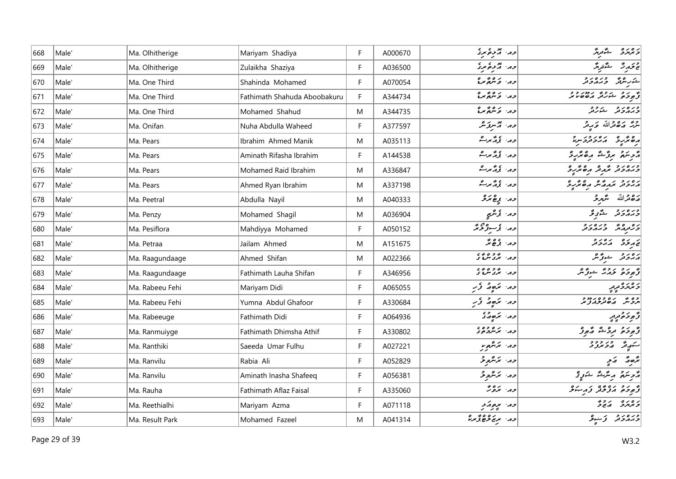| 668 | Male' | Ma. Olhitherige | Mariyam Shadiya              | F           | A000670 | حەر بەلگەم تەرىپى<br>مەر بەلگەم كەنبەرى | ے ذور <i>م</i> رکز<br>ر ه ر ه<br>تر بر بر                             |
|-----|-------|-----------------|------------------------------|-------------|---------|-----------------------------------------|-----------------------------------------------------------------------|
| 669 | Male' | Ma. Olhitherige | Zulaikha Shaziya             | $\mathsf F$ | A036500 | وړ٠ مر <sub>وم</sub> ونو                | چوکریڈ ﷺ                                                              |
| 670 | Male' | Ma. One Third   | Shahinda Mohamed             | $\mathsf F$ | A070054 | ر ه ده و ه<br>در وسرونره                | خىرىدىگە دىمەددى                                                      |
| 671 | Male' | Ma. One Third   | Fathimath Shahuda Aboobakuru | F           | A344734 | ور. وسموس                               | ه د د د ده دور د د<br>ژبوده شرکتر مان مر                              |
| 672 | Male' | Ma. One Third   | Mohamed Shahud               | M           | A344735 | ور کوسی ده                              | ورەر د سەرد<br><i>وبرەرى شەرى</i> ر                                   |
| 673 | Male' | Ma. Onifan      | Nuha Abdulla Waheed          | $\mathsf F$ | A377597 | دە. ئ <sup>ې</sup> ستەك                 | حريحه برە قراللە ئەبرىتر                                              |
| 674 | Male' | Ma. Pears       | Ibrahim Ahmed Manik          | M           | A035113 | دە. بۇرگەر ھ                            | תפתיב הגבנקביתי                                                       |
| 675 | Male' | Ma. Pears       | Aminath Rifasha Ibrahim      | F           | A144538 | ور. بۇرگەر ھ                            | ړٌو سَمَرُ سِرڙُ گُ ره تُرُرِدُ                                       |
| 676 | Male' | Ma. Pears       | Mohamed Raid Ibrahim         | M           | A336847 | دە. ئۇرگىرىش                            | כנסנק האתל תסתנק                                                      |
| 677 | Male' | Ma. Pears       | Ahmed Ryan Ibrahim           | M           | A337198 | ور بورم ره                              | גפיק הקה"ית הפיתיקי                                                   |
| 678 | Male' | Ma. Peetral     | Abdulla Nayil                | M           | A040333 | در. ب <sub>و</sub> غزۇ                  | رەقراللە شرىرتى                                                       |
| 679 | Male' | Ma. Penzy       | Mohamed Shaqil               | M           | A036904 | دە. ئۇشىي                               | ورەرو ئەتى<br><i>دىدە</i> رىر ئىتى                                    |
| 680 | Male' | Ma. Pesiflora   | Mahdiyya Mohamed             | F           | A050152 | دە بۇسۇمۇمۇ                             | و رە ر د<br>تر پروتر<br>تر قرمر پڑ                                    |
| 681 | Male' | Ma. Petraa      | Jailam Ahmed                 | M           | A151675 | رد. بۇ ھەتگە                            | בת כב המכנת                                                           |
| 682 | Male' | Ma. Raagundaage | Ahmed Shifan                 | M           | A022366 | و د ۲۵۶۶<br>وړ کري سره ک                | رەرد جوگىر                                                            |
| 683 | Male' | Ma. Raagundaage | Fathimath Lauha Shifan       | F           | A346956 | و در به ده و د د و<br>و در به سره سره د | رًم دو دور شرو ش                                                      |
| 684 | Male' | Ma. Rabeeu Fehi | Mariyam Didi                 | F.          | A065055 | در نموه ژر                              | ر و بره بربر<br>  <i>د بر</i> بر د بربر                               |
| 685 | Male' | Ma. Rabeeu Fehi | Yumna Abdul Ghafoor          | F           | A330684 | ور برّه و کر                            | כם מ' בסבפורב ב<br>תכיל ה' <i>סביבה צ'יד</i>                          |
| 686 | Male' | Ma. Rabeeuge    | Fathimath Didi               | F           | A064936 | כתי ת'סביב                              | تر جو حرکم تور تور                                                    |
| 687 | Male' | Ma. Ranmuiyge   | Fathimath Dhimsha Athif      | F           | A330802 |                                         | و دو ده شوره و                                                        |
| 688 | Male' | Ma. Ranthiki    | Saeeda Umar Fulhu            | $\mathsf F$ | A027221 | $5.8005 - 12$                           | سكهاش ورودود                                                          |
| 689 | Male' | Ma. Ranvilu     | Rabia Ali                    | $\mathsf F$ | A052829 | در. ئەنگرىدۇ                            | $\frac{1}{2}$ $\frac{1}{2}$ $\frac{1}{2}$ $\frac{1}{2}$ $\frac{1}{2}$ |
| 690 | Male' | Ma. Ranvilu     | Aminath Inasha Shafeeq       | F           | A056381 | در. ئەشرو ئ                             | أروسكم وسرائية الحكموني                                               |
| 691 | Male' | Ma. Rauha       | Fathimath Aflaz Faisal       | $\mathsf F$ | A335060 | وړ بروبځ                                | و ده ده ده و در که                                                    |
| 692 | Male' | Ma. Reethialhi  | Mariyam Azma                 | $\mathsf F$ | A071118 | در بروز د<br>پ                          | נפנס נדש                                                              |
| 693 | Male' | Ma. Result Park | Mohamed Fazeel               | M           | A041314 | כתי תשלפי לאתם                          | ورەرو تەنبى                                                           |
|     |       |                 |                              |             |         |                                         |                                                                       |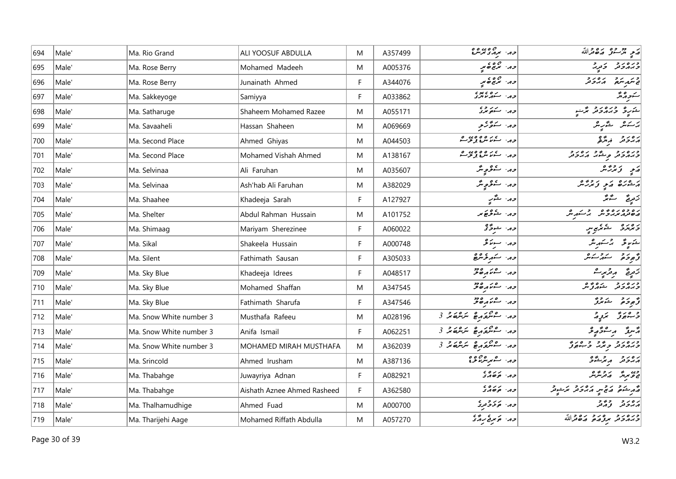| 694 | Male' | Ma. Rio Grand           | ALI YOOSUF ABDULLA          | M           | A357499 | ם סיט סיס<br>כו <i>גי יית</i> ו <i>ב ית</i> יית | أرسع فرحوم بردورالله                       |
|-----|-------|-------------------------|-----------------------------|-------------|---------|-------------------------------------------------|--------------------------------------------|
| 695 | Male' | Ma. Rose Berry          | Mohamed Madeeh              | M           | A005376 | در چهڅوند                                       | وبرورو كورو                                |
| 696 | Male' | Ma. Rose Berry          | Junainath Ahmed             | F           | A344076 | $500 - 200$                                     | اء سکر سکھ در مارچ<br>  مسکر سکھ در مارچ م |
| 697 | Male' | Ma. Sakkeyoge           | Samiyya                     | F           | A033862 | $57501 - 17$                                    | سأدروش                                     |
| 698 | Male' | Ma. Satharuge           | Shaheem Mohamed Razee       | M           | A055171 | وړ کويږي                                        | كالمذرو ورودو المحاسو                      |
| 699 | Male' | Ma. Savaaheli           | Hassan Shaheen              | M           | A069669 | وە سەۋرى <i>ي</i>                               | پرستمبر مشریکر                             |
| 700 | Male' | Ma. Second Place        | Ahmed Ghiyas                | M           | A044503 | ەر، سىزىسى بۇ بۇرسە                             | رەرو رېږه                                  |
| 701 | Male' | Ma. Second Place        | Mohamed Vishah Ahmed        | M           | A138167 | ەر، سىرتەرە ەي <sub>ئە</sub> ھ                  | ورەر د پەر رەر د                           |
| 702 | Male' | Ma. Selvinaa            | Ali Faruhan                 | M           | A035607 | حەر سىمبۇ ھ <sub>ي</sub> س                      | ە ئەرەپىر                                  |
| 703 | Male' | Ma. Selvinaa            | Ash'hab Ali Faruhan         | M           | A382029 | دە. سىۋەپەگە                                    | كمشرك كمي وترجم                            |
| 704 | Male' | Ma. Shaahee             | Khadeeja Sarah              | F           | A127927 | ده. ځې                                          | زَمِيعٌ سُنَجَرٌ                           |
| 705 | Male' | Ma. Shelter             | Abdul Rahman Hussain        | M           | A101752 | در شوگویمر                                      | גם כסגסתים - כגם                           |
| 706 | Male' | Ma. Shimaaq             | Mariyam Sherezinee          | F           | A060022 | أور. سووٌ تو                                    | و وره در در په مر                          |
| 707 | Male' | Ma. Sikal               | Shakeela Hussain            | $\mathsf F$ | A000748 | $rac{2}{\sqrt{2}}$                              | شكىر ئۇ بەر شەر ش                          |
| 708 | Male' | Ma. Silent              | Fathimath Sausan            | F           | A305033 | در. سُهر دُروهِ                                 | ۇمومۇ سىمەسكىر                             |
| 709 | Male' | Ma. Sky Blue            | Khadeeja Idrees             | F           | A048517 | בו היינוק סיב                                   | زَمْرِیْحُ مِنْدِیْرِ شَ                   |
| 710 | Male' | Ma. Sky Blue            | Mohamed Shaffan             | M           | A347545 | בו היות סיב                                     | ورەرو شەەھ ھ                               |
| 711 | Male' | Ma. Sky Blue            | Fathimath Sharufa           | $\mathsf F$ | A347546 | 30, 12, 12                                      | ژودۇ خىرژ                                  |
| 712 | Male' | Ma. Snow White number 3 | Musthafa Rafeeu             | M           | A028196 | ور. مستقدم شهره د 3                             | و مروس پروه                                |
| 713 | Male' | Ma. Snow White number 3 | Anifa Ismail                | F           | A062251 | ور. مستقدم شهره د 3                             | ۇسۇ بەستۇپچ                                |
| 714 | Male' | Ma. Snow White number 3 | MOHAMED MIRAH MUSTHAFA      | M           | A362039 | בגי ליית בתפת כן משתפית 3                       | כנסנים ומכים בסנים<br>בממכת קימי בי-ית     |
| 715 | Male' | Ma. Srincold            | Ahmed Irusham               | M           | A387136 | ور. ڪير سربريو ۽ ه                              | ג פי כ ה ב ב ב כ                           |
| 716 | Male' | Ma. Thabahge            | Juwayriya Adnan             | F           | A082921 | $5000 - 15$                                     | وي پر پر پر پر پر پ                        |
| 717 | Male' | Ma. Thabahge            | Aishath Aznee Ahmed Rasheed | F           | A362580 | $5000 - 15$                                     | وأمر شكوه أو كالمركب والمحر المراجعة والمر |
| 718 | Male' | Ma. Thalhamudhige       | Ahmed Fuad                  | M           | A000700 | دړ٠ وگړونو د                                    | ره رو ووو<br>مەرومىي ئىمەمىي               |
| 719 | Male' | Ma. Tharijehi Aage      | Mohamed Riffath Abdulla     | M           | A057270 | در کو برقی بروی                                 | وره رو مروره و ده درالله                   |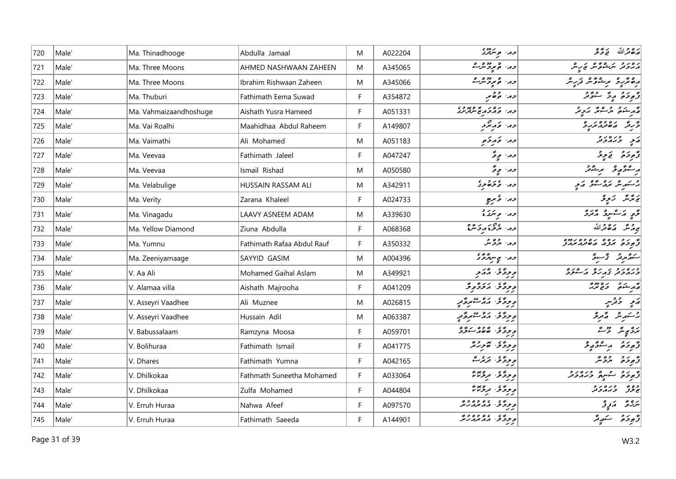| 720 | Male' | Ma. Thinadhooge        | Abdulla Jamaal             | M  | A022204 | وړ٠ <sub>جو</sub> سربرو                                                                                                                                                                                                                                                                                                                                                                                                                                                                                                              | مَدْهَ مَرْ لِلَّهُ ۖ مَحَرٌ حَمْرٌ            |
|-----|-------|------------------------|----------------------------|----|---------|--------------------------------------------------------------------------------------------------------------------------------------------------------------------------------------------------------------------------------------------------------------------------------------------------------------------------------------------------------------------------------------------------------------------------------------------------------------------------------------------------------------------------------------|------------------------------------------------|
| 721 | Male' | Ma. Three Moons        | AHMED NASHWAAN ZAHEEN      | M  | A345065 | وړ٠ و برو س                                                                                                                                                                                                                                                                                                                                                                                                                                                                                                                          | رەر دېرە ئەھمىرى كېرىش                         |
| 722 | Male' | Ma. Three Moons        | Ibrahim Rishwaan Zaheen    | M  | A345066 | وړ٠ و پروترگ                                                                                                                                                                                                                                                                                                                                                                                                                                                                                                                         | رەترىر برخۇش ترىرىش                            |
| 723 | Male' | Ma. Thuburi            | Fathimath Eema Suwad       | F  | A354872 | ود. موځند                                                                                                                                                                                                                                                                                                                                                                                                                                                                                                                            | 332 34323                                      |
| 724 | Male' | Ma. Vahmaizaandhoshuge | Aishath Yusra Hameed       | F  | A051331 | בגי המכתים יישובים                                                                                                                                                                                                                                                                                                                                                                                                                                                                                                                   |                                                |
| 725 | Male' | Ma. Vai Roalhi         | Maahidhaa Abdul Raheem     | F  | A149807 | وړ وَړندې                                                                                                                                                                                                                                                                                                                                                                                                                                                                                                                            | و و ده ده ده و د                               |
| 726 | Male' | Ma. Vaimathi           | Ali Mohamed                | M  | A051183 | وړ٠ وَروَمِ                                                                                                                                                                                                                                                                                                                                                                                                                                                                                                                          | أمجمع وره رد                                   |
| 727 | Male' | Ma. Veevaa             | Fathimath Jaleel           | F  | A047247 | وړ٠ وٍوً                                                                                                                                                                                                                                                                                                                                                                                                                                                                                                                             | وَّحْوَدَهُ فَيَجْمَعُ                         |
| 728 | Male' | Ma. Veevaa             | Ismail Rishad              | M  | A050580 | وړ٠ وٍوً                                                                                                                                                                                                                                                                                                                                                                                                                                                                                                                             | ر عۇرۇ برخەش                                   |
| 729 | Male' | Ma. Velabulige         | HUSSAIN RASSAM ALI         | M  | A342911 | בגי פלסי <i>ב</i> צ                                                                                                                                                                                                                                                                                                                                                                                                                                                                                                                  | بر مسكر مركز من المحمد المركز المركز           |
| 730 | Male' | Ma. Verity             | Zarana Khaleel             | F. | A024733 | —<br> وړ ونړیج                                                                                                                                                                                                                                                                                                                                                                                                                                                                                                                       | ىز ئەر ئىچە                                    |
| 731 | Male' | Ma. Vinagadu           | LAAVY ASNEEM ADAM          | M  | A339630 | ورسم سرد و                                                                                                                                                                                                                                                                                                                                                                                                                                                                                                                           | تحوٍ مَرْ مُرِهِ مِرْهِ                        |
| 732 | Male' | Ma. Yellow Diamond     | Ziuna Abdulla              | F  | A068368 |                                                                                                                                                                                                                                                                                                                                                                                                                                                                                                                                      | ىم قرىئتر كەنھىقراللە                          |
| 733 | Male' | Ma. Yumnu              | Fathimath Rafaa Abdul Rauf | F  | A350332 | כורי וקכית                                                                                                                                                                                                                                                                                                                                                                                                                                                                                                                           | ם גב גם ב גם בגדום<br>צף בם ינצה הסטה מהצ      |
| 734 | Male' | Ma. Zeeniyamaage       | SAYYID GASIM               | M  | A004396 |                                                                                                                                                                                                                                                                                                                                                                                                                                                                                                                                      | سەھرىقە قۇسوق                                  |
| 735 | Male' | V. Aa Ali              | Mohamed Gaihal Aslam       | M  | A349921 | و د ژ د " ر ژ ژ د                                                                                                                                                                                                                                                                                                                                                                                                                                                                                                                    | כנסגב גנגל ג'סנט                               |
| 736 | Male' | V. Alamaa villa        | Aishath Majrooha           | F  | A041209 | وودٌ وَ دَوَدَودٌ                                                                                                                                                                                                                                                                                                                                                                                                                                                                                                                    | ه در ده ده ده.<br>د د شوه د و پر               |
| 737 | Male' | V. Asseyri Vaadhee     | Ali Muznee                 | M  | A026815 | و دۇ ئەن ئەر ئەر ئور                                                                                                                                                                                                                                                                                                                                                                                                                                                                                                                 | أرسم والحارس                                   |
| 738 | Male' | V. Asseyri Vaadhee     | Hussain Adil               | M  | A063387 | و د د د .<br>د د د د . د د .                                                                                                                                                                                                                                                                                                                                                                                                                                                                                                         | يز سكر شكر مركبر و كلي المراكب                 |
| 739 | Male' | V. Babussalaam         | Ramzyna Moosa              | F  | A059701 | $\overset{\circ}{\mathscr{E}}\overset{\circ}{\mathscr{E}}\overset{\circ}{\mathscr{E}}\overset{\circ}{\mathscr{E}}\overset{\circ}{\mathscr{E}}\overset{\circ}{\mathscr{E}}\overset{\circ}{\mathscr{E}}\overset{\circ}{\mathscr{E}}\overset{\circ}{\mathscr{E}}\overset{\circ}{\mathscr{E}}\overset{\circ}{\mathscr{E}}\overset{\circ}{\mathscr{E}}\overset{\circ}{\mathscr{E}}\overset{\circ}{\mathscr{E}}\overset{\circ}{\mathscr{E}}\overset{\circ}{\mathscr{E}}\overset{\circ}{\mathscr{E}}\overset{\circ}{\mathscr{E}}\overset{\$ | رە پەش دەپ                                     |
| 740 | Male' | V. Bolihuraa           | Fathimath Ismail           | F  | A041775 | و دۇڭ قورتر                                                                                                                                                                                                                                                                                                                                                                                                                                                                                                                          | توجوجو برڪو چو                                 |
| 741 | Male' | V. Dhares              | Fathimath Yumna            | F  | A042165 | ە دۇڭ ترىزىش                                                                                                                                                                                                                                                                                                                                                                                                                                                                                                                         | تو بر ده وه بر                                 |
| 742 | Male' | V. Dhilkokaa           | Fathmath Suneetha Mohamed  | F  | A033064 | ە يەۋى سىر ئەمەم<br>سىر ئىسىمىسى                                                                                                                                                                                                                                                                                                                                                                                                                                                                                                     | ژوځو گښو درورو                                 |
| 743 | Male' | V. Dhilkokaa           | Zulfa Mohamed              | F. | A044804 | ویژگی دیده                                                                                                                                                                                                                                                                                                                                                                                                                                                                                                                           | و ره ر د<br><i>د ب</i> رگرفر<br>وه و<br>بح ترگ |
| 744 | Male' | V. Erruh Huraa         | Nahwa Afeef                | F. | A097570 | ه د وي.<br>د د د کرد بر د بر بر                                                                                                                                                                                                                                                                                                                                                                                                                                                                                                      | يَرَدْعٌ = دَوِوْ                              |
| 745 | Male' | V. Erruh Huraa         | Fathimath Saeeda           | F. | A144901 | ه د د د .<br>د د د کر . د د بر د بر                                                                                                                                                                                                                                                                                                                                                                                                                                                                                                  | رُّجِرَةُ سَهِيدٌ                              |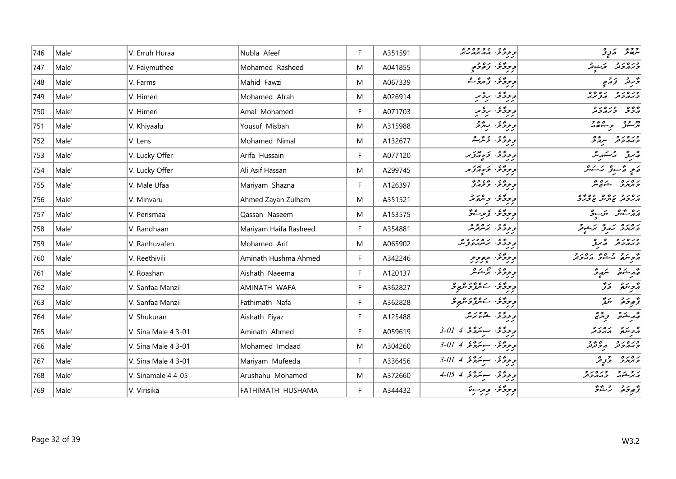| 746 | Male' | V. Erruh Huraa      | Nubla Afeef           | F           | A351591 | د د ی مه مورود د د                           | پرچۇ كەرو                                  |
|-----|-------|---------------------|-----------------------|-------------|---------|----------------------------------------------|--------------------------------------------|
| 747 | Male' | V. Faiymuthee       | Mohamed Rasheed       | M           | A041855 | ورود زه ده و                                 | ورەرو برشوتر                               |
| 748 | Male' | V. Farms            | Mahid Fawzi           | M           | A067339 | ە دۇئۇ، ئۇبرۇ ب                              | لتخريثر ترتزمي                             |
| 749 | Male' | V. Himeri           | Mohamed Afrah         | M           | A026914 | <sub>عرم</sub> ورمبر مرد بر<br>  بربر مرد بر | כנסנכ נסשם<br>כמחכת הני <i>ת</i>           |
| 750 | Male' | V. Himeri           | Amal Mohamed          | F.          | A071703 | وودٌ دَ سِرْ سِ                              | و و دره د و د و                            |
| 751 | Male' | V. Khiyaalu         | Yousuf Misbah         | M           | A315988 | و و د گور زېږد                               | ת כפי כהשמ                                 |
| 752 | Male' | V. Lens             | Mohamed Nimal         | M           | A132677 | مِ مِرَّجٌ وَ عُرْبٌ                         | دبره دو سردگر                              |
| 753 | Male' | V. Lucky Offer      | Arifa Hussain         | F           | A077120 | <sub>و پو</sub> وځو· ځې <del>و</del> زور     | ە ئىبرۇ ئەسىر بىر                          |
| 754 | Male' | V. Lucky Offer      | Ali Asif Hassan       | M           | A299745 | وودعى بحبابين                                | أەي ەيسوۋا باسەش                           |
| 755 | Male' | V. Male Ufaa        | Mariyam Shazna        | $\mathsf F$ | A126397 | و د د د . د د د د                            | رەرە خەرش                                  |
| 756 | Male' | V. Minvaru          | Ahmed Zayan Zulham    | M           | A351521 | و وځو . د مرغه تر                            | ג 200 גם 2000<br>גגב تر האייני היציב       |
| 757 | Male' | V. Perismaa         | Qassan Naseem         | M           | A153575 | وودٌ دُ. کی بر دیگر                          | رە مەمگە مىرسى <i>د</i>                    |
| 758 | Male' | V. Randhaan         | Mariyam Haifa Rasheed | F           | A354881 | وودٌدٌ بَرَ عَمَّرْ مَرْ                     | دەرە رىرۇ ئەيد                             |
| 759 | Male' | V. Ranhuvafen       | Mohamed Arif          | M           | A065902 | <mark>ووۇنى برەددى ە</mark>                  | ورەر د پرو                                 |
| 760 | Male' | V. Reethivili       | Aminath Hushma Ahmed  | F.          | A342246 | وودڅځه موړوو                                 | أثر برو وه و بره برح                       |
| 761 | Male' | V. Roashan          | Aishath Naeema        | F           | A120137 | وجردمحر محمد محمد                            | أوالم المستقيدة                            |
| 762 | Male' | V. Sanfaa Manzil    | AMINATH WAFA          | F           | A362827 | ورۇئى سەرۇزىرى بى                            | أأتربتهم أقرأه                             |
| 763 | Male' | V. Sanfaa Manzil    | Fathimath Nafa        | F           | A362828 | ودۇئى سەرزۇش ۋ                               | توالجو فالمحمد والمتكل                     |
| 764 | Male' | V. Shukuran         | Aishath Fiyaz         | $\mathsf F$ | A125488 | ە دۇنۇ ، شەرىرىگە                            | وكرمشكم وترمح                              |
| 765 | Male' | V. Sina Male 4 3-01 | Aminath Ahmed         | F           | A059619 | ە يەۋى سوشۇقە 19-3.                          | ومحاصره والمرادح وراد                      |
| 766 | Male' | V. Sina Male 4 3-01 | Mohamed Imdaad        | M           | A304260 | ە دۇكى سەترۇكە 10-3                          | و ر ه ر د<br>د بر پر تر<br>ەر 3 ئۇنى       |
| 767 | Male' | V. Sina Male 4 3-01 | Mariyam Mufeeda       | F           | A336456 | $\overline{3\text{-}01}$ 4 مريحه كو ال       | د ۱۵ د وړ تر                               |
| 768 | Male' | V. Sinamale 4 4-05  | Arushahu Mohamed      | M           | A372660 | $4-05$ 4 مودَّ سوسَرَةً 4 4-05               | و رە ر د<br><i>د بر</i> گرىز<br>برحرشه برح |
| 769 | Male' | V. Virisika         | FATHIMATH HUSHAMA     | F           | A344432 | و ودٌ د ا و بر سورَ                          | و د د ديگو                                 |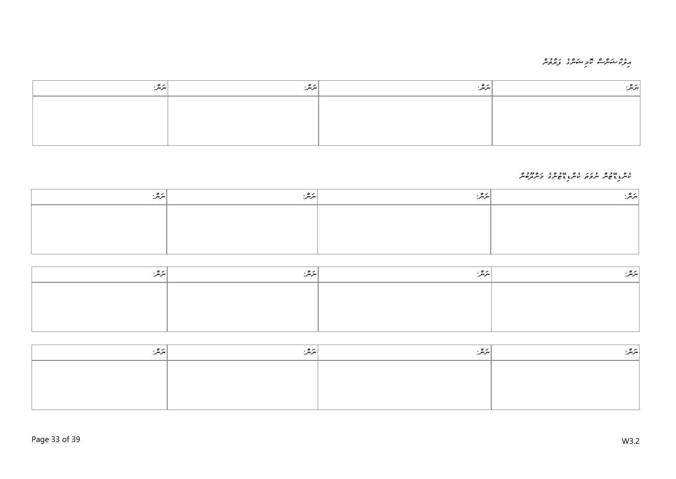## *w7qAn8m? sCw7mRo>u; wEw7mRw;sBo<*

| ' مرمر | 'يئرىثر: |
|--------|----------|
|        |          |
|        |          |
|        |          |

## *w7q9r@w7m> sCw7qHtFoFw7s; mAm=q7 w7qHtFoFw7s;*

| ىر تە | $\mathcal{O} \times$<br>$\sim$ | $\sim$<br>. . | لترنثر |
|-------|--------------------------------|---------------|--------|
|       |                                |               |        |
|       |                                |               |        |
|       |                                |               |        |

| $\frac{2}{n}$ | $\overline{\phantom{a}}$ | اير هنه. | $\mathcal{O} \times$<br>سرسر |
|---------------|--------------------------|----------|------------------------------|
|               |                          |          |                              |
|               |                          |          |                              |
|               |                          |          |                              |

| ' ئىرتىر: | سر سر |  |
|-----------|-------|--|
|           |       |  |
|           |       |  |
|           |       |  |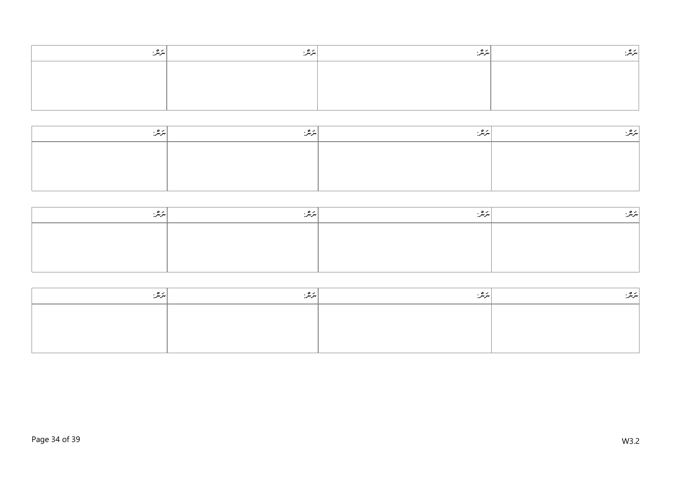| يزهر | $^{\circ}$ | ىئرىتر: |  |
|------|------------|---------|--|
|      |            |         |  |
|      |            |         |  |
|      |            |         |  |

| <sup>.</sup> سرسر. |  |
|--------------------|--|
|                    |  |
|                    |  |
|                    |  |

| ىئرىتر. | $\sim$ | ا بر هه. | لىرىش |
|---------|--------|----------|-------|
|         |        |          |       |
|         |        |          |       |
|         |        |          |       |

| $\overline{\phantom{a}}$<br>سرس | ر ه<br>,,, | . . | 。<br>سرس. |
|---------------------------------|------------|-----|-----------|
|                                 |            |     |           |
|                                 |            |     |           |
|                                 |            |     |           |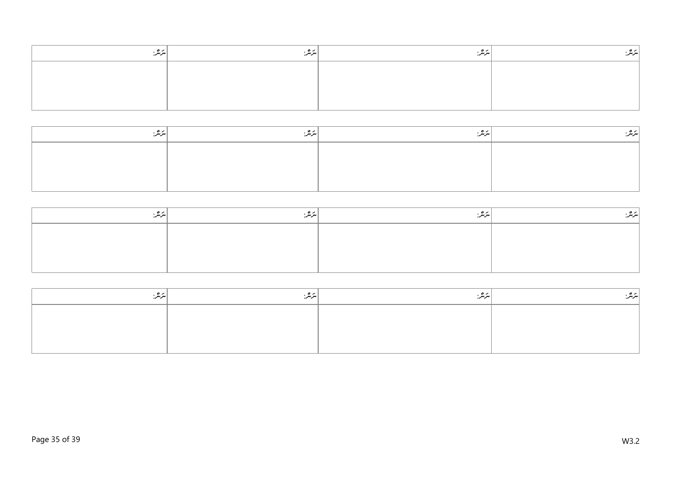| ير هو . | $\overline{\phantom{a}}$ | يرمر | اير هنه. |
|---------|--------------------------|------|----------|
|         |                          |      |          |
|         |                          |      |          |
|         |                          |      |          |

| ىر تىر: | $\circ$ $\sim$<br>" سرسر . | يترمير | o . |
|---------|----------------------------|--------|-----|
|         |                            |        |     |
|         |                            |        |     |
|         |                            |        |     |

| 'تترنثر: | . .<br>يسمونس. |  |
|----------|----------------|--|
|          |                |  |
|          |                |  |
|          |                |  |

|  | . ه |
|--|-----|
|  |     |
|  |     |
|  |     |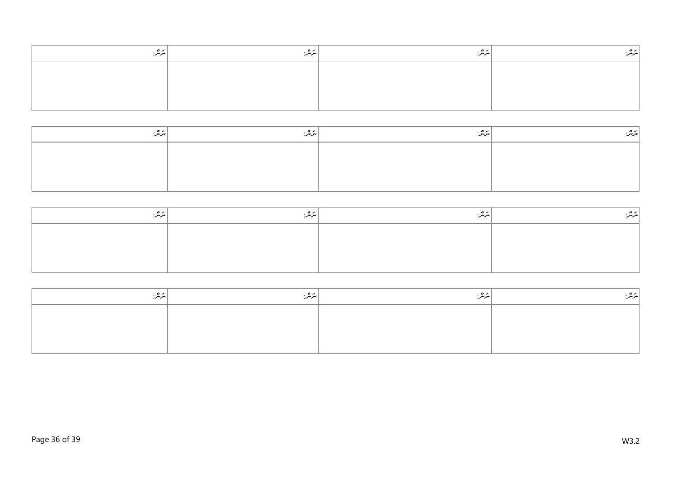| ير هو . | $\overline{\phantom{a}}$ | يرمر | اير هنه. |
|---------|--------------------------|------|----------|
|         |                          |      |          |
|         |                          |      |          |
|         |                          |      |          |

| ىر تىر: | $\circ$ $\sim$<br>" سرسر . | يترمير | o . |
|---------|----------------------------|--------|-----|
|         |                            |        |     |
|         |                            |        |     |
|         |                            |        |     |

| الترنثر: | ' مرتكز: | الترنثر: | .,<br>سرسر. |
|----------|----------|----------|-------------|
|          |          |          |             |
|          |          |          |             |
|          |          |          |             |

|  | . ه |
|--|-----|
|  |     |
|  |     |
|  |     |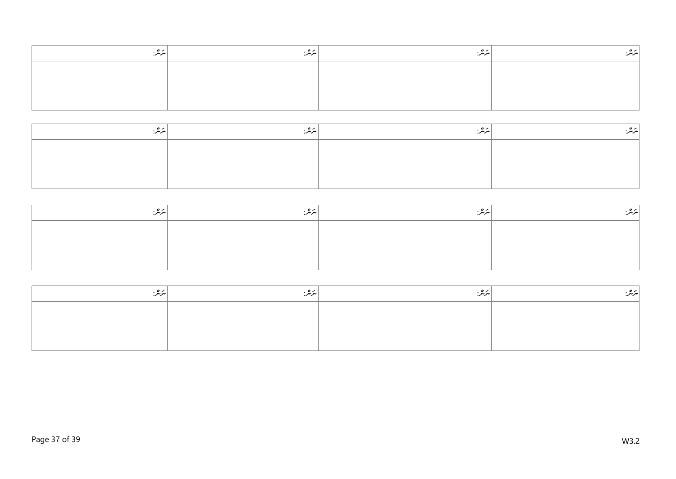| $\cdot$ | ο. | $\frac{\circ}{\cdot}$ | $\sim$<br>سرسر |
|---------|----|-----------------------|----------------|
|         |    |                       |                |
|         |    |                       |                |
|         |    |                       |                |

| يريثن | ' سرسر . |  |
|-------|----------|--|
|       |          |  |
|       |          |  |
|       |          |  |

| بر ه | 。 | $\sim$<br>َ سومس. |  |
|------|---|-------------------|--|
|      |   |                   |  |
|      |   |                   |  |
|      |   |                   |  |

| 。<br>. س | ىرىىر |  |
|----------|-------|--|
|          |       |  |
|          |       |  |
|          |       |  |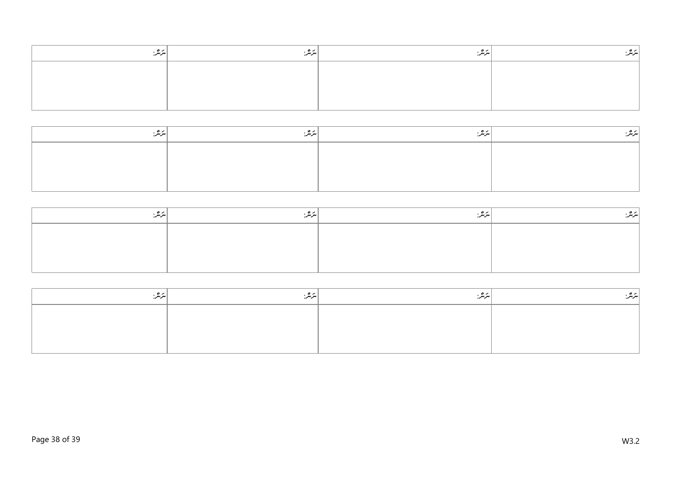| ير هو . | $\overline{\phantom{a}}$ | يرمر | لتزمثن |
|---------|--------------------------|------|--------|
|         |                          |      |        |
|         |                          |      |        |
|         |                          |      |        |

| ىبرىر. | $\sim$<br>ا سرسر . | يئرمثر | o . |
|--------|--------------------|--------|-----|
|        |                    |        |     |
|        |                    |        |     |
|        |                    |        |     |

| انترنثر: | ر ه |  |
|----------|-----|--|
|          |     |  |
|          |     |  |
|          |     |  |

|  | . ه |
|--|-----|
|  |     |
|  |     |
|  |     |